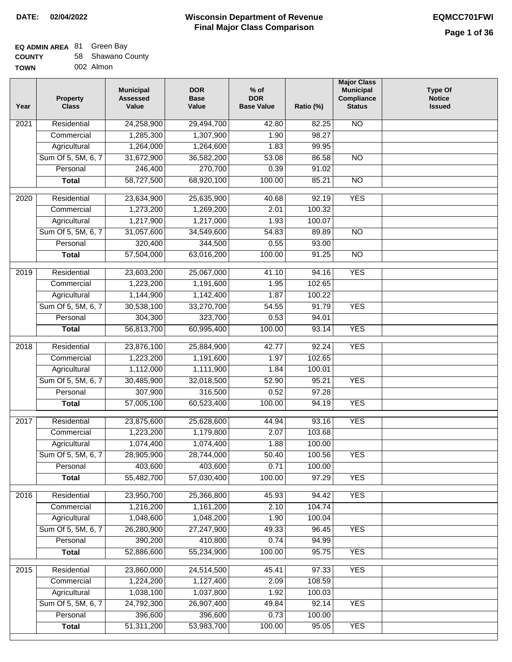┓

### **EQ ADMIN AREA** 81 Green Bay **COUNTY**

| <b>COUNTY</b> | 58 Shawano County |
|---------------|-------------------|
| TOWN          | 002 Almon         |

| Year              | <b>Property</b><br><b>Class</b> | <b>Municipal</b><br><b>Assessed</b><br>Value | <b>DOR</b><br><b>Base</b><br>Value | $%$ of<br><b>DOR</b><br><b>Base Value</b> | Ratio (%)       | <b>Major Class</b><br><b>Municipal</b><br>Compliance<br><b>Status</b> | <b>Type Of</b><br><b>Notice</b><br><b>Issued</b> |
|-------------------|---------------------------------|----------------------------------------------|------------------------------------|-------------------------------------------|-----------------|-----------------------------------------------------------------------|--------------------------------------------------|
| 2021              | Residential                     | 24,258,900                                   | 29,494,700                         | 42.80                                     | 82.25           | N <sub>O</sub>                                                        |                                                  |
|                   | Commercial                      | 1,285,300                                    | 1,307,900                          | 1.90                                      | 98.27           |                                                                       |                                                  |
|                   | Agricultural                    | 1,264,000                                    | 1,264,600                          | 1.83                                      | 99.95           |                                                                       |                                                  |
|                   | Sum Of 5, 5M, 6, 7              | 31,672,900                                   | 36,582,200                         | 53.08                                     | 86.58           | $\overline{NO}$                                                       |                                                  |
|                   | Personal                        | 246,400                                      | 270,700                            | 0.39                                      | 91.02           |                                                                       |                                                  |
|                   | <b>Total</b>                    | 58,727,500                                   | 68,920,100                         | 100.00                                    | 85.21           | $\overline{NO}$                                                       |                                                  |
| 2020              | Residential                     | 23,634,900                                   | 25,635,900                         | 40.68                                     | 92.19           | <b>YES</b>                                                            |                                                  |
|                   | Commercial                      | 1,273,200                                    | 1,269,200                          | 2.01                                      | 100.32          |                                                                       |                                                  |
|                   | Agricultural                    | 1,217,900                                    | 1,217,000                          | 1.93                                      | 100.07          |                                                                       |                                                  |
|                   | Sum Of 5, 5M, 6, 7              | 31,057,600                                   | 34,549,600                         | 54.83                                     | 89.89           | $\overline{NO}$                                                       |                                                  |
|                   | Personal                        | 320,400                                      | 344,500                            | 0.55                                      | 93.00           |                                                                       |                                                  |
|                   | <b>Total</b>                    | 57,504,000                                   | 63,016,200                         | 100.00                                    | 91.25           | $\overline{NO}$                                                       |                                                  |
| 2019              | Residential                     | 23,603,200                                   | 25,067,000                         | 41.10                                     | 94.16           | <b>YES</b>                                                            |                                                  |
|                   | Commercial                      | 1,223,200                                    | 1,191,600                          | 1.95                                      | 102.65          |                                                                       |                                                  |
|                   | Agricultural                    | 1,144,900                                    | 1,142,400                          | 1.87                                      | 100.22          |                                                                       |                                                  |
|                   | Sum Of 5, 5M, 6, 7              | 30,538,100                                   | 33,270,700                         | 54.55                                     | 91.79           | <b>YES</b>                                                            |                                                  |
|                   | Personal                        | 304,300                                      | 323,700                            | 0.53                                      | 94.01           |                                                                       |                                                  |
|                   | <b>Total</b>                    | 56,813,700                                   | 60,995,400                         | 100.00                                    | 93.14           | <b>YES</b>                                                            |                                                  |
|                   |                                 |                                              |                                    |                                           |                 |                                                                       |                                                  |
| $\overline{2018}$ | Residential<br>Commercial       | 23,876,100<br>1,223,200                      | 25,884,900<br>1,191,600            | 42.77<br>1.97                             | 92.24<br>102.65 | <b>YES</b>                                                            |                                                  |
|                   | Agricultural                    | 1,112,000                                    | 1,111,900                          | 1.84                                      | 100.01          |                                                                       |                                                  |
|                   | Sum Of 5, 5M, 6, 7              | 30,485,900                                   | 32,018,500                         | 52.90                                     | 95.21           | <b>YES</b>                                                            |                                                  |
|                   | Personal                        | 307,900                                      | 316,500                            | 0.52                                      | 97.28           |                                                                       |                                                  |
|                   | <b>Total</b>                    | 57,005,100                                   | 60,523,400                         | 100.00                                    | 94.19           | <b>YES</b>                                                            |                                                  |
|                   |                                 |                                              |                                    |                                           |                 |                                                                       |                                                  |
| 2017              | Residential                     | 23,875,600                                   | 25,628,600                         | 44.94                                     | 93.16           | <b>YES</b>                                                            |                                                  |
|                   | Commercial                      | 1,223,200                                    | 1,179,800                          | 2.07                                      | 103.68          |                                                                       |                                                  |
|                   | Agricultural                    | 1,074,400                                    | 1,074,400                          | 1.88                                      | 100.00          |                                                                       |                                                  |
|                   | Sum Of 5, 5M, 6, 7              | 28,905,900                                   | 28,744,000                         | 50.40                                     | 100.56          | YES                                                                   |                                                  |
|                   | Personal                        | 403,600                                      | 403,600                            | 0.71                                      | 100.00          |                                                                       |                                                  |
|                   | <b>Total</b>                    | 55,482,700                                   | 57,030,400                         | 100.00                                    | 97.29           | <b>YES</b>                                                            |                                                  |
| 2016              | Residential                     | 23,950,700                                   | 25,366,800                         | 45.93                                     | 94.42           | <b>YES</b>                                                            |                                                  |
|                   | Commercial                      | 1,216,200                                    | 1,161,200                          | 2.10                                      | 104.74          |                                                                       |                                                  |
|                   | Agricultural                    | 1,048,600                                    | 1,048,200                          | 1.90                                      | 100.04          |                                                                       |                                                  |
|                   | Sum Of 5, 5M, 6, 7              | 26,280,900                                   | 27,247,900                         | 49.33                                     | 96.45           | <b>YES</b>                                                            |                                                  |
|                   | Personal                        | 390,200                                      | 410,800                            | 0.74                                      | 94.99           |                                                                       |                                                  |
|                   | <b>Total</b>                    | 52,886,600                                   | 55,234,900                         | 100.00                                    | 95.75           | <b>YES</b>                                                            |                                                  |
| $\overline{2015}$ | Residential                     | 23,860,000                                   | 24,514,500                         | 45.41                                     | 97.33           | <b>YES</b>                                                            |                                                  |
|                   | Commercial                      | 1,224,200                                    | 1,127,400                          | 2.09                                      | 108.59          |                                                                       |                                                  |
|                   | Agricultural                    | 1,038,100                                    | 1,037,800                          | 1.92                                      | 100.03          |                                                                       |                                                  |
|                   | Sum Of 5, 5M, 6, 7              | 24,792,300                                   | 26,907,400                         | 49.84                                     | 92.14           | <b>YES</b>                                                            |                                                  |
|                   | Personal                        | 396,600                                      | 396,600                            | 0.73                                      | 100.00          |                                                                       |                                                  |
|                   | <b>Total</b>                    | 51,311,200                                   | 53,983,700                         | 100.00                                    | 95.05           | <b>YES</b>                                                            |                                                  |
|                   |                                 |                                              |                                    |                                           |                 |                                                                       |                                                  |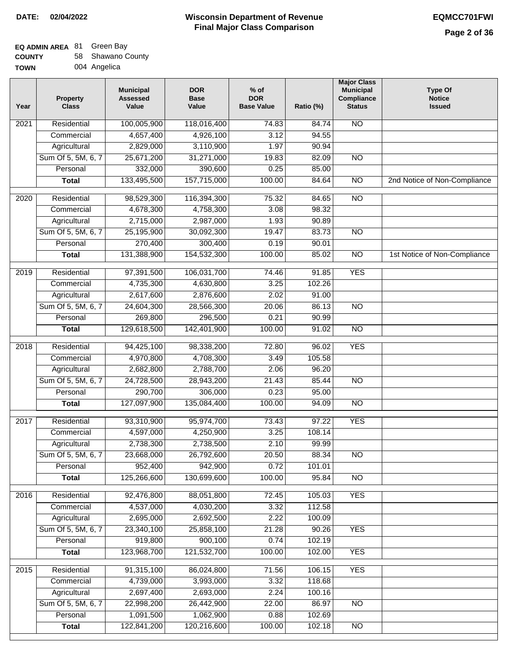# **EQ ADMIN AREA** 81 Green Bay

| <b>COUNTY</b> | 58 Shawano County |
|---------------|-------------------|
| <b>TOWN</b>   | 004 Angelica      |

| 004 Angelica |
|--------------|
|              |

| Year              | <b>Property</b><br><b>Class</b> | <b>Municipal</b><br><b>Assessed</b><br>Value | <b>DOR</b><br><b>Base</b><br>Value | $%$ of<br><b>DOR</b><br><b>Base Value</b> | Ratio (%) | <b>Major Class</b><br><b>Municipal</b><br>Compliance<br><b>Status</b> | <b>Type Of</b><br><b>Notice</b><br><b>Issued</b> |
|-------------------|---------------------------------|----------------------------------------------|------------------------------------|-------------------------------------------|-----------|-----------------------------------------------------------------------|--------------------------------------------------|
| $\overline{202}1$ | Residential                     | 100,005,900                                  | 118,016,400                        | 74.83                                     | 84.74     | N <sub>O</sub>                                                        |                                                  |
|                   | Commercial                      | 4,657,400                                    | 4,926,100                          | 3.12                                      | 94.55     |                                                                       |                                                  |
|                   | Agricultural                    | 2,829,000                                    | 3,110,900                          | 1.97                                      | 90.94     |                                                                       |                                                  |
|                   | Sum Of 5, 5M, 6, 7              | 25,671,200                                   | 31,271,000                         | 19.83                                     | 82.09     | $\overline{NO}$                                                       |                                                  |
|                   | Personal                        | 332,000                                      | 390,600                            | 0.25                                      | 85.00     |                                                                       |                                                  |
|                   | <b>Total</b>                    | 133,495,500                                  | 157,715,000                        | 100.00                                    | 84.64     | $\overline{NO}$                                                       | 2nd Notice of Non-Compliance                     |
| $\overline{2020}$ | Residential                     | 98,529,300                                   | 116,394,300                        | 75.32                                     | 84.65     | $\overline{NO}$                                                       |                                                  |
|                   | Commercial                      | 4,678,300                                    | 4,758,300                          | 3.08                                      | 98.32     |                                                                       |                                                  |
|                   | Agricultural                    | 2,715,000                                    | 2,987,000                          | 1.93                                      | 90.89     |                                                                       |                                                  |
|                   | Sum Of 5, 5M, 6, 7              | 25,195,900                                   | 30,092,300                         | 19.47                                     | 83.73     | $\overline{NO}$                                                       |                                                  |
|                   | Personal                        | 270,400                                      | 300,400                            | 0.19                                      | 90.01     |                                                                       |                                                  |
|                   | <b>Total</b>                    | 131,388,900                                  | 154,532,300                        | 100.00                                    | 85.02     | $\overline{NO}$                                                       | 1st Notice of Non-Compliance                     |
| 2019              | Residential                     | 97,391,500                                   | 106,031,700                        | 74.46                                     | 91.85     | <b>YES</b>                                                            |                                                  |
|                   | Commercial                      | 4,735,300                                    | 4,630,800                          | 3.25                                      | 102.26    |                                                                       |                                                  |
|                   | Agricultural                    | 2,617,600                                    | 2,876,600                          | 2.02                                      | 91.00     |                                                                       |                                                  |
|                   | Sum Of 5, 5M, 6, 7              | 24,604,300                                   | 28,566,300                         | 20.06                                     | 86.13     | $\overline{NO}$                                                       |                                                  |
|                   | Personal                        | 269,800                                      | 296,500                            | 0.21                                      | 90.99     |                                                                       |                                                  |
|                   | <b>Total</b>                    | 129,618,500                                  | 142,401,900                        | 100.00                                    | 91.02     | $\overline{NO}$                                                       |                                                  |
| 2018              | Residential                     | 94,425,100                                   | 98,338,200                         | 72.80                                     | 96.02     | <b>YES</b>                                                            |                                                  |
|                   | Commercial                      | 4,970,800                                    | 4,708,300                          | 3.49                                      | 105.58    |                                                                       |                                                  |
|                   | Agricultural                    | 2,682,800                                    | 2,788,700                          | 2.06                                      | 96.20     |                                                                       |                                                  |
|                   | Sum Of 5, 5M, 6, 7              | 24,728,500                                   | 28,943,200                         | 21.43                                     | 85.44     | $\overline{10}$                                                       |                                                  |
|                   | Personal                        | 290,700                                      | 306,000                            | 0.23                                      | 95.00     |                                                                       |                                                  |
|                   | <b>Total</b>                    | 127,097,900                                  | 135,084,400                        | 100.00                                    | 94.09     | <b>NO</b>                                                             |                                                  |
| $\overline{2017}$ | Residential                     | 93,310,900                                   | 95,974,700                         | 73.43                                     | 97.22     | <b>YES</b>                                                            |                                                  |
|                   | Commercial                      | 4,597,000                                    | 4,250,900                          | 3.25                                      | 108.14    |                                                                       |                                                  |
|                   | Agricultural                    | 2,738,300                                    | 2,738,500                          | 2.10                                      | 99.99     |                                                                       |                                                  |
|                   | Sum Of 5, 5M, 6, 7              | 23,668,000                                   | 26,792,600                         | 20.50                                     | 88.34     | <b>NO</b>                                                             |                                                  |
|                   | Personal                        | 952,400                                      | 942,900                            | 0.72                                      | 101.01    |                                                                       |                                                  |
|                   | <b>Total</b>                    | 125,266,600                                  | 130,699,600                        | 100.00                                    | 95.84     | <b>NO</b>                                                             |                                                  |
| 2016              | Residential                     | 92,476,800                                   | 88,051,800                         | 72.45                                     | 105.03    | <b>YES</b>                                                            |                                                  |
|                   | Commercial                      | 4,537,000                                    | 4,030,200                          | 3.32                                      | 112.58    |                                                                       |                                                  |
|                   | Agricultural                    | 2,695,000                                    | 2,692,500                          | 2.22                                      | 100.09    |                                                                       |                                                  |
|                   | Sum Of 5, 5M, 6, 7              | 23,340,100                                   | 25,858,100                         | 21.28                                     | 90.26     | <b>YES</b>                                                            |                                                  |
|                   | Personal                        | 919,800                                      | 900,100                            | 0.74                                      | 102.19    |                                                                       |                                                  |
|                   | <b>Total</b>                    | 123,968,700                                  | 121,532,700                        | 100.00                                    | 102.00    | <b>YES</b>                                                            |                                                  |
| 2015              | Residential                     | 91,315,100                                   | 86,024,800                         | 71.56                                     | 106.15    | <b>YES</b>                                                            |                                                  |
|                   | Commercial                      | 4,739,000                                    | 3,993,000                          | 3.32                                      | 118.68    |                                                                       |                                                  |
|                   | Agricultural                    | 2,697,400                                    | 2,693,000                          | 2.24                                      | 100.16    |                                                                       |                                                  |
|                   | Sum Of 5, 5M, 6, 7              | 22,998,200                                   | 26,442,900                         | 22.00                                     | 86.97     | <b>NO</b>                                                             |                                                  |
|                   | Personal                        | 1,091,500                                    | 1,062,900                          | 0.88                                      | 102.69    |                                                                       |                                                  |
|                   | <b>Total</b>                    | 122,841,200                                  | 120,216,600                        | 100.00                                    | 102.18    | $\overline{NO}$                                                       |                                                  |
|                   |                                 |                                              |                                    |                                           |           |                                                                       |                                                  |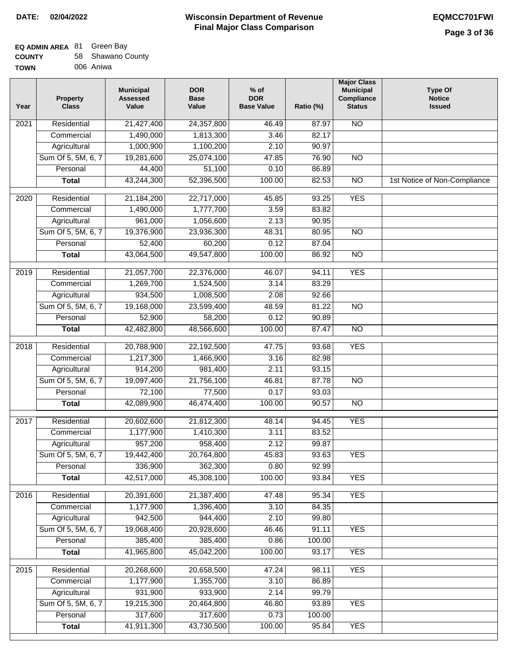┓

### **EQ ADMIN AREA** 81 Green Bay **COUNTY**

| <b>COUNTY</b> | 58 Shawano County |
|---------------|-------------------|
| <b>TOWN</b>   | 006 Aniwa         |

| Year              | <b>Property</b><br><b>Class</b> | <b>Municipal</b><br><b>Assessed</b><br>Value | <b>DOR</b><br><b>Base</b><br>Value | $%$ of<br><b>DOR</b><br><b>Base Value</b> | Ratio (%) | <b>Major Class</b><br><b>Municipal</b><br>Compliance<br><b>Status</b> | <b>Type Of</b><br><b>Notice</b><br><b>Issued</b> |
|-------------------|---------------------------------|----------------------------------------------|------------------------------------|-------------------------------------------|-----------|-----------------------------------------------------------------------|--------------------------------------------------|
| 2021              | Residential                     | 21,427,400                                   | 24,357,800                         | 46.49                                     | 87.97     | $\overline{NO}$                                                       |                                                  |
|                   | Commercial                      | 1,490,000                                    | 1,813,300                          | 3.46                                      | 82.17     |                                                                       |                                                  |
|                   | Agricultural                    | 1,000,900                                    | 1,100,200                          | 2.10                                      | 90.97     |                                                                       |                                                  |
|                   | Sum Of 5, 5M, 6, 7              | 19,281,600                                   | 25,074,100                         | 47.85                                     | 76.90     | $\overline{NO}$                                                       |                                                  |
|                   | Personal                        | 44,400                                       | 51,100                             | 0.10                                      | 86.89     |                                                                       |                                                  |
|                   | <b>Total</b>                    | 43,244,300                                   | 52,396,500                         | 100.00                                    | 82.53     | $\overline{NO}$                                                       | 1st Notice of Non-Compliance                     |
| 2020              | Residential                     | 21,184,200                                   | 22,717,000                         | 45.85                                     | 93.25     | <b>YES</b>                                                            |                                                  |
|                   | Commercial                      | 1,490,000                                    | 1,777,700                          | 3.59                                      | 83.82     |                                                                       |                                                  |
|                   | Agricultural                    | 961,000                                      | 1,056,600                          | 2.13                                      | 90.95     |                                                                       |                                                  |
|                   | Sum Of 5, 5M, 6, 7              | 19,376,900                                   | 23,936,300                         | 48.31                                     | 80.95     | $\overline{NO}$                                                       |                                                  |
|                   | Personal                        | 52,400                                       | 60,200                             | 0.12                                      | 87.04     |                                                                       |                                                  |
|                   | <b>Total</b>                    | 43,064,500                                   | 49,547,800                         | 100.00                                    | 86.92     | $\overline{NO}$                                                       |                                                  |
| 2019              | Residential                     | 21,057,700                                   | 22,376,000                         | 46.07                                     | 94.11     | <b>YES</b>                                                            |                                                  |
|                   | Commercial                      | 1,269,700                                    | 1,524,500                          | 3.14                                      | 83.29     |                                                                       |                                                  |
|                   | Agricultural                    | 934,500                                      | 1,008,500                          | 2.08                                      | 92.66     |                                                                       |                                                  |
|                   | Sum Of 5, 5M, 6, 7              | 19,168,000                                   | 23,599,400                         | 48.59                                     | 81.22     | $\overline{NO}$                                                       |                                                  |
|                   | Personal                        | 52,900                                       | 58,200                             | 0.12                                      | 90.89     |                                                                       |                                                  |
|                   | <b>Total</b>                    | 42,482,800                                   | 48,566,600                         | 100.00                                    | 87.47     | $\overline{NO}$                                                       |                                                  |
| $\overline{2018}$ | Residential                     | 20,788,900                                   | 22,192,500                         | 47.75                                     | 93.68     | <b>YES</b>                                                            |                                                  |
|                   | Commercial                      | 1,217,300                                    | 1,466,900                          | 3.16                                      | 82.98     |                                                                       |                                                  |
|                   | Agricultural                    | 914,200                                      | 981,400                            | 2.11                                      | 93.15     |                                                                       |                                                  |
|                   | Sum Of 5, 5M, 6, 7              | 19,097,400                                   | 21,756,100                         | 46.81                                     | 87.78     | <b>NO</b>                                                             |                                                  |
|                   | Personal                        | 72,100                                       | 77,500                             | 0.17                                      | 93.03     |                                                                       |                                                  |
|                   | <b>Total</b>                    | 42,089,900                                   | 46,474,400                         | 100.00                                    | 90.57     | <b>NO</b>                                                             |                                                  |
|                   |                                 |                                              |                                    |                                           |           |                                                                       |                                                  |
| 2017              | Residential                     | 20,602,600                                   | 21,812,300                         | 48.14                                     | 94.45     | <b>YES</b>                                                            |                                                  |
|                   | Commercial                      | 1,177,900                                    | 1,410,300                          | 3.11                                      | 83.52     |                                                                       |                                                  |
|                   | Agricultural                    | 957,200                                      | 958,400                            | 2.12                                      | 99.87     |                                                                       |                                                  |
|                   | Sum Of 5, 5M, 6, 7              | 19,442,400                                   | 20,764,800                         | 45.83                                     | 93.63     | YES                                                                   |                                                  |
|                   | Personal                        | 336,900                                      | 362,300                            | 0.80                                      | 92.99     |                                                                       |                                                  |
|                   | <b>Total</b>                    | 42,517,000                                   | 45,308,100                         | 100.00                                    | 93.84     | <b>YES</b>                                                            |                                                  |
| 2016              | Residential                     | 20,391,600                                   | 21,387,400                         | 47.48                                     | 95.34     | <b>YES</b>                                                            |                                                  |
|                   | Commercial                      | 1,177,900                                    | 1,396,400                          | 3.10                                      | 84.35     |                                                                       |                                                  |
|                   | Agricultural                    | 942,500                                      | 944,400                            | 2.10                                      | 99.80     |                                                                       |                                                  |
|                   | Sum Of 5, 5M, 6, 7              | 19,068,400                                   | 20,928,600                         | 46.46                                     | 91.11     | <b>YES</b>                                                            |                                                  |
|                   | Personal                        | 385,400                                      | 385,400                            | 0.86                                      | 100.00    |                                                                       |                                                  |
|                   | <b>Total</b>                    | 41,965,800                                   | 45,042,200                         | 100.00                                    | 93.17     | <b>YES</b>                                                            |                                                  |
| 2015              | Residential                     | 20,268,600                                   | 20,658,500                         | 47.24                                     | 98.11     | <b>YES</b>                                                            |                                                  |
|                   | Commercial                      | 1,177,900                                    | 1,355,700                          | 3.10                                      | 86.89     |                                                                       |                                                  |
|                   | Agricultural                    | 931,900                                      | 933,900                            | 2.14                                      | 99.79     |                                                                       |                                                  |
|                   | Sum Of 5, 5M, 6, 7              | 19,215,300                                   | 20,464,800                         | 46.80                                     | 93.89     | <b>YES</b>                                                            |                                                  |
|                   | Personal                        | 317,600                                      | 317,600                            | 0.73                                      | 100.00    |                                                                       |                                                  |
|                   | <b>Total</b>                    | 41,911,300                                   | 43,730,500                         | 100.00                                    | 95.84     | <b>YES</b>                                                            |                                                  |
|                   |                                 |                                              |                                    |                                           |           |                                                                       |                                                  |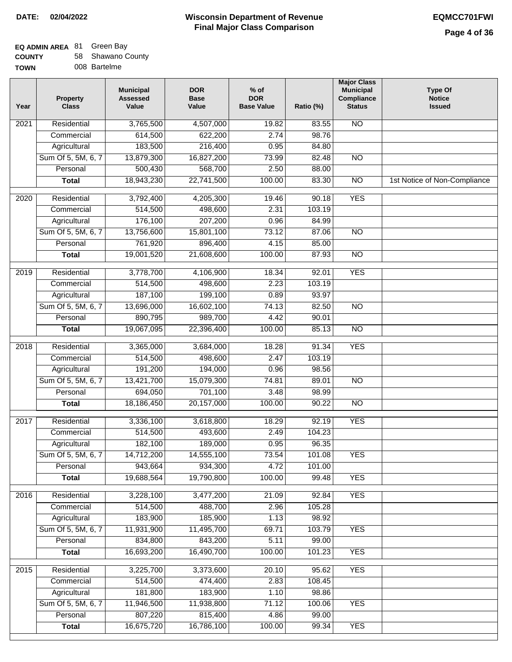## **Wisconsin Department of Revenue DATE: 02/04/2022 EQMCC701FWI Final Major Class Comparison**

**Major Class Municipal Compliance Status**

NO

NO

NO

 83.55 98.76 84.80 82.48 88.00 83.30 **Type Of Notice Issued**

1st Notice of Non-Compliance

### **EQ ADMIN AREA Green Bay**

| <b>COUNTY</b> | 58 Shawano County |
|---------------|-------------------|
| <b>TOWN</b>   | 008 Bartelme      |

| 008 Bartelme<br><b>TOWN</b> |                                 |                                                                 |                                    |                                           |               |
|-----------------------------|---------------------------------|-----------------------------------------------------------------|------------------------------------|-------------------------------------------|---------------|
| Year                        | <b>Property</b><br><b>Class</b> | <b>Municipal</b><br><b>Assessed</b><br>Value                    | <b>DOR</b><br><b>Base</b><br>Value | $%$ of<br><b>DOR</b><br><b>Base Value</b> | Ratio (%)     |
| 2021                        | Residential                     | 3,765,500                                                       | 4,507,000                          | 19.82                                     | 83.5          |
|                             | Commercial                      | 614,500                                                         | 622,200                            | 2.74                                      | 98.7          |
|                             | Agricultural                    | 183,500                                                         | 216,400                            | 0.95                                      | 84.8          |
|                             | Sum Of 5, 5M, 6, 7              | 13,879,300                                                      | 16,827,200                         | 73.99                                     | 82.4          |
|                             | Personal                        | 500,430                                                         | 568,700                            | 2.50                                      | 88.0          |
|                             | <b>Total</b>                    | 18,943,230                                                      | 22.741.500                         | 100.00                                    | 83.3          |
| 2020                        | Residential                     | 3,792,400                                                       | 4,205,300                          | 19.46                                     | 90.1          |
|                             |                                 |                                                                 |                                    |                                           |               |
|                             | Commercial                      | 514,500                                                         | 498,600                            | 2.31                                      | 103.1         |
|                             | Agricultural                    | 176,100                                                         | 207,200                            | 0.96                                      | 84.9          |
|                             | $\sim$<br>$\sim$ $  \sim$ $-$   | $\overline{10}$ $\overline{20}$ $\overline{20}$ $\overline{20}$ | $1 - 0 - 1 100$                    | -- --                                     | $\sim$ $\sim$ |

| 2020 | Residential                    | 3,792,400             | 4,205,300            | 19.46         | 90.18            | <b>YES</b>      |  |
|------|--------------------------------|-----------------------|----------------------|---------------|------------------|-----------------|--|
|      | Commercial                     | 514,500               | 498,600              | 2.31          | 103.19           |                 |  |
|      | Agricultural                   | 176,100               | 207,200              | 0.96          | 84.99            |                 |  |
|      | Sum Of 5, 5M, 6, 7             | 13,756,600            | 15,801,100           | 73.12         | 87.06            | $\overline{NO}$ |  |
|      | Personal                       | 761,920               | 896,400              | 4.15          | 85.00            |                 |  |
|      | <b>Total</b>                   | 19,001,520            | 21,608,600           | 100.00        | 87.93            | $\overline{NO}$ |  |
| 2019 | Residential                    | 3,778,700             | 4,106,900            | 18.34         | 92.01            | <b>YES</b>      |  |
|      | Commercial                     | 514,500               | 498,600              | 2.23          | 103.19           |                 |  |
|      | Agricultural                   | 187,100               | 199,100              | 0.89          | 93.97            |                 |  |
|      | Sum Of 5, 5M, 6, 7             | 13,696,000            | 16,602,100           | 74.13         | 82.50            | $\overline{NO}$ |  |
|      | Personal                       | 890,795               | 989,700              | 4.42          | 90.01            |                 |  |
|      | <b>Total</b>                   | 19,067,095            | 22,396,400           | 100.00        | 85.13            | NO              |  |
| 2018 | Residential                    | 3,365,000             | 3,684,000            | 18.28         | 91.34            | <b>YES</b>      |  |
|      | Commercial                     | 514,500               | 498,600              | 2.47          | 103.19           |                 |  |
|      | Agricultural                   | 191,200               | 194,000              | 0.96          | 98.56            |                 |  |
|      | Sum Of 5, 5M, 6, 7             | 13,421,700            | 15,079,300           | 74.81         | 89.01            | $\overline{10}$ |  |
|      | Personal                       | 694,050               | 701,100              | 3.48          | 98.99            |                 |  |
|      | <b>Total</b>                   | 18,186,450            | 20,157,000           | 100.00        | 90.22            | NO              |  |
| 2017 | Residential                    | 3,336,100             |                      | 18.29         |                  | <b>YES</b>      |  |
|      |                                | 514,500               | 3,618,800<br>493,600 | 2.49          | 92.19<br>104.23  |                 |  |
|      | Commercial                     |                       | 189,000              |               |                  |                 |  |
|      | Agricultural                   | 182,100<br>14,712,200 | 14,555,100           | 0.95          | 96.35            | <b>YES</b>      |  |
|      | Sum Of 5, 5M, 6, 7<br>Personal | 943,664               | 934,300              | 73.54<br>4.72 | 101.08<br>101.00 |                 |  |
|      | <b>Total</b>                   | 19,688,564            | 19,790,800           |               |                  | <b>YES</b>      |  |
|      |                                |                       |                      | 100.00        | 99.48            |                 |  |
| 2016 | Residential                    | 3,228,100             | 3,477,200            | 21.09         | 92.84            | <b>YES</b>      |  |
|      | Commercial                     | 514,500               | 488,700              | 2.96          | 105.28           |                 |  |
|      | Agricultural                   | 183,900               | 185,900              | 1.13          | 98.92            |                 |  |
|      | Sum Of 5, 5M, 6, 7             | 11,931,900            | 11,495,700           | 69.71         | 103.79           | <b>YES</b>      |  |
|      | Personal                       | 834,800               | 843,200              | 5.11          | 99.00            |                 |  |
|      | <b>Total</b>                   | 16,693,200            | 16,490,700           | 100.00        | 101.23           | <b>YES</b>      |  |
| 2015 | Residential                    | 3,225,700             | 3,373,600            | 20.10         | 95.62            | <b>YES</b>      |  |
|      | Commercial                     | 514,500               | 474,400              | 2.83          | 108.45           |                 |  |
|      | Agricultural                   | 181,800               | 183,900              | 1.10          | 98.86            |                 |  |
|      | Sum Of 5, 5M, 6, 7             | 11,946,500            | 11,938,800           | 71.12         | 100.06           | <b>YES</b>      |  |
|      | Personal                       | 807,220               | 815,400              | 4.86          | 99.00            |                 |  |
|      | <b>Total</b>                   | 16,675,720            | 16,786,100           | 100.00        | 99.34            | <b>YES</b>      |  |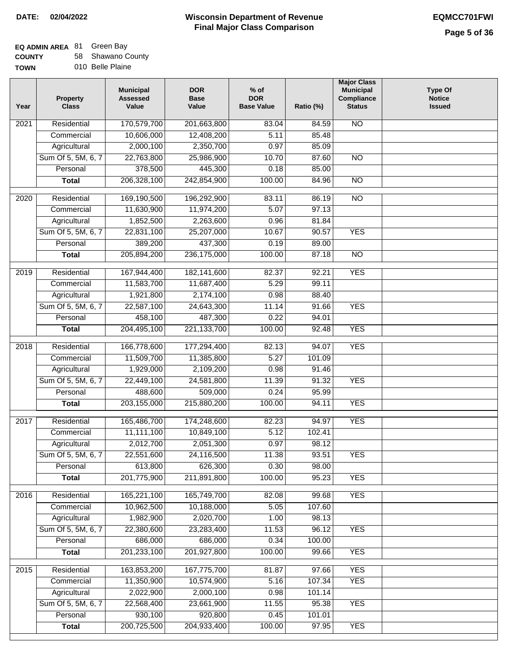### **Wisconsin Department of Revenue Final Major Class Comparison DATE: 02/04/2022 EQMCC701FWI**

٦

## **EQ ADMIN AREA** 81 Green Bay

**COUNTY TOWN** 58 Shawano County

| N |  | 010 Belle Plaine |
|---|--|------------------|
|   |  |                  |

| 170,579,700<br>201,663,800<br>Residential<br>83.04<br>84.59<br><b>NO</b><br>2021<br>10,606,000<br>12,408,200<br>5.11<br>85.48<br>Commercial<br>2,000,100<br>2,350,700<br>0.97<br>85.09<br>Agricultural<br>Sum Of 5, 5M, 6, 7<br>22,763,800<br>25,986,900<br>10.70<br>87.60<br>$\overline{NO}$<br>378,500<br>445,300<br>Personal<br>0.18<br>85.00<br>206,328,100<br>242,854,900<br>100.00<br>84.96<br>$\overline{NO}$<br><b>Total</b><br>$\overline{20}20$<br>Residential<br>169,190,500<br>83.11<br>86.19<br>$\overline{NO}$<br>196,292,900<br>11,630,900<br>5.07<br>97.13<br>Commercial<br>11,974,200<br>1,852,500<br>Agricultural<br>2,263,600<br>0.96<br>81.84<br>Sum Of 5, 5M, 6, 7<br>22,831,100<br>25,207,000<br>10.67<br>90.57<br><b>YES</b><br>389,200<br>Personal<br>437,300<br>0.19<br>89.00<br>205,894,200<br>236,175,000<br><b>Total</b><br>100.00<br>87.18<br><b>NO</b><br>182,141,600<br><b>YES</b><br>$\frac{1}{2019}$<br>Residential<br>167,944,400<br>92.21<br>82.37<br>11,583,700<br>5.29<br>Commercial<br>11,687,400<br>99.11<br>1,921,800<br>2,174,100<br>Agricultural<br>0.98<br>88.40<br><b>YES</b><br>Sum Of 5, 5M, 6, 7<br>22,587,100<br>24,643,300<br>11.14<br>91.66<br>458,100<br>487,300<br>0.22<br>Personal<br>94.01<br>204,495,100<br><b>YES</b><br>221,133,700<br>100.00<br>92.48<br><b>Total</b><br>166,778,600<br><b>YES</b><br>2018<br>Residential<br>177,294,400<br>82.13<br>94.07<br>5.27<br>Commercial<br>11,509,700<br>11,385,800<br>101.09<br>1,929,000<br>2,109,200<br>0.98<br>91.46<br>Agricultural<br>Sum Of 5, 5M, 6, 7<br>22,449,100<br>24,581,800<br>11.39<br>91.32<br><b>YES</b><br>488,600<br>0.24<br>Personal<br>509,000<br>95.99<br>203,155,000<br><b>YES</b><br>215,880,200<br>100.00<br>94.11<br><b>Total</b><br><b>YES</b><br>Residential<br>165,486,700<br>174,248,600<br>82.23<br>2017<br>94.97<br>11,111,100<br>10,849,100<br>5.12<br>102.41<br>Commercial<br>2,012,700<br>0.97<br>2,051,300<br>98.12<br>Agricultural<br>Sum Of 5, 5M, 6, 7<br>22,551,600<br>24,116,500<br>11.38<br>93.51<br><b>YES</b><br>613,800<br>Personal<br>626,300<br>0.30<br>98.00<br>201,775,900<br>211,891,800<br>100.00<br>95.23<br><b>YES</b><br><b>Total</b><br><b>YES</b><br>2016<br>Residential<br>165,221,100<br>165,749,700<br>82.08<br>99.68<br>10,962,500<br>107.60<br>Commercial<br>10,188,000<br>5.05<br>1,982,900<br>2,020,700<br>1.00<br>98.13<br>Agricultural<br>Sum Of 5, 5M, 6, 7<br>22,380,600<br>23,283,400<br>11.53<br>96.12<br><b>YES</b><br>686,000<br>686,000<br>0.34<br>Personal<br>100.00<br>201,233,100<br>201,927,800<br><b>YES</b><br>100.00<br>99.66<br><b>Total</b><br><b>YES</b><br>163,853,200<br>167,775,700<br>2015<br>Residential<br>81.87<br>97.66<br>11,350,900<br>10,574,900<br>107.34<br><b>YES</b><br>Commercial<br>5.16<br>2,022,900<br>2,000,100<br>0.98<br>101.14<br>Agricultural<br>Sum Of 5, 5M, 6, 7<br>22,568,400<br>23,661,900<br>95.38<br><b>YES</b><br>11.55<br>930,100<br>920,800<br>0.45<br>101.01<br>Personal | Year | <b>Property</b><br><b>Class</b> | <b>Municipal</b><br><b>Assessed</b><br>Value | <b>DOR</b><br><b>Base</b><br>Value | $%$ of<br><b>DOR</b><br><b>Base Value</b> | Ratio (%) | <b>Major Class</b><br><b>Municipal</b><br>Compliance<br><b>Status</b> | <b>Type Of</b><br><b>Notice</b><br><b>Issued</b> |
|---------------------------------------------------------------------------------------------------------------------------------------------------------------------------------------------------------------------------------------------------------------------------------------------------------------------------------------------------------------------------------------------------------------------------------------------------------------------------------------------------------------------------------------------------------------------------------------------------------------------------------------------------------------------------------------------------------------------------------------------------------------------------------------------------------------------------------------------------------------------------------------------------------------------------------------------------------------------------------------------------------------------------------------------------------------------------------------------------------------------------------------------------------------------------------------------------------------------------------------------------------------------------------------------------------------------------------------------------------------------------------------------------------------------------------------------------------------------------------------------------------------------------------------------------------------------------------------------------------------------------------------------------------------------------------------------------------------------------------------------------------------------------------------------------------------------------------------------------------------------------------------------------------------------------------------------------------------------------------------------------------------------------------------------------------------------------------------------------------------------------------------------------------------------------------------------------------------------------------------------------------------------------------------------------------------------------------------------------------------------------------------------------------------------------------------------------------------------------------------------------------------------------------------------------------------------------------------------------------------------------------------------------------------------------------------------------------------------------------------------------------------------------------------------------------------------------------------------------------------------------------------------------------------------------------------------------------------------------------------------------|------|---------------------------------|----------------------------------------------|------------------------------------|-------------------------------------------|-----------|-----------------------------------------------------------------------|--------------------------------------------------|
|                                                                                                                                                                                                                                                                                                                                                                                                                                                                                                                                                                                                                                                                                                                                                                                                                                                                                                                                                                                                                                                                                                                                                                                                                                                                                                                                                                                                                                                                                                                                                                                                                                                                                                                                                                                                                                                                                                                                                                                                                                                                                                                                                                                                                                                                                                                                                                                                                                                                                                                                                                                                                                                                                                                                                                                                                                                                                                                                                                                                   |      |                                 |                                              |                                    |                                           |           |                                                                       |                                                  |
|                                                                                                                                                                                                                                                                                                                                                                                                                                                                                                                                                                                                                                                                                                                                                                                                                                                                                                                                                                                                                                                                                                                                                                                                                                                                                                                                                                                                                                                                                                                                                                                                                                                                                                                                                                                                                                                                                                                                                                                                                                                                                                                                                                                                                                                                                                                                                                                                                                                                                                                                                                                                                                                                                                                                                                                                                                                                                                                                                                                                   |      |                                 |                                              |                                    |                                           |           |                                                                       |                                                  |
|                                                                                                                                                                                                                                                                                                                                                                                                                                                                                                                                                                                                                                                                                                                                                                                                                                                                                                                                                                                                                                                                                                                                                                                                                                                                                                                                                                                                                                                                                                                                                                                                                                                                                                                                                                                                                                                                                                                                                                                                                                                                                                                                                                                                                                                                                                                                                                                                                                                                                                                                                                                                                                                                                                                                                                                                                                                                                                                                                                                                   |      |                                 |                                              |                                    |                                           |           |                                                                       |                                                  |
|                                                                                                                                                                                                                                                                                                                                                                                                                                                                                                                                                                                                                                                                                                                                                                                                                                                                                                                                                                                                                                                                                                                                                                                                                                                                                                                                                                                                                                                                                                                                                                                                                                                                                                                                                                                                                                                                                                                                                                                                                                                                                                                                                                                                                                                                                                                                                                                                                                                                                                                                                                                                                                                                                                                                                                                                                                                                                                                                                                                                   |      |                                 |                                              |                                    |                                           |           |                                                                       |                                                  |
|                                                                                                                                                                                                                                                                                                                                                                                                                                                                                                                                                                                                                                                                                                                                                                                                                                                                                                                                                                                                                                                                                                                                                                                                                                                                                                                                                                                                                                                                                                                                                                                                                                                                                                                                                                                                                                                                                                                                                                                                                                                                                                                                                                                                                                                                                                                                                                                                                                                                                                                                                                                                                                                                                                                                                                                                                                                                                                                                                                                                   |      |                                 |                                              |                                    |                                           |           |                                                                       |                                                  |
|                                                                                                                                                                                                                                                                                                                                                                                                                                                                                                                                                                                                                                                                                                                                                                                                                                                                                                                                                                                                                                                                                                                                                                                                                                                                                                                                                                                                                                                                                                                                                                                                                                                                                                                                                                                                                                                                                                                                                                                                                                                                                                                                                                                                                                                                                                                                                                                                                                                                                                                                                                                                                                                                                                                                                                                                                                                                                                                                                                                                   |      |                                 |                                              |                                    |                                           |           |                                                                       |                                                  |
|                                                                                                                                                                                                                                                                                                                                                                                                                                                                                                                                                                                                                                                                                                                                                                                                                                                                                                                                                                                                                                                                                                                                                                                                                                                                                                                                                                                                                                                                                                                                                                                                                                                                                                                                                                                                                                                                                                                                                                                                                                                                                                                                                                                                                                                                                                                                                                                                                                                                                                                                                                                                                                                                                                                                                                                                                                                                                                                                                                                                   |      |                                 |                                              |                                    |                                           |           |                                                                       |                                                  |
|                                                                                                                                                                                                                                                                                                                                                                                                                                                                                                                                                                                                                                                                                                                                                                                                                                                                                                                                                                                                                                                                                                                                                                                                                                                                                                                                                                                                                                                                                                                                                                                                                                                                                                                                                                                                                                                                                                                                                                                                                                                                                                                                                                                                                                                                                                                                                                                                                                                                                                                                                                                                                                                                                                                                                                                                                                                                                                                                                                                                   |      |                                 |                                              |                                    |                                           |           |                                                                       |                                                  |
|                                                                                                                                                                                                                                                                                                                                                                                                                                                                                                                                                                                                                                                                                                                                                                                                                                                                                                                                                                                                                                                                                                                                                                                                                                                                                                                                                                                                                                                                                                                                                                                                                                                                                                                                                                                                                                                                                                                                                                                                                                                                                                                                                                                                                                                                                                                                                                                                                                                                                                                                                                                                                                                                                                                                                                                                                                                                                                                                                                                                   |      |                                 |                                              |                                    |                                           |           |                                                                       |                                                  |
|                                                                                                                                                                                                                                                                                                                                                                                                                                                                                                                                                                                                                                                                                                                                                                                                                                                                                                                                                                                                                                                                                                                                                                                                                                                                                                                                                                                                                                                                                                                                                                                                                                                                                                                                                                                                                                                                                                                                                                                                                                                                                                                                                                                                                                                                                                                                                                                                                                                                                                                                                                                                                                                                                                                                                                                                                                                                                                                                                                                                   |      |                                 |                                              |                                    |                                           |           |                                                                       |                                                  |
|                                                                                                                                                                                                                                                                                                                                                                                                                                                                                                                                                                                                                                                                                                                                                                                                                                                                                                                                                                                                                                                                                                                                                                                                                                                                                                                                                                                                                                                                                                                                                                                                                                                                                                                                                                                                                                                                                                                                                                                                                                                                                                                                                                                                                                                                                                                                                                                                                                                                                                                                                                                                                                                                                                                                                                                                                                                                                                                                                                                                   |      |                                 |                                              |                                    |                                           |           |                                                                       |                                                  |
|                                                                                                                                                                                                                                                                                                                                                                                                                                                                                                                                                                                                                                                                                                                                                                                                                                                                                                                                                                                                                                                                                                                                                                                                                                                                                                                                                                                                                                                                                                                                                                                                                                                                                                                                                                                                                                                                                                                                                                                                                                                                                                                                                                                                                                                                                                                                                                                                                                                                                                                                                                                                                                                                                                                                                                                                                                                                                                                                                                                                   |      |                                 |                                              |                                    |                                           |           |                                                                       |                                                  |
|                                                                                                                                                                                                                                                                                                                                                                                                                                                                                                                                                                                                                                                                                                                                                                                                                                                                                                                                                                                                                                                                                                                                                                                                                                                                                                                                                                                                                                                                                                                                                                                                                                                                                                                                                                                                                                                                                                                                                                                                                                                                                                                                                                                                                                                                                                                                                                                                                                                                                                                                                                                                                                                                                                                                                                                                                                                                                                                                                                                                   |      |                                 |                                              |                                    |                                           |           |                                                                       |                                                  |
|                                                                                                                                                                                                                                                                                                                                                                                                                                                                                                                                                                                                                                                                                                                                                                                                                                                                                                                                                                                                                                                                                                                                                                                                                                                                                                                                                                                                                                                                                                                                                                                                                                                                                                                                                                                                                                                                                                                                                                                                                                                                                                                                                                                                                                                                                                                                                                                                                                                                                                                                                                                                                                                                                                                                                                                                                                                                                                                                                                                                   |      |                                 |                                              |                                    |                                           |           |                                                                       |                                                  |
|                                                                                                                                                                                                                                                                                                                                                                                                                                                                                                                                                                                                                                                                                                                                                                                                                                                                                                                                                                                                                                                                                                                                                                                                                                                                                                                                                                                                                                                                                                                                                                                                                                                                                                                                                                                                                                                                                                                                                                                                                                                                                                                                                                                                                                                                                                                                                                                                                                                                                                                                                                                                                                                                                                                                                                                                                                                                                                                                                                                                   |      |                                 |                                              |                                    |                                           |           |                                                                       |                                                  |
|                                                                                                                                                                                                                                                                                                                                                                                                                                                                                                                                                                                                                                                                                                                                                                                                                                                                                                                                                                                                                                                                                                                                                                                                                                                                                                                                                                                                                                                                                                                                                                                                                                                                                                                                                                                                                                                                                                                                                                                                                                                                                                                                                                                                                                                                                                                                                                                                                                                                                                                                                                                                                                                                                                                                                                                                                                                                                                                                                                                                   |      |                                 |                                              |                                    |                                           |           |                                                                       |                                                  |
|                                                                                                                                                                                                                                                                                                                                                                                                                                                                                                                                                                                                                                                                                                                                                                                                                                                                                                                                                                                                                                                                                                                                                                                                                                                                                                                                                                                                                                                                                                                                                                                                                                                                                                                                                                                                                                                                                                                                                                                                                                                                                                                                                                                                                                                                                                                                                                                                                                                                                                                                                                                                                                                                                                                                                                                                                                                                                                                                                                                                   |      |                                 |                                              |                                    |                                           |           |                                                                       |                                                  |
|                                                                                                                                                                                                                                                                                                                                                                                                                                                                                                                                                                                                                                                                                                                                                                                                                                                                                                                                                                                                                                                                                                                                                                                                                                                                                                                                                                                                                                                                                                                                                                                                                                                                                                                                                                                                                                                                                                                                                                                                                                                                                                                                                                                                                                                                                                                                                                                                                                                                                                                                                                                                                                                                                                                                                                                                                                                                                                                                                                                                   |      |                                 |                                              |                                    |                                           |           |                                                                       |                                                  |
|                                                                                                                                                                                                                                                                                                                                                                                                                                                                                                                                                                                                                                                                                                                                                                                                                                                                                                                                                                                                                                                                                                                                                                                                                                                                                                                                                                                                                                                                                                                                                                                                                                                                                                                                                                                                                                                                                                                                                                                                                                                                                                                                                                                                                                                                                                                                                                                                                                                                                                                                                                                                                                                                                                                                                                                                                                                                                                                                                                                                   |      |                                 |                                              |                                    |                                           |           |                                                                       |                                                  |
|                                                                                                                                                                                                                                                                                                                                                                                                                                                                                                                                                                                                                                                                                                                                                                                                                                                                                                                                                                                                                                                                                                                                                                                                                                                                                                                                                                                                                                                                                                                                                                                                                                                                                                                                                                                                                                                                                                                                                                                                                                                                                                                                                                                                                                                                                                                                                                                                                                                                                                                                                                                                                                                                                                                                                                                                                                                                                                                                                                                                   |      |                                 |                                              |                                    |                                           |           |                                                                       |                                                  |
|                                                                                                                                                                                                                                                                                                                                                                                                                                                                                                                                                                                                                                                                                                                                                                                                                                                                                                                                                                                                                                                                                                                                                                                                                                                                                                                                                                                                                                                                                                                                                                                                                                                                                                                                                                                                                                                                                                                                                                                                                                                                                                                                                                                                                                                                                                                                                                                                                                                                                                                                                                                                                                                                                                                                                                                                                                                                                                                                                                                                   |      |                                 |                                              |                                    |                                           |           |                                                                       |                                                  |
|                                                                                                                                                                                                                                                                                                                                                                                                                                                                                                                                                                                                                                                                                                                                                                                                                                                                                                                                                                                                                                                                                                                                                                                                                                                                                                                                                                                                                                                                                                                                                                                                                                                                                                                                                                                                                                                                                                                                                                                                                                                                                                                                                                                                                                                                                                                                                                                                                                                                                                                                                                                                                                                                                                                                                                                                                                                                                                                                                                                                   |      |                                 |                                              |                                    |                                           |           |                                                                       |                                                  |
|                                                                                                                                                                                                                                                                                                                                                                                                                                                                                                                                                                                                                                                                                                                                                                                                                                                                                                                                                                                                                                                                                                                                                                                                                                                                                                                                                                                                                                                                                                                                                                                                                                                                                                                                                                                                                                                                                                                                                                                                                                                                                                                                                                                                                                                                                                                                                                                                                                                                                                                                                                                                                                                                                                                                                                                                                                                                                                                                                                                                   |      |                                 |                                              |                                    |                                           |           |                                                                       |                                                  |
|                                                                                                                                                                                                                                                                                                                                                                                                                                                                                                                                                                                                                                                                                                                                                                                                                                                                                                                                                                                                                                                                                                                                                                                                                                                                                                                                                                                                                                                                                                                                                                                                                                                                                                                                                                                                                                                                                                                                                                                                                                                                                                                                                                                                                                                                                                                                                                                                                                                                                                                                                                                                                                                                                                                                                                                                                                                                                                                                                                                                   |      |                                 |                                              |                                    |                                           |           |                                                                       |                                                  |
|                                                                                                                                                                                                                                                                                                                                                                                                                                                                                                                                                                                                                                                                                                                                                                                                                                                                                                                                                                                                                                                                                                                                                                                                                                                                                                                                                                                                                                                                                                                                                                                                                                                                                                                                                                                                                                                                                                                                                                                                                                                                                                                                                                                                                                                                                                                                                                                                                                                                                                                                                                                                                                                                                                                                                                                                                                                                                                                                                                                                   |      |                                 |                                              |                                    |                                           |           |                                                                       |                                                  |
|                                                                                                                                                                                                                                                                                                                                                                                                                                                                                                                                                                                                                                                                                                                                                                                                                                                                                                                                                                                                                                                                                                                                                                                                                                                                                                                                                                                                                                                                                                                                                                                                                                                                                                                                                                                                                                                                                                                                                                                                                                                                                                                                                                                                                                                                                                                                                                                                                                                                                                                                                                                                                                                                                                                                                                                                                                                                                                                                                                                                   |      |                                 |                                              |                                    |                                           |           |                                                                       |                                                  |
|                                                                                                                                                                                                                                                                                                                                                                                                                                                                                                                                                                                                                                                                                                                                                                                                                                                                                                                                                                                                                                                                                                                                                                                                                                                                                                                                                                                                                                                                                                                                                                                                                                                                                                                                                                                                                                                                                                                                                                                                                                                                                                                                                                                                                                                                                                                                                                                                                                                                                                                                                                                                                                                                                                                                                                                                                                                                                                                                                                                                   |      |                                 |                                              |                                    |                                           |           |                                                                       |                                                  |
|                                                                                                                                                                                                                                                                                                                                                                                                                                                                                                                                                                                                                                                                                                                                                                                                                                                                                                                                                                                                                                                                                                                                                                                                                                                                                                                                                                                                                                                                                                                                                                                                                                                                                                                                                                                                                                                                                                                                                                                                                                                                                                                                                                                                                                                                                                                                                                                                                                                                                                                                                                                                                                                                                                                                                                                                                                                                                                                                                                                                   |      |                                 |                                              |                                    |                                           |           |                                                                       |                                                  |
|                                                                                                                                                                                                                                                                                                                                                                                                                                                                                                                                                                                                                                                                                                                                                                                                                                                                                                                                                                                                                                                                                                                                                                                                                                                                                                                                                                                                                                                                                                                                                                                                                                                                                                                                                                                                                                                                                                                                                                                                                                                                                                                                                                                                                                                                                                                                                                                                                                                                                                                                                                                                                                                                                                                                                                                                                                                                                                                                                                                                   |      |                                 |                                              |                                    |                                           |           |                                                                       |                                                  |
|                                                                                                                                                                                                                                                                                                                                                                                                                                                                                                                                                                                                                                                                                                                                                                                                                                                                                                                                                                                                                                                                                                                                                                                                                                                                                                                                                                                                                                                                                                                                                                                                                                                                                                                                                                                                                                                                                                                                                                                                                                                                                                                                                                                                                                                                                                                                                                                                                                                                                                                                                                                                                                                                                                                                                                                                                                                                                                                                                                                                   |      |                                 |                                              |                                    |                                           |           |                                                                       |                                                  |
|                                                                                                                                                                                                                                                                                                                                                                                                                                                                                                                                                                                                                                                                                                                                                                                                                                                                                                                                                                                                                                                                                                                                                                                                                                                                                                                                                                                                                                                                                                                                                                                                                                                                                                                                                                                                                                                                                                                                                                                                                                                                                                                                                                                                                                                                                                                                                                                                                                                                                                                                                                                                                                                                                                                                                                                                                                                                                                                                                                                                   |      |                                 |                                              |                                    |                                           |           |                                                                       |                                                  |
|                                                                                                                                                                                                                                                                                                                                                                                                                                                                                                                                                                                                                                                                                                                                                                                                                                                                                                                                                                                                                                                                                                                                                                                                                                                                                                                                                                                                                                                                                                                                                                                                                                                                                                                                                                                                                                                                                                                                                                                                                                                                                                                                                                                                                                                                                                                                                                                                                                                                                                                                                                                                                                                                                                                                                                                                                                                                                                                                                                                                   |      |                                 |                                              |                                    |                                           |           |                                                                       |                                                  |
|                                                                                                                                                                                                                                                                                                                                                                                                                                                                                                                                                                                                                                                                                                                                                                                                                                                                                                                                                                                                                                                                                                                                                                                                                                                                                                                                                                                                                                                                                                                                                                                                                                                                                                                                                                                                                                                                                                                                                                                                                                                                                                                                                                                                                                                                                                                                                                                                                                                                                                                                                                                                                                                                                                                                                                                                                                                                                                                                                                                                   |      |                                 |                                              |                                    |                                           |           |                                                                       |                                                  |
|                                                                                                                                                                                                                                                                                                                                                                                                                                                                                                                                                                                                                                                                                                                                                                                                                                                                                                                                                                                                                                                                                                                                                                                                                                                                                                                                                                                                                                                                                                                                                                                                                                                                                                                                                                                                                                                                                                                                                                                                                                                                                                                                                                                                                                                                                                                                                                                                                                                                                                                                                                                                                                                                                                                                                                                                                                                                                                                                                                                                   |      |                                 |                                              |                                    |                                           |           |                                                                       |                                                  |
|                                                                                                                                                                                                                                                                                                                                                                                                                                                                                                                                                                                                                                                                                                                                                                                                                                                                                                                                                                                                                                                                                                                                                                                                                                                                                                                                                                                                                                                                                                                                                                                                                                                                                                                                                                                                                                                                                                                                                                                                                                                                                                                                                                                                                                                                                                                                                                                                                                                                                                                                                                                                                                                                                                                                                                                                                                                                                                                                                                                                   |      |                                 |                                              |                                    |                                           |           |                                                                       |                                                  |
|                                                                                                                                                                                                                                                                                                                                                                                                                                                                                                                                                                                                                                                                                                                                                                                                                                                                                                                                                                                                                                                                                                                                                                                                                                                                                                                                                                                                                                                                                                                                                                                                                                                                                                                                                                                                                                                                                                                                                                                                                                                                                                                                                                                                                                                                                                                                                                                                                                                                                                                                                                                                                                                                                                                                                                                                                                                                                                                                                                                                   |      |                                 |                                              |                                    |                                           |           |                                                                       |                                                  |
|                                                                                                                                                                                                                                                                                                                                                                                                                                                                                                                                                                                                                                                                                                                                                                                                                                                                                                                                                                                                                                                                                                                                                                                                                                                                                                                                                                                                                                                                                                                                                                                                                                                                                                                                                                                                                                                                                                                                                                                                                                                                                                                                                                                                                                                                                                                                                                                                                                                                                                                                                                                                                                                                                                                                                                                                                                                                                                                                                                                                   |      |                                 |                                              |                                    |                                           |           |                                                                       |                                                  |
|                                                                                                                                                                                                                                                                                                                                                                                                                                                                                                                                                                                                                                                                                                                                                                                                                                                                                                                                                                                                                                                                                                                                                                                                                                                                                                                                                                                                                                                                                                                                                                                                                                                                                                                                                                                                                                                                                                                                                                                                                                                                                                                                                                                                                                                                                                                                                                                                                                                                                                                                                                                                                                                                                                                                                                                                                                                                                                                                                                                                   |      |                                 |                                              |                                    |                                           |           |                                                                       |                                                  |
|                                                                                                                                                                                                                                                                                                                                                                                                                                                                                                                                                                                                                                                                                                                                                                                                                                                                                                                                                                                                                                                                                                                                                                                                                                                                                                                                                                                                                                                                                                                                                                                                                                                                                                                                                                                                                                                                                                                                                                                                                                                                                                                                                                                                                                                                                                                                                                                                                                                                                                                                                                                                                                                                                                                                                                                                                                                                                                                                                                                                   |      |                                 |                                              |                                    |                                           |           |                                                                       |                                                  |
|                                                                                                                                                                                                                                                                                                                                                                                                                                                                                                                                                                                                                                                                                                                                                                                                                                                                                                                                                                                                                                                                                                                                                                                                                                                                                                                                                                                                                                                                                                                                                                                                                                                                                                                                                                                                                                                                                                                                                                                                                                                                                                                                                                                                                                                                                                                                                                                                                                                                                                                                                                                                                                                                                                                                                                                                                                                                                                                                                                                                   |      |                                 |                                              |                                    |                                           |           |                                                                       |                                                  |
|                                                                                                                                                                                                                                                                                                                                                                                                                                                                                                                                                                                                                                                                                                                                                                                                                                                                                                                                                                                                                                                                                                                                                                                                                                                                                                                                                                                                                                                                                                                                                                                                                                                                                                                                                                                                                                                                                                                                                                                                                                                                                                                                                                                                                                                                                                                                                                                                                                                                                                                                                                                                                                                                                                                                                                                                                                                                                                                                                                                                   |      |                                 |                                              |                                    |                                           |           |                                                                       |                                                  |
|                                                                                                                                                                                                                                                                                                                                                                                                                                                                                                                                                                                                                                                                                                                                                                                                                                                                                                                                                                                                                                                                                                                                                                                                                                                                                                                                                                                                                                                                                                                                                                                                                                                                                                                                                                                                                                                                                                                                                                                                                                                                                                                                                                                                                                                                                                                                                                                                                                                                                                                                                                                                                                                                                                                                                                                                                                                                                                                                                                                                   |      |                                 |                                              |                                    |                                           |           |                                                                       |                                                  |
|                                                                                                                                                                                                                                                                                                                                                                                                                                                                                                                                                                                                                                                                                                                                                                                                                                                                                                                                                                                                                                                                                                                                                                                                                                                                                                                                                                                                                                                                                                                                                                                                                                                                                                                                                                                                                                                                                                                                                                                                                                                                                                                                                                                                                                                                                                                                                                                                                                                                                                                                                                                                                                                                                                                                                                                                                                                                                                                                                                                                   |      |                                 |                                              |                                    |                                           |           |                                                                       |                                                  |
|                                                                                                                                                                                                                                                                                                                                                                                                                                                                                                                                                                                                                                                                                                                                                                                                                                                                                                                                                                                                                                                                                                                                                                                                                                                                                                                                                                                                                                                                                                                                                                                                                                                                                                                                                                                                                                                                                                                                                                                                                                                                                                                                                                                                                                                                                                                                                                                                                                                                                                                                                                                                                                                                                                                                                                                                                                                                                                                                                                                                   |      | <b>Total</b>                    | 200,725,500                                  | 204,933,400                        | 100.00                                    | 97.95     | <b>YES</b>                                                            |                                                  |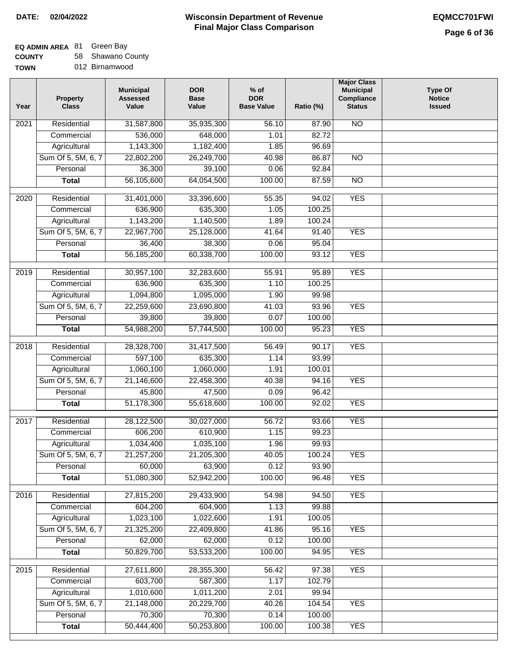## **EQ ADMIN AREA** 81 Green Bay

**COUNTY** 58 Shawano County

| Year             | <b>Property</b><br><b>Class</b> | <b>Municipal</b><br><b>Assessed</b><br>Value | <b>DOR</b><br><b>Base</b><br>Value | $%$ of<br><b>DOR</b><br><b>Base Value</b> | Ratio (%) | <b>Major Class</b><br><b>Municipal</b><br>Compliance<br><b>Status</b> | <b>Type Of</b><br><b>Notice</b><br><b>Issued</b> |
|------------------|---------------------------------|----------------------------------------------|------------------------------------|-------------------------------------------|-----------|-----------------------------------------------------------------------|--------------------------------------------------|
| 2021             | Residential                     | 31,587,800                                   | 35,935,300                         | 56.10                                     | 87.90     | <b>NO</b>                                                             |                                                  |
|                  | Commercial                      | 536,000                                      | 648,000                            | 1.01                                      | 82.72     |                                                                       |                                                  |
|                  | Agricultural                    | 1,143,300                                    | 1,182,400                          | 1.85                                      | 96.69     |                                                                       |                                                  |
|                  | Sum Of 5, 5M, 6, 7              | 22,802,200                                   | 26,249,700                         | 40.98                                     | 86.87     | $\overline{NO}$                                                       |                                                  |
|                  | Personal                        | 36,300                                       | 39,100                             | 0.06                                      | 92.84     |                                                                       |                                                  |
|                  | <b>Total</b>                    | 56,105,600                                   | 64,054,500                         | 100.00                                    | 87.59     | $\overline{NO}$                                                       |                                                  |
| $\frac{1}{2020}$ | Residential                     | 31,401,000                                   | 33,396,600                         | 55.35                                     | 94.02     | <b>YES</b>                                                            |                                                  |
|                  | Commercial                      | 636,900                                      | 635,300                            | 1.05                                      | 100.25    |                                                                       |                                                  |
|                  | Agricultural                    | 1,143,200                                    | 1,140,500                          | 1.89                                      | 100.24    |                                                                       |                                                  |
|                  | Sum Of 5, 5M, 6, 7              | 22,967,700                                   | 25,128,000                         | 41.64                                     | 91.40     | <b>YES</b>                                                            |                                                  |
|                  | Personal                        | 36,400                                       | 38,300                             | 0.06                                      | 95.04     |                                                                       |                                                  |
|                  | <b>Total</b>                    | 56,185,200                                   | 60,338,700                         | 100.00                                    | 93.12     | <b>YES</b>                                                            |                                                  |
|                  |                                 |                                              |                                    |                                           |           |                                                                       |                                                  |
| $\frac{1}{2019}$ | Residential                     | 30,957,100                                   | 32,283,600                         | 55.91                                     | 95.89     | <b>YES</b>                                                            |                                                  |
|                  | Commercial                      | 636,900                                      | 635,300                            | 1.10                                      | 100.25    |                                                                       |                                                  |
|                  | Agricultural                    | 1,094,800                                    | 1,095,000                          | 1.90                                      | 99.98     |                                                                       |                                                  |
|                  | Sum Of 5, 5M, 6, 7              | 22,259,600                                   | 23,690,800                         | 41.03                                     | 93.96     | <b>YES</b>                                                            |                                                  |
|                  | Personal                        | 39,800                                       | 39,800                             | 0.07                                      | 100.00    |                                                                       |                                                  |
|                  | <b>Total</b>                    | 54,988,200                                   | 57,744,500                         | 100.00                                    | 95.23     | <b>YES</b>                                                            |                                                  |
| 2018             | Residential                     | 28,328,700                                   | 31,417,500                         | 56.49                                     | 90.17     | <b>YES</b>                                                            |                                                  |
|                  | Commercial                      | 597,100                                      | 635,300                            | 1.14                                      | 93.99     |                                                                       |                                                  |
|                  | Agricultural                    | 1,060,100                                    | 1,060,000                          | 1.91                                      | 100.01    |                                                                       |                                                  |
|                  | Sum Of 5, 5M, 6, 7              | 21,146,600                                   | 22,458,300                         | 40.38                                     | 94.16     | <b>YES</b>                                                            |                                                  |
|                  | Personal                        | 45,800                                       | 47,500                             | 0.09                                      | 96.42     |                                                                       |                                                  |
|                  | <b>Total</b>                    | 51,178,300                                   | 55,618,600                         | 100.00                                    | 92.02     | <b>YES</b>                                                            |                                                  |
| 2017             | Residential                     | 28,122,500                                   | 30,027,000                         | 56.72                                     | 93.66     | <b>YES</b>                                                            |                                                  |
|                  | Commercial                      | 606,200                                      | 610,900                            | 1.15                                      | 99.23     |                                                                       |                                                  |
|                  | Agricultural                    | 1,034,400                                    | 1,035,100                          | 1.96                                      | 99.93     |                                                                       |                                                  |
|                  | Sum Of 5, 5M, 6, 7              | 21,257,200                                   | 21,205,300                         | 40.05                                     | 100.24    | <b>YES</b>                                                            |                                                  |
|                  | Personal                        | 60,000                                       | 63,900                             | 0.12                                      | 93.90     |                                                                       |                                                  |
|                  | <b>Total</b>                    | 51,080,300                                   | 52,942,200                         | 100.00                                    | 96.48     | <b>YES</b>                                                            |                                                  |
| 2016             | Residential                     | 27,815,200                                   | 29,433,900                         | 54.98                                     | 94.50     | <b>YES</b>                                                            |                                                  |
|                  | Commercial                      | 604,200                                      | 604,900                            | 1.13                                      | 99.88     |                                                                       |                                                  |
|                  | Agricultural                    | 1,023,100                                    | 1,022,600                          | 1.91                                      | 100.05    |                                                                       |                                                  |
|                  | Sum Of 5, 5M, 6, 7              | 21,325,200                                   | 22,409,800                         | 41.86                                     | 95.16     | <b>YES</b>                                                            |                                                  |
|                  | Personal                        | 62,000                                       | 62,000                             | 0.12                                      | 100.00    |                                                                       |                                                  |
|                  | <b>Total</b>                    | 50,829,700                                   | 53,533,200                         | 100.00                                    | 94.95     | <b>YES</b>                                                            |                                                  |
|                  |                                 |                                              |                                    |                                           |           |                                                                       |                                                  |
| 2015             | Residential                     | 27,611,800                                   | 28,355,300                         | 56.42                                     | 97.38     | <b>YES</b>                                                            |                                                  |
|                  | Commercial                      | 603,700                                      | 587,300                            | 1.17                                      | 102.79    |                                                                       |                                                  |
|                  | Agricultural                    | 1,010,600                                    | 1,011,200                          | 2.01                                      | 99.94     |                                                                       |                                                  |
|                  | Sum Of 5, 5M, 6, 7              | 21,148,000                                   | 20,229,700                         | 40.26                                     | 104.54    | <b>YES</b>                                                            |                                                  |
|                  | Personal                        | 70,300                                       | 70,300                             | 0.14                                      | 100.00    |                                                                       |                                                  |
|                  | <b>Total</b>                    | 50,444,400                                   | 50,253,800                         | 100.00                                    | 100.38    | <b>YES</b>                                                            |                                                  |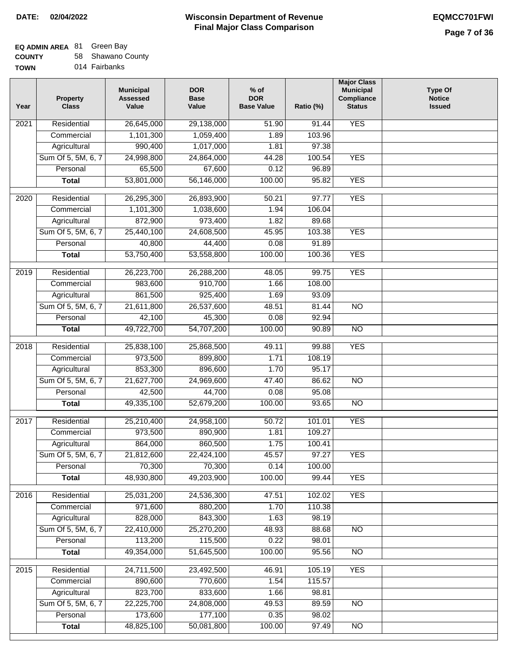## **EQ ADMIN AREA** 81 Green Bay

**COUNTY TOWN** 58 Shawano County

014 Fairbanks

| Year              | <b>Property</b><br><b>Class</b> | <b>Municipal</b><br><b>Assessed</b><br>Value | <b>DOR</b><br><b>Base</b><br>Value | $%$ of<br><b>DOR</b><br><b>Base Value</b> | Ratio (%) | <b>Major Class</b><br><b>Municipal</b><br>Compliance<br><b>Status</b> | <b>Type Of</b><br><b>Notice</b><br><b>Issued</b> |
|-------------------|---------------------------------|----------------------------------------------|------------------------------------|-------------------------------------------|-----------|-----------------------------------------------------------------------|--------------------------------------------------|
| $\overline{202}1$ | Residential                     | 26,645,000                                   | 29,138,000                         | 51.90                                     | 91.44     | <b>YES</b>                                                            |                                                  |
|                   | Commercial                      | 1,101,300                                    | 1,059,400                          | 1.89                                      | 103.96    |                                                                       |                                                  |
|                   | Agricultural                    | 990,400                                      | 1,017,000                          | 1.81                                      | 97.38     |                                                                       |                                                  |
|                   | Sum Of 5, 5M, 6, 7              | 24,998,800                                   | 24,864,000                         | 44.28                                     | 100.54    | <b>YES</b>                                                            |                                                  |
|                   | Personal                        | 65,500                                       | 67,600                             | 0.12                                      | 96.89     |                                                                       |                                                  |
|                   | <b>Total</b>                    | 53,801,000                                   | 56,146,000                         | 100.00                                    | 95.82     | <b>YES</b>                                                            |                                                  |
| $\overline{2020}$ | Residential                     | 26,295,300                                   | 26,893,900                         | 50.21                                     | 97.77     | <b>YES</b>                                                            |                                                  |
|                   | Commercial                      | 1,101,300                                    | 1,038,600                          | 1.94                                      | 106.04    |                                                                       |                                                  |
|                   | Agricultural                    | 872,900                                      | 973,400                            | 1.82                                      | 89.68     |                                                                       |                                                  |
|                   | Sum Of 5, 5M, 6, 7              | 25,440,100                                   | 24,608,500                         | 45.95                                     | 103.38    | <b>YES</b>                                                            |                                                  |
|                   | Personal                        | 40,800                                       | 44,400                             | 0.08                                      | 91.89     |                                                                       |                                                  |
|                   | <b>Total</b>                    | 53,750,400                                   | 53,558,800                         | 100.00                                    | 100.36    | <b>YES</b>                                                            |                                                  |
|                   |                                 |                                              |                                    |                                           |           |                                                                       |                                                  |
| 2019              | Residential                     | 26,223,700                                   | 26,288,200                         | 48.05                                     | 99.75     | <b>YES</b>                                                            |                                                  |
|                   | Commercial                      | 983,600                                      | 910,700                            | 1.66                                      | 108.00    |                                                                       |                                                  |
|                   | Agricultural                    | 861,500                                      | 925,400                            | 1.69                                      | 93.09     |                                                                       |                                                  |
|                   | Sum Of 5, 5M, 6, 7              | 21,611,800                                   | 26,537,600                         | 48.51                                     | 81.44     | $\overline{NO}$                                                       |                                                  |
|                   | Personal                        | 42,100                                       | 45,300                             | 0.08                                      | 92.94     |                                                                       |                                                  |
|                   | <b>Total</b>                    | 49,722,700                                   | 54,707,200                         | 100.00                                    | 90.89     | $\overline{NO}$                                                       |                                                  |
| 2018              | Residential                     | 25,838,100                                   | 25,868,500                         | 49.11                                     | 99.88     | <b>YES</b>                                                            |                                                  |
|                   | Commercial                      | 973,500                                      | 899,800                            | 1.71                                      | 108.19    |                                                                       |                                                  |
|                   | Agricultural                    | 853,300                                      | 896,600                            | 1.70                                      | 95.17     |                                                                       |                                                  |
|                   | Sum Of 5, 5M, 6, 7              | 21,627,700                                   | 24,969,600                         | 47.40                                     | 86.62     | $\overline{10}$                                                       |                                                  |
|                   | Personal                        | 42,500                                       | 44,700                             | 0.08                                      | 95.08     |                                                                       |                                                  |
|                   | <b>Total</b>                    | 49,335,100                                   | 52,679,200                         | 100.00                                    | 93.65     | <b>NO</b>                                                             |                                                  |
| $\overline{2017}$ | Residential                     | 25,210,400                                   | 24,958,100                         | 50.72                                     | 101.01    | <b>YES</b>                                                            |                                                  |
|                   | Commercial                      | 973,500                                      | 890,900                            | 1.81                                      | 109.27    |                                                                       |                                                  |
|                   | Agricultural                    | 864,000                                      | 860,500                            | 1.75                                      | 100.41    |                                                                       |                                                  |
|                   | Sum Of 5, 5M, 6, 7              | 21,812,600                                   | 22,424,100                         | 45.57                                     | 97.27     | <b>YES</b>                                                            |                                                  |
|                   | Personal                        | 70,300                                       | 70,300                             | 0.14                                      | 100.00    |                                                                       |                                                  |
|                   | <b>Total</b>                    | 48,930,800                                   | 49,203,900                         | 100.00                                    | 99.44     | <b>YES</b>                                                            |                                                  |
| 2016              | Residential                     | 25,031,200                                   | 24,536,300                         | 47.51                                     | 102.02    | <b>YES</b>                                                            |                                                  |
|                   | Commercial                      | 971,600                                      | 880,200                            | 1.70                                      | 110.38    |                                                                       |                                                  |
|                   | Agricultural                    | 828,000                                      | 843,300                            | 1.63                                      | 98.19     |                                                                       |                                                  |
|                   | Sum Of 5, 5M, 6, 7              | 22,410,000                                   | 25,270,200                         | 48.93                                     | 88.68     | $\overline{NO}$                                                       |                                                  |
|                   | Personal                        | 113,200                                      | 115,500                            | 0.22                                      | 98.01     |                                                                       |                                                  |
|                   | <b>Total</b>                    | 49,354,000                                   | 51,645,500                         | 100.00                                    | 95.56     | $\overline{NO}$                                                       |                                                  |
| 2015              | Residential                     | 24,711,500                                   | 23,492,500                         | 46.91                                     | 105.19    | <b>YES</b>                                                            |                                                  |
|                   | Commercial                      | 890,600                                      | 770,600                            | 1.54                                      | 115.57    |                                                                       |                                                  |
|                   | Agricultural                    | 823,700                                      | 833,600                            | 1.66                                      | 98.81     |                                                                       |                                                  |
|                   | Sum Of 5, 5M, 6, 7              | 22,225,700                                   | 24,808,000                         | 49.53                                     | 89.59     | <b>NO</b>                                                             |                                                  |
|                   | Personal                        | 173,600                                      | 177,100                            | 0.35                                      | 98.02     |                                                                       |                                                  |
|                   | <b>Total</b>                    | 48,825,100                                   | 50,081,800                         | 100.00                                    | 97.49     | <b>NO</b>                                                             |                                                  |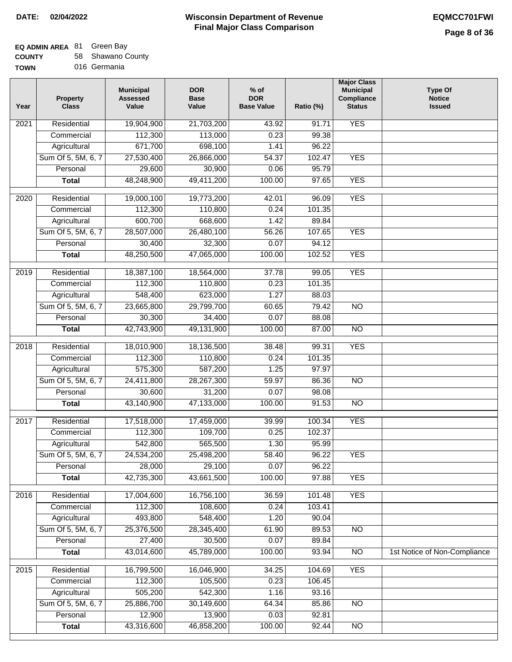## **EQ ADMIN AREA** 81 Green Bay

**COUNTY TOWN** 58 Shawano County

016 Germania

| Year | <b>Property</b><br><b>Class</b> | <b>Municipal</b><br><b>Assessed</b><br>Value | <b>DOR</b><br><b>Base</b><br>Value | $%$ of<br><b>DOR</b><br><b>Base Value</b> | Ratio (%) | <b>Major Class</b><br><b>Municipal</b><br>Compliance<br><b>Status</b> | <b>Type Of</b><br><b>Notice</b><br><b>Issued</b> |
|------|---------------------------------|----------------------------------------------|------------------------------------|-------------------------------------------|-----------|-----------------------------------------------------------------------|--------------------------------------------------|
| 2021 | Residential                     | 19,904,900                                   | 21,703,200                         | 43.92                                     | 91.71     | <b>YES</b>                                                            |                                                  |
|      | Commercial                      | 112,300                                      | 113,000                            | 0.23                                      | 99.38     |                                                                       |                                                  |
|      | Agricultural                    | 671,700                                      | 698,100                            | 1.41                                      | 96.22     |                                                                       |                                                  |
|      | Sum Of 5, 5M, 6, 7              | 27,530,400                                   | 26,866,000                         | 54.37                                     | 102.47    | <b>YES</b>                                                            |                                                  |
|      | Personal                        | 29,600                                       | 30,900                             | 0.06                                      | 95.79     |                                                                       |                                                  |
|      | <b>Total</b>                    | 48,248,900                                   | 49,411,200                         | 100.00                                    | 97.65     | <b>YES</b>                                                            |                                                  |
| 2020 | Residential                     | 19,000,100                                   | 19,773,200                         | 42.01                                     | 96.09     | <b>YES</b>                                                            |                                                  |
|      | Commercial                      | 112,300                                      | 110,800                            | 0.24                                      | 101.35    |                                                                       |                                                  |
|      | Agricultural                    | 600,700                                      | 668,600                            | 1.42                                      | 89.84     |                                                                       |                                                  |
|      | Sum Of 5, 5M, 6, 7              | 28,507,000                                   | 26,480,100                         | 56.26                                     | 107.65    | <b>YES</b>                                                            |                                                  |
|      | Personal                        | 30,400                                       | 32,300                             | 0.07                                      | 94.12     |                                                                       |                                                  |
|      | <b>Total</b>                    | 48,250,500                                   | 47,065,000                         | 100.00                                    | 102.52    | <b>YES</b>                                                            |                                                  |
| 2019 | Residential                     | 18,387,100                                   | 18,564,000                         | 37.78                                     | 99.05     | <b>YES</b>                                                            |                                                  |
|      | Commercial                      | 112,300                                      | 110,800                            | 0.23                                      | 101.35    |                                                                       |                                                  |
|      | Agricultural                    | 548,400                                      | 623,000                            | 1.27                                      | 88.03     |                                                                       |                                                  |
|      | Sum Of 5, 5M, 6, 7              | 23,665,800                                   | 29,799,700                         | 60.65                                     | 79.42     | $\overline{NO}$                                                       |                                                  |
|      | Personal                        | 30,300                                       | 34,400                             | 0.07                                      | 88.08     |                                                                       |                                                  |
|      | <b>Total</b>                    | 42,743,900                                   | 49,131,900                         | 100.00                                    | 87.00     | $\overline{NO}$                                                       |                                                  |
| 2018 | Residential                     | 18,010,900                                   | 18,136,500                         | 38.48                                     | 99.31     | <b>YES</b>                                                            |                                                  |
|      | Commercial                      | 112,300                                      | 110,800                            | 0.24                                      | 101.35    |                                                                       |                                                  |
|      | Agricultural                    | 575,300                                      | 587,200                            | 1.25                                      | 97.97     |                                                                       |                                                  |
|      | Sum Of 5, 5M, 6, 7              | 24,411,800                                   | 28,267,300                         | 59.97                                     | 86.36     | $\overline{NO}$                                                       |                                                  |
|      | Personal                        | 30,600                                       | 31,200                             | 0.07                                      | 98.08     |                                                                       |                                                  |
|      | <b>Total</b>                    | 43,140,900                                   | 47,133,000                         | 100.00                                    | 91.53     | <b>NO</b>                                                             |                                                  |
| 2017 | Residential                     | 17,518,000                                   | 17,459,000                         | 39.99                                     | 100.34    | <b>YES</b>                                                            |                                                  |
|      | Commercial                      | 112,300                                      | 109,700                            | 0.25                                      | 102.37    |                                                                       |                                                  |
|      | Agricultural                    | 542,800                                      | 565,500                            | 1.30                                      | 95.99     |                                                                       |                                                  |
|      | Sum Of 5, 5M, 6, 7              | 24,534,200                                   | 25,498,200                         | 58.40                                     | 96.22     | <b>YES</b>                                                            |                                                  |
|      | Personal                        | 28,000                                       | 29,100                             | 0.07                                      | 96.22     |                                                                       |                                                  |
|      | <b>Total</b>                    | 42,735,300                                   | 43,661,500                         | 100.00                                    | 97.88     | <b>YES</b>                                                            |                                                  |
| 2016 | Residential                     | 17,004,600                                   | 16,756,100                         | 36.59                                     | 101.48    | <b>YES</b>                                                            |                                                  |
|      | Commercial                      | 112,300                                      | 108,600                            | 0.24                                      | 103.41    |                                                                       |                                                  |
|      | Agricultural                    | 493,800                                      | 548,400                            | 1.20                                      | 90.04     |                                                                       |                                                  |
|      | Sum Of 5, 5M, 6, 7              | 25,376,500                                   | 28,345,400                         | 61.90                                     | 89.53     | $\overline{NO}$                                                       |                                                  |
|      | Personal                        | 27,400                                       | 30,500                             | 0.07                                      | 89.84     |                                                                       |                                                  |
|      | <b>Total</b>                    | 43,014,600                                   | 45,789,000                         | 100.00                                    | 93.94     | $\overline{NO}$                                                       | 1st Notice of Non-Compliance                     |
| 2015 | Residential                     | 16,799,500                                   | 16,046,900                         | 34.25                                     | 104.69    | <b>YES</b>                                                            |                                                  |
|      | Commercial                      | 112,300                                      | 105,500                            | 0.23                                      | 106.45    |                                                                       |                                                  |
|      | Agricultural                    | 505,200                                      | 542,300                            | 1.16                                      | 93.16     |                                                                       |                                                  |
|      | Sum Of 5, 5M, 6, 7              | 25,886,700                                   | 30,149,600                         | 64.34                                     | 85.86     | <b>NO</b>                                                             |                                                  |
|      | Personal                        | 12,900                                       | 13,900                             | 0.03                                      | 92.81     |                                                                       |                                                  |
|      | <b>Total</b>                    | 43,316,600                                   | 46,858,200                         | 100.00                                    | 92.44     | NO                                                                    |                                                  |
|      |                                 |                                              |                                    |                                           |           |                                                                       |                                                  |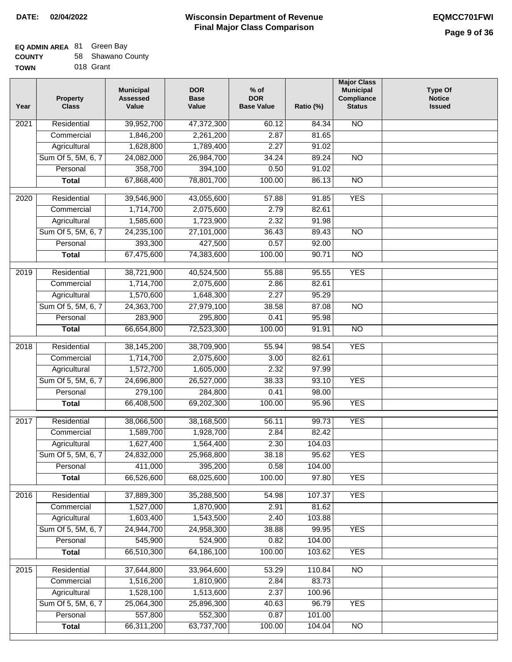# **EQ ADMIN AREA** 81 Green Bay

| <b>COUNTY</b> | 58 Shawano County |
|---------------|-------------------|
|               |                   |

**TOWN** 018 Grant

| Year | <b>Property</b><br><b>Class</b>    | <b>Municipal</b><br><b>Assessed</b><br>Value | <b>DOR</b><br><b>Base</b><br>Value | $%$ of<br><b>DOR</b><br><b>Base Value</b> | Ratio (%)       | <b>Major Class</b><br><b>Municipal</b><br>Compliance<br><b>Status</b> | <b>Type Of</b><br><b>Notice</b><br><b>Issued</b> |
|------|------------------------------------|----------------------------------------------|------------------------------------|-------------------------------------------|-----------------|-----------------------------------------------------------------------|--------------------------------------------------|
| 2021 | Residential                        | 39,952,700                                   | 47,372,300                         | 60.12                                     | 84.34           | <b>NO</b>                                                             |                                                  |
|      | Commercial                         | 1,846,200                                    | 2,261,200                          | 2.87                                      | 81.65           |                                                                       |                                                  |
|      | Agricultural                       | 1,628,800                                    | 1,789,400                          | 2.27                                      | 91.02           |                                                                       |                                                  |
|      | Sum Of 5, 5M, 6, 7                 | 24,082,000                                   | 26,984,700                         | 34.24                                     | 89.24           | $\overline{NO}$                                                       |                                                  |
|      | Personal                           | 358,700                                      | 394,100                            | 0.50                                      | 91.02           |                                                                       |                                                  |
|      | <b>Total</b>                       | 67,868,400                                   | 78,801,700                         | 100.00                                    | 86.13           | $\overline{NO}$                                                       |                                                  |
|      |                                    |                                              |                                    |                                           |                 |                                                                       |                                                  |
| 2020 | Residential                        | 39,546,900                                   | 43,055,600                         | 57.88                                     | 91.85           | <b>YES</b>                                                            |                                                  |
|      | Commercial                         | 1,714,700                                    | 2,075,600                          | 2.79                                      | 82.61           |                                                                       |                                                  |
|      | Agricultural                       | 1,585,600                                    | 1,723,900                          | 2.32                                      | 91.98           |                                                                       |                                                  |
|      | Sum Of 5, 5M, 6, 7<br>Personal     | 24,235,100<br>393,300                        | 27,101,000<br>427,500              | 36.43<br>0.57                             | 89.43<br>92.00  | <b>NO</b>                                                             |                                                  |
|      | <b>Total</b>                       | 67,475,600                                   | 74,383,600                         | 100.00                                    | 90.71           | $\overline{NO}$                                                       |                                                  |
|      |                                    |                                              |                                    |                                           |                 |                                                                       |                                                  |
| 2019 | Residential                        | 38,721,900                                   | 40,524,500                         | 55.88                                     | 95.55           | <b>YES</b>                                                            |                                                  |
|      | Commercial                         | 1,714,700                                    | 2,075,600                          | 2.86                                      | 82.61           |                                                                       |                                                  |
|      | Agricultural                       | 1,570,600                                    | 1,648,300                          | 2.27                                      | 95.29           |                                                                       |                                                  |
|      | Sum Of 5, 5M, 6, 7                 | 24,363,700                                   | 27,979,100                         | 38.58                                     | 87.08           | $\overline{N}$                                                        |                                                  |
|      | Personal                           | 283,900                                      | 295,800                            | 0.41                                      | 95.98           |                                                                       |                                                  |
|      | <b>Total</b>                       | 66,654,800                                   | 72,523,300                         | 100.00                                    | 91.91           | N <sub>O</sub>                                                        |                                                  |
| 2018 | Residential                        | 38,145,200                                   | 38,709,900                         | 55.94                                     | 98.54           | <b>YES</b>                                                            |                                                  |
|      | Commercial                         | 1,714,700                                    | 2,075,600                          | 3.00                                      | 82.61           |                                                                       |                                                  |
|      | Agricultural                       | 1,572,700                                    | 1,605,000                          | 2.32                                      | 97.99           |                                                                       |                                                  |
|      | Sum Of 5, 5M, 6, 7                 | 24,696,800                                   | 26,527,000                         | 38.33                                     | 93.10           | <b>YES</b>                                                            |                                                  |
|      | Personal                           | 279,100                                      | 284,800                            | 0.41                                      | 98.00           |                                                                       |                                                  |
|      | <b>Total</b>                       | 66,408,500                                   | 69,202,300                         | 100.00                                    | 95.96           | <b>YES</b>                                                            |                                                  |
|      |                                    |                                              |                                    |                                           |                 |                                                                       |                                                  |
| 2017 | Residential                        | 38,066,500                                   | 38,168,500                         | 56.11                                     | 99.73           | <b>YES</b>                                                            |                                                  |
|      | Commercial                         | 1,589,700                                    | 1,928,700                          | 2.84                                      | 82.42<br>104.03 |                                                                       |                                                  |
|      | Agricultural<br>Sum Of 5, 5M, 6, 7 | 1,627,400                                    | 1,564,400                          | 2.30                                      | 95.62           |                                                                       |                                                  |
|      | Personal                           | 24,832,000<br>411,000                        | 25,968,800<br>395,200              | 38.18<br>0.58                             | 104.00          | <b>YES</b>                                                            |                                                  |
|      | <b>Total</b>                       | 66,526,600                                   | 68,025,600                         | 100.00                                    | 97.80           | <b>YES</b>                                                            |                                                  |
|      |                                    |                                              |                                    |                                           |                 |                                                                       |                                                  |
| 2016 | Residential                        | 37,889,300                                   | 35,288,500                         | 54.98                                     | 107.37          | <b>YES</b>                                                            |                                                  |
|      | Commercial                         | 1,527,000                                    | 1,870,900                          | 2.91                                      | 81.62           |                                                                       |                                                  |
|      | Agricultural                       | 1,603,400                                    | 1,543,500                          | 2.40                                      | 103.88          |                                                                       |                                                  |
|      | Sum Of 5, 5M, 6, 7                 | 24,944,700                                   | 24,958,300                         | 38.88                                     | 99.95           | <b>YES</b>                                                            |                                                  |
|      | Personal                           | 545,900                                      | 524,900                            | 0.82                                      | 104.00          |                                                                       |                                                  |
|      | <b>Total</b>                       | 66,510,300                                   | 64,186,100                         | 100.00                                    | 103.62          | <b>YES</b>                                                            |                                                  |
| 2015 | Residential                        | 37,644,800                                   | 33,964,600                         | 53.29                                     | 110.84          | N <sub>O</sub>                                                        |                                                  |
|      | Commercial                         | 1,516,200                                    | 1,810,900                          | 2.84                                      | 83.73           |                                                                       |                                                  |
|      | Agricultural                       | 1,528,100                                    | 1,513,600                          | 2.37                                      | 100.96          |                                                                       |                                                  |
|      | Sum Of 5, 5M, 6, 7                 | 25,064,300                                   | 25,896,300                         | 40.63                                     | 96.79           | <b>YES</b>                                                            |                                                  |
|      | Personal                           | 557,800                                      | 552,300                            | 0.87                                      | 101.00          |                                                                       |                                                  |
|      | <b>Total</b>                       | 66,311,200                                   | 63,737,700                         | 100.00                                    | 104.04          | $\overline{NO}$                                                       |                                                  |
|      |                                    |                                              |                                    |                                           |                 |                                                                       |                                                  |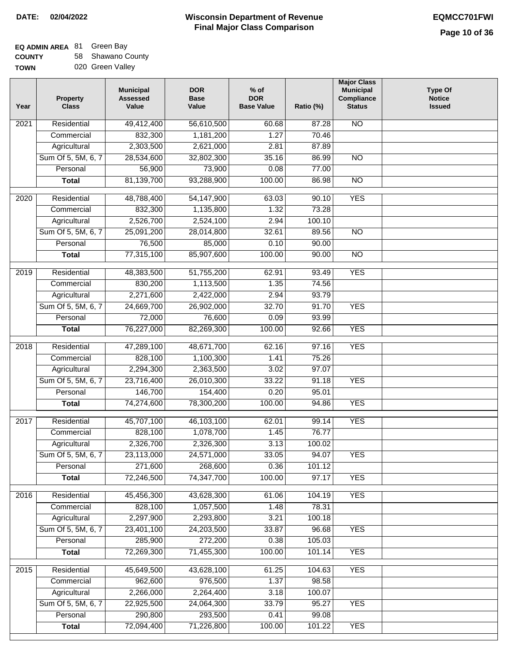$\Box$ 

### **Wisconsin Department of Revenue Final Major Class Comparison DATE: 02/04/2022 EQMCC701FWI**

# **EQ ADMIN AREA** 81 Green Bay

**COUNTY TOWN** 58 Shawano County 020 Green Valley

| Year | <b>Property</b><br><b>Class</b> | <b>Municipal</b><br><b>Assessed</b><br>Value | <b>DOR</b><br><b>Base</b><br>Value | $%$ of<br><b>DOR</b><br><b>Base Value</b> | Ratio (%) | <b>Major Class</b><br><b>Municipal</b><br>Compliance<br><b>Status</b> | <b>Type Of</b><br><b>Notice</b><br><b>Issued</b> |
|------|---------------------------------|----------------------------------------------|------------------------------------|-------------------------------------------|-----------|-----------------------------------------------------------------------|--------------------------------------------------|
| 2021 | Residential                     | 49,412,400                                   | 56,610,500                         | 60.68                                     | 87.28     | <b>NO</b>                                                             |                                                  |
|      | Commercial                      | 832,300                                      | 1,181,200                          | 1.27                                      | 70.46     |                                                                       |                                                  |
|      | Agricultural                    | 2,303,500                                    | 2,621,000                          | 2.81                                      | 87.89     |                                                                       |                                                  |
|      | Sum Of 5, 5M, 6, 7              | 28,534,600                                   | 32,802,300                         | 35.16                                     | 86.99     | $\overline{NO}$                                                       |                                                  |
|      | Personal                        | 56,900                                       | 73,900                             | 0.08                                      | 77.00     |                                                                       |                                                  |
|      | <b>Total</b>                    | 81,139,700                                   | 93,288,900                         | 100.00                                    | 86.98     | $\overline{NO}$                                                       |                                                  |
| 2020 | Residential                     | 48,788,400                                   | 54,147,900                         | 63.03                                     | 90.10     | <b>YES</b>                                                            |                                                  |
|      | Commercial                      | 832,300                                      | 1,135,800                          | 1.32                                      | 73.28     |                                                                       |                                                  |
|      | Agricultural                    | 2,526,700                                    | 2,524,100                          | 2.94                                      | 100.10    |                                                                       |                                                  |
|      | Sum Of 5, 5M, 6, 7              | 25,091,200                                   | 28,014,800                         | 32.61                                     | 89.56     | <b>NO</b>                                                             |                                                  |
|      | Personal                        | 76,500                                       | 85,000                             | 0.10                                      | 90.00     |                                                                       |                                                  |
|      | <b>Total</b>                    | 77,315,100                                   | 85,907,600                         | 100.00                                    | 90.00     | <b>NO</b>                                                             |                                                  |
|      |                                 |                                              |                                    |                                           |           |                                                                       |                                                  |
| 2019 | Residential                     | 48,383,500                                   | 51,755,200                         | 62.91                                     | 93.49     | <b>YES</b>                                                            |                                                  |
|      | Commercial                      | 830,200                                      | 1,113,500                          | 1.35                                      | 74.56     |                                                                       |                                                  |
|      | Agricultural                    | 2,271,600                                    | 2,422,000                          | 2.94                                      | 93.79     |                                                                       |                                                  |
|      | Sum Of 5, 5M, 6, 7              | 24,669,700                                   | 26,902,000                         | 32.70                                     | 91.70     | <b>YES</b>                                                            |                                                  |
|      | Personal                        | 72,000                                       | 76,600                             | 0.09                                      | 93.99     |                                                                       |                                                  |
|      | <b>Total</b>                    | 76,227,000                                   | 82,269,300                         | 100.00                                    | 92.66     | <b>YES</b>                                                            |                                                  |
| 2018 | Residential                     | 47,289,100                                   | 48,671,700                         | 62.16                                     | 97.16     | <b>YES</b>                                                            |                                                  |
|      | Commercial                      | 828,100                                      | 1,100,300                          | 1.41                                      | 75.26     |                                                                       |                                                  |
|      | Agricultural                    | 2,294,300                                    | 2,363,500                          | 3.02                                      | 97.07     |                                                                       |                                                  |
|      | Sum Of 5, 5M, 6, 7              | 23,716,400                                   | 26,010,300                         | 33.22                                     | 91.18     | <b>YES</b>                                                            |                                                  |
|      | Personal                        | 146,700                                      | 154,400                            | 0.20                                      | 95.01     |                                                                       |                                                  |
|      | <b>Total</b>                    | 74,274,600                                   | 78,300,200                         | 100.00                                    | 94.86     | <b>YES</b>                                                            |                                                  |
| 2017 | Residential                     | 45,707,100                                   | 46,103,100                         | 62.01                                     | 99.14     | <b>YES</b>                                                            |                                                  |
|      | Commercial                      | 828,100                                      | 1,078,700                          | 1.45                                      | 76.77     |                                                                       |                                                  |
|      | Agricultural                    | 2,326,700                                    | 2,326,300                          | 3.13                                      | 100.02    |                                                                       |                                                  |
|      | Sum Of 5, 5M, 6, 7              | 23,113,000                                   | 24,571,000                         | 33.05                                     | 94.07     | <b>YES</b>                                                            |                                                  |
|      | Personal                        | 271,600                                      | 268,600                            | 0.36                                      | 101.12    |                                                                       |                                                  |
|      | <b>Total</b>                    | 72,246,500                                   | 74,347,700                         | 100.00                                    | 97.17     | <b>YES</b>                                                            |                                                  |
| 2016 | Residential                     | 45,456,300                                   | 43,628,300                         | 61.06                                     | 104.19    | <b>YES</b>                                                            |                                                  |
|      | Commercial                      | 828,100                                      | 1,057,500                          | 1.48                                      | 78.31     |                                                                       |                                                  |
|      | Agricultural                    | 2,297,900                                    | 2,293,800                          | 3.21                                      | 100.18    |                                                                       |                                                  |
|      | Sum Of 5, 5M, 6, 7              | 23,401,100                                   | 24,203,500                         | 33.87                                     | 96.68     | <b>YES</b>                                                            |                                                  |
|      | Personal                        | 285,900                                      | 272,200                            | 0.38                                      | 105.03    |                                                                       |                                                  |
|      | <b>Total</b>                    | 72,269,300                                   | 71,455,300                         | 100.00                                    | 101.14    | <b>YES</b>                                                            |                                                  |
| 2015 | Residential                     | 45,649,500                                   | 43,628,100                         | 61.25                                     | 104.63    | <b>YES</b>                                                            |                                                  |
|      | Commercial                      | 962,600                                      | 976,500                            | 1.37                                      | 98.58     |                                                                       |                                                  |
|      | Agricultural                    | 2,266,000                                    | 2,264,400                          | 3.18                                      | 100.07    |                                                                       |                                                  |
|      | Sum Of 5, 5M, 6, 7              | 22,925,500                                   | 24,064,300                         | 33.79                                     | 95.27     | <b>YES</b>                                                            |                                                  |
|      | Personal                        | 290,800                                      | 293,500                            | 0.41                                      | 99.08     |                                                                       |                                                  |
|      | <b>Total</b>                    | 72,094,400                                   | 71,226,800                         | 100.00                                    | 101.22    | <b>YES</b>                                                            |                                                  |
|      |                                 |                                              |                                    |                                           |           |                                                                       |                                                  |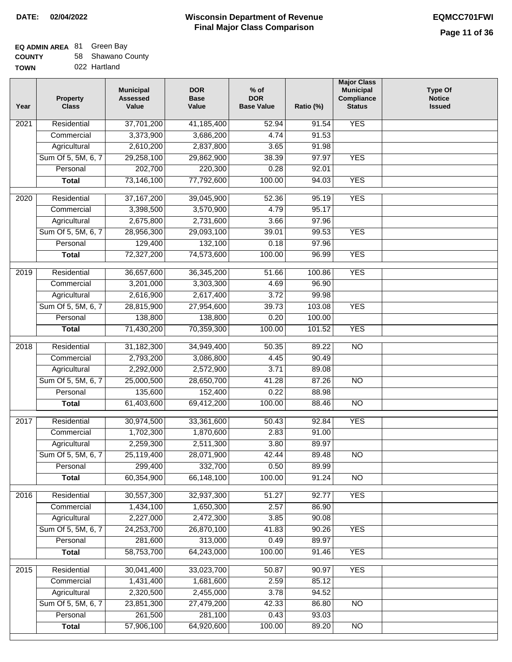## **EQ ADMIN AREA** 81 Green Bay

| <b>COUNTY</b> |  | 58 Shawano County |
|---------------|--|-------------------|
|---------------|--|-------------------|

**TOWN** 022 Hartland

| Year              | <b>Property</b><br><b>Class</b> | <b>Municipal</b><br><b>Assessed</b><br>Value | <b>DOR</b><br><b>Base</b><br>Value | $%$ of<br><b>DOR</b><br><b>Base Value</b> | Ratio (%) | <b>Major Class</b><br><b>Municipal</b><br>Compliance<br><b>Status</b> | Type Of<br><b>Notice</b><br><b>Issued</b> |
|-------------------|---------------------------------|----------------------------------------------|------------------------------------|-------------------------------------------|-----------|-----------------------------------------------------------------------|-------------------------------------------|
| $\overline{202}1$ | Residential                     | 37,701,200                                   | 41,185,400                         | 52.94                                     | 91.54     | <b>YES</b>                                                            |                                           |
|                   | Commercial                      | 3,373,900                                    | 3,686,200                          | 4.74                                      | 91.53     |                                                                       |                                           |
|                   | Agricultural                    | 2,610,200                                    | 2,837,800                          | 3.65                                      | 91.98     |                                                                       |                                           |
|                   | Sum Of 5, 5M, 6, 7              | 29,258,100                                   | 29,862,900                         | 38.39                                     | 97.97     | <b>YES</b>                                                            |                                           |
|                   | Personal                        | 202,700                                      | 220,300                            | 0.28                                      | 92.01     |                                                                       |                                           |
|                   | <b>Total</b>                    | 73,146,100                                   | 77,792,600                         | 100.00                                    | 94.03     | <b>YES</b>                                                            |                                           |
| $\overline{2020}$ | Residential                     | 37, 167, 200                                 | 39,045,900                         | 52.36                                     | 95.19     | <b>YES</b>                                                            |                                           |
|                   | Commercial                      | 3,398,500                                    | 3,570,900                          | 4.79                                      | 95.17     |                                                                       |                                           |
|                   | Agricultural                    | 2,675,800                                    | 2,731,600                          | 3.66                                      | 97.96     |                                                                       |                                           |
|                   | Sum Of 5, 5M, 6, 7              | 28,956,300                                   | 29,093,100                         | 39.01                                     | 99.53     | <b>YES</b>                                                            |                                           |
|                   | Personal                        | 129,400                                      | 132,100                            | 0.18                                      | 97.96     |                                                                       |                                           |
|                   | <b>Total</b>                    | 72,327,200                                   | 74,573,600                         | 100.00                                    | 96.99     | <b>YES</b>                                                            |                                           |
|                   |                                 |                                              |                                    |                                           |           |                                                                       |                                           |
| 2019              | Residential                     | 36,657,600                                   | 36,345,200                         | 51.66                                     | 100.86    | <b>YES</b>                                                            |                                           |
|                   | Commercial                      | 3,201,000                                    | 3,303,300                          | 4.69                                      | 96.90     |                                                                       |                                           |
|                   | Agricultural                    | 2,616,900                                    | 2,617,400                          | 3.72                                      | 99.98     |                                                                       |                                           |
|                   | Sum Of 5, 5M, 6, 7              | 28,815,900                                   | 27,954,600                         | 39.73                                     | 103.08    | <b>YES</b>                                                            |                                           |
|                   | Personal                        | 138,800                                      | 138,800                            | 0.20                                      | 100.00    |                                                                       |                                           |
|                   | <b>Total</b>                    | 71,430,200                                   | 70,359,300                         | 100.00                                    | 101.52    | <b>YES</b>                                                            |                                           |
| 2018              | Residential                     | 31,182,300                                   | 34,949,400                         | 50.35                                     | 89.22     | $\overline{NO}$                                                       |                                           |
|                   | Commercial                      | 2,793,200                                    | 3,086,800                          | 4.45                                      | 90.49     |                                                                       |                                           |
|                   | Agricultural                    | 2,292,000                                    | 2,572,900                          | 3.71                                      | 89.08     |                                                                       |                                           |
|                   | Sum Of 5, 5M, 6, 7              | 25,000,500                                   | 28,650,700                         | 41.28                                     | 87.26     | $\overline{NO}$                                                       |                                           |
|                   | Personal                        | 135,600                                      | 152,400                            | 0.22                                      | 88.98     |                                                                       |                                           |
|                   | <b>Total</b>                    | 61,403,600                                   | 69,412,200                         | 100.00                                    | 88.46     | $\overline{NO}$                                                       |                                           |
| 2017              | Residential                     | 30,974,500                                   | 33,361,600                         | 50.43                                     | 92.84     | <b>YES</b>                                                            |                                           |
|                   | Commercial                      | 1,702,300                                    | 1,870,600                          | 2.83                                      | 91.00     |                                                                       |                                           |
|                   | Agricultural                    | 2,259,300                                    | 2,511,300                          | 3.80                                      | 89.97     |                                                                       |                                           |
|                   | Sum Of 5, 5M, 6, 7              | 25,119,400                                   | 28,071,900                         | 42.44                                     | 89.48     | N <sub>O</sub>                                                        |                                           |
|                   | Personal                        | 299,400                                      | 332,700                            | 0.50                                      | 89.99     |                                                                       |                                           |
|                   | <b>Total</b>                    | 60,354,900                                   | 66,148,100                         | 100.00                                    | 91.24     | <b>NO</b>                                                             |                                           |
|                   |                                 |                                              |                                    |                                           |           |                                                                       |                                           |
| 2016              | Residential                     | 30,557,300                                   | 32,937,300                         | 51.27                                     | 92.77     | <b>YES</b>                                                            |                                           |
|                   | Commercial                      | 1,434,100                                    | 1,650,300                          | 2.57                                      | 86.90     |                                                                       |                                           |
|                   | Agricultural                    | 2,227,000                                    | 2,472,300                          | 3.85                                      | 90.08     |                                                                       |                                           |
|                   | Sum Of 5, 5M, 6, 7              | 24,253,700                                   | 26,870,100                         | 41.83                                     | 90.26     | <b>YES</b>                                                            |                                           |
|                   | Personal                        | 281,600                                      | 313,000                            | 0.49                                      | 89.97     |                                                                       |                                           |
|                   | <b>Total</b>                    | 58,753,700                                   | 64,243,000                         | 100.00                                    | 91.46     | <b>YES</b>                                                            |                                           |
| 2015              | Residential                     | 30,041,400                                   | 33,023,700                         | 50.87                                     | 90.97     | <b>YES</b>                                                            |                                           |
|                   | Commercial                      | 1,431,400                                    | 1,681,600                          | 2.59                                      | 85.12     |                                                                       |                                           |
|                   | Agricultural                    | 2,320,500                                    | 2,455,000                          | 3.78                                      | 94.52     |                                                                       |                                           |
|                   | Sum Of 5, 5M, 6, 7              | 23,851,300                                   | 27,479,200                         | 42.33                                     | 86.80     | <b>NO</b>                                                             |                                           |
|                   | Personal                        | 261,500                                      | 281,100                            | 0.43                                      | 93.03     |                                                                       |                                           |
|                   | <b>Total</b>                    | 57,906,100                                   | 64,920,600                         | 100.00                                    | 89.20     | NO                                                                    |                                           |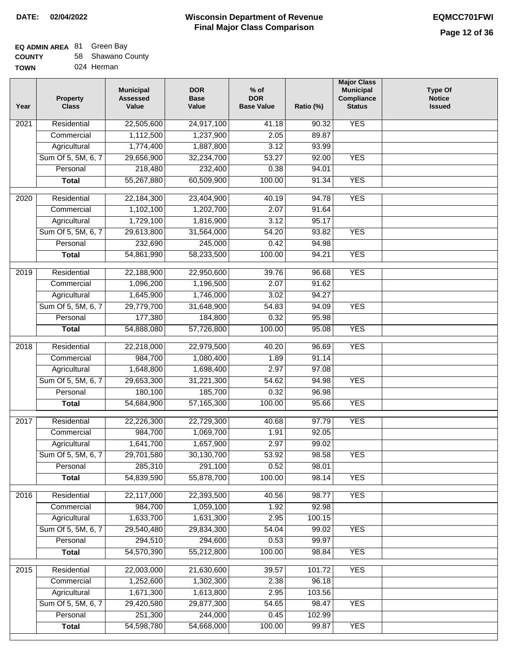# **EQ ADMIN AREA** 81 Green Bay

| <b>COUNTY</b> |  | 58 Shawano County |  |
|---------------|--|-------------------|--|
|---------------|--|-------------------|--|

**TOWN** 024 Herman

| Year | <b>Property</b><br><b>Class</b> | <b>Municipal</b><br><b>Assessed</b><br>Value | <b>DOR</b><br><b>Base</b><br>Value | $%$ of<br><b>DOR</b><br><b>Base Value</b> | Ratio (%)      | <b>Major Class</b><br><b>Municipal</b><br>Compliance<br><b>Status</b> | <b>Type Of</b><br><b>Notice</b><br><b>Issued</b> |
|------|---------------------------------|----------------------------------------------|------------------------------------|-------------------------------------------|----------------|-----------------------------------------------------------------------|--------------------------------------------------|
| 2021 | Residential                     | 22,505,600                                   | 24,917,100                         | 41.18                                     | 90.32          | <b>YES</b>                                                            |                                                  |
|      | Commercial                      | 1,112,500                                    | 1,237,900                          | 2.05                                      | 89.87          |                                                                       |                                                  |
|      | Agricultural                    | 1,774,400                                    | 1,887,800                          | 3.12                                      | 93.99          |                                                                       |                                                  |
|      | Sum Of 5, 5M, 6, 7              | 29,656,900                                   | 32,234,700                         | 53.27                                     | 92.00          | <b>YES</b>                                                            |                                                  |
|      | Personal                        | 218,480                                      | 232,400                            | 0.38                                      | 94.01          |                                                                       |                                                  |
|      | <b>Total</b>                    | 55,267,880                                   | 60,509,900                         | 100.00                                    | 91.34          | <b>YES</b>                                                            |                                                  |
| 2020 | Residential                     | 22,184,300                                   | 23,404,900                         | 40.19                                     | 94.78          | <b>YES</b>                                                            |                                                  |
|      | Commercial                      | 1,102,100                                    | 1,202,700                          | 2.07                                      | 91.64          |                                                                       |                                                  |
|      | Agricultural                    | 1,729,100                                    | 1,816,900                          | 3.12                                      | 95.17          |                                                                       |                                                  |
|      | Sum Of 5, 5M, 6, 7              | 29,613,800                                   | 31,564,000                         | 54.20                                     | 93.82          | <b>YES</b>                                                            |                                                  |
|      | Personal                        | 232,690                                      | 245,000                            | 0.42                                      | 94.98          |                                                                       |                                                  |
|      | <b>Total</b>                    | 54,861,990                                   | 58,233,500                         | 100.00                                    | 94.21          | <b>YES</b>                                                            |                                                  |
| 2019 | Residential                     | 22,188,900                                   | 22,950,600                         | 39.76                                     | 96.68          | <b>YES</b>                                                            |                                                  |
|      | Commercial                      | 1,096,200                                    | 1,196,500                          | 2.07                                      | 91.62          |                                                                       |                                                  |
|      | Agricultural                    | 1,645,900                                    | 1,746,000                          | 3.02                                      | 94.27          |                                                                       |                                                  |
|      | Sum Of 5, 5M, 6, 7              | 29,779,700                                   | 31,648,900                         | 54.83                                     | 94.09          | <b>YES</b>                                                            |                                                  |
|      | Personal                        | 177,380                                      | 184,800                            | 0.32                                      | 95.98          |                                                                       |                                                  |
|      | <b>Total</b>                    | 54,888,080                                   | 57,726,800                         | 100.00                                    | 95.08          | <b>YES</b>                                                            |                                                  |
| 2018 | Residential                     | 22,218,000                                   | 22,979,500                         | 40.20                                     | 96.69          | <b>YES</b>                                                            |                                                  |
|      | Commercial                      | 984,700                                      | 1,080,400                          | 1.89                                      | 91.14          |                                                                       |                                                  |
|      | Agricultural                    | 1,648,800                                    | 1,698,400                          | 2.97                                      | 97.08          |                                                                       |                                                  |
|      | Sum Of 5, 5M, 6, 7              | 29,653,300                                   | 31,221,300                         | 54.62                                     | 94.98          | <b>YES</b>                                                            |                                                  |
|      | Personal                        | 180,100                                      | 185,700                            | 0.32                                      | 96.98          |                                                                       |                                                  |
|      | <b>Total</b>                    | 54,684,900                                   | 57,165,300                         | 100.00                                    | 95.66          | <b>YES</b>                                                            |                                                  |
| 2017 | Residential                     | 22,226,300                                   | 22,729,300                         | 40.68                                     | 97.79          | <b>YES</b>                                                            |                                                  |
|      | Commercial                      | 984,700                                      | 1,069,700                          | 1.91                                      | 92.05          |                                                                       |                                                  |
|      | Agricultural                    | 1,641,700                                    | 1,657,900                          | 2.97                                      | 99.02          |                                                                       |                                                  |
|      | Sum Of 5, 5M, 6, 7              | 29,701,580                                   | 30,130,700                         | 53.92                                     | 98.58          | <b>YES</b>                                                            |                                                  |
|      | Personal                        | 285,310                                      | 291,100                            | 0.52                                      | 98.01          |                                                                       |                                                  |
|      | <b>Total</b>                    | 54,839,590                                   | 55,878,700                         | 100.00                                    | 98.14          | <b>YES</b>                                                            |                                                  |
|      |                                 |                                              |                                    |                                           |                |                                                                       |                                                  |
| 2016 | Residential                     | 22,117,000<br>984,700                        | 22,393,500                         | 40.56                                     | 98.77<br>92.98 | <b>YES</b>                                                            |                                                  |
|      | Commercial<br>Agricultural      | 1,633,700                                    | 1,059,100<br>1,631,300             | 1.92<br>2.95                              | 100.15         |                                                                       |                                                  |
|      | Sum Of 5, 5M, 6, 7              | 29,540,480                                   | 29,834,300                         | 54.04                                     | 99.02          | <b>YES</b>                                                            |                                                  |
|      | Personal                        | 294,510                                      | 294,600                            | 0.53                                      | 99.97          |                                                                       |                                                  |
|      | <b>Total</b>                    | 54,570,390                                   | 55,212,800                         | 100.00                                    | 98.84          | <b>YES</b>                                                            |                                                  |
|      |                                 |                                              |                                    |                                           |                |                                                                       |                                                  |
| 2015 | Residential                     | 22,003,000                                   | 21,630,600                         | 39.57                                     | 101.72         | <b>YES</b>                                                            |                                                  |
|      | Commercial                      | 1,252,600                                    | 1,302,300                          | 2.38                                      | 96.18          |                                                                       |                                                  |
|      | Agricultural                    | 1,671,300                                    | 1,613,800                          | 2.95                                      | 103.56         |                                                                       |                                                  |
|      | Sum Of 5, 5M, 6, 7              | 29,420,580                                   | 29,877,300                         | 54.65                                     | 98.47          | <b>YES</b>                                                            |                                                  |
|      | Personal                        | 251,300                                      | 244,000                            | 0.45                                      | 102.99         |                                                                       |                                                  |
|      | <b>Total</b>                    | 54,598,780                                   | 54,668,000                         | 100.00                                    | 99.87          | <b>YES</b>                                                            |                                                  |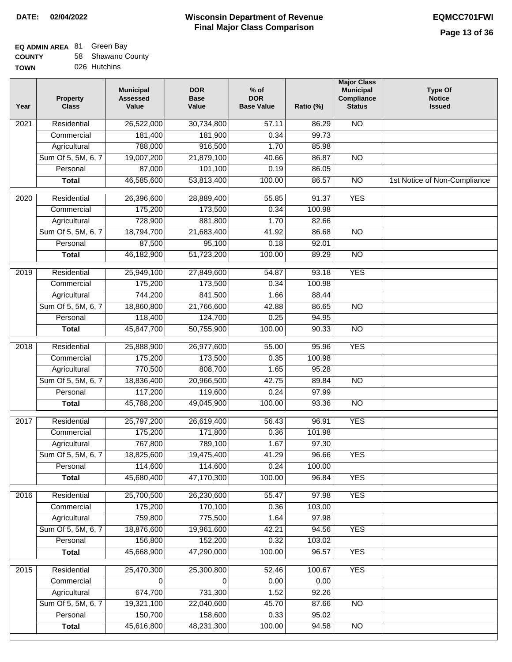# **EQ ADMIN AREA** 81 Green Bay

| <b>COUNTY</b> | 58 Shawano County |
|---------------|-------------------|
| <b>TOWN</b>   | 026 Hutchins      |

| Year              | Property<br><b>Class</b> | <b>Municipal</b><br><b>Assessed</b><br>Value | <b>DOR</b><br><b>Base</b><br>Value | $%$ of<br><b>DOR</b><br><b>Base Value</b> | Ratio (%) | <b>Major Class</b><br><b>Municipal</b><br>Compliance<br><b>Status</b> | <b>Type Of</b><br><b>Notice</b><br><b>Issued</b> |
|-------------------|--------------------------|----------------------------------------------|------------------------------------|-------------------------------------------|-----------|-----------------------------------------------------------------------|--------------------------------------------------|
| 2021              | Residential              | 26,522,000                                   | 30,734,800                         | $\frac{1}{57.11}$                         | 86.29     | N <sub>O</sub>                                                        |                                                  |
|                   | Commercial               | 181,400                                      | 181,900                            | 0.34                                      | 99.73     |                                                                       |                                                  |
|                   | Agricultural             | 788,000                                      | 916,500                            | 1.70                                      | 85.98     |                                                                       |                                                  |
|                   | Sum Of 5, 5M, 6, 7       | 19,007,200                                   | 21,879,100                         | 40.66                                     | 86.87     | $\overline{NO}$                                                       |                                                  |
|                   | Personal                 | 87,000                                       | 101,100                            | 0.19                                      | 86.05     |                                                                       |                                                  |
|                   | <b>Total</b>             | 46,585,600                                   | 53,813,400                         | 100.00                                    | 86.57     | $\overline{NO}$                                                       | 1st Notice of Non-Compliance                     |
| 2020              | Residential              | 26,396,600                                   | 28,889,400                         | 55.85                                     | 91.37     | <b>YES</b>                                                            |                                                  |
|                   | Commercial               | 175,200                                      | 173,500                            | 0.34                                      | 100.98    |                                                                       |                                                  |
|                   | Agricultural             | 728,900                                      | 881,800                            | 1.70                                      | 82.66     |                                                                       |                                                  |
|                   | Sum Of 5, 5M, 6, 7       | 18,794,700                                   | 21,683,400                         | 41.92                                     | 86.68     | $\overline{NO}$                                                       |                                                  |
|                   | Personal                 | 87,500                                       | 95,100                             | 0.18                                      | 92.01     |                                                                       |                                                  |
|                   | <b>Total</b>             | 46,182,900                                   | 51,723,200                         | 100.00                                    | 89.29     | $\overline{NO}$                                                       |                                                  |
|                   |                          |                                              |                                    |                                           |           |                                                                       |                                                  |
| 2019              | Residential              | 25,949,100                                   | 27,849,600                         | 54.87                                     | 93.18     | <b>YES</b>                                                            |                                                  |
|                   | Commercial               | 175,200                                      | 173,500                            | 0.34                                      | 100.98    |                                                                       |                                                  |
|                   | Agricultural             | 744,200                                      | 841,500                            | 1.66                                      | 88.44     |                                                                       |                                                  |
|                   | Sum Of 5, 5M, 6, 7       | 18,860,800                                   | 21,766,600                         | 42.88                                     | 86.65     | $\overline{NO}$                                                       |                                                  |
|                   | Personal                 | 118,400                                      | 124,700                            | 0.25                                      | 94.95     |                                                                       |                                                  |
|                   | <b>Total</b>             | 45,847,700                                   | 50,755,900                         | 100.00                                    | 90.33     | $\overline{NO}$                                                       |                                                  |
| $\overline{2018}$ | Residential              | 25,888,900                                   | 26,977,600                         | 55.00                                     | 95.96     | <b>YES</b>                                                            |                                                  |
|                   | Commercial               | 175,200                                      | 173,500                            | 0.35                                      | 100.98    |                                                                       |                                                  |
|                   | Agricultural             | 770,500                                      | 808,700                            | 1.65                                      | 95.28     |                                                                       |                                                  |
|                   | Sum Of 5, 5M, 6, 7       | 18,836,400                                   | 20,966,500                         | 42.75                                     | 89.84     | <b>NO</b>                                                             |                                                  |
|                   | Personal                 | 117,200                                      | 119,600                            | 0.24                                      | 97.99     |                                                                       |                                                  |
|                   | <b>Total</b>             | 45,788,200                                   | 49,045,900                         | 100.00                                    | 93.36     | $\overline{10}$                                                       |                                                  |
| 2017              | Residential              | 25,797,200                                   | 26,619,400                         | 56.43                                     | 96.91     | <b>YES</b>                                                            |                                                  |
|                   | Commercial               | 175,200                                      | 171,800                            | 0.36                                      | 101.98    |                                                                       |                                                  |
|                   | Agricultural             | 767,800                                      | 789,100                            | 1.67                                      | 97.30     |                                                                       |                                                  |
|                   | Sum Of 5, 5M, 6, 7       | 18,825,600                                   | 19,475,400                         | 41.29                                     | 96.66     | YES                                                                   |                                                  |
|                   | Personal                 | 114,600                                      | 114,600                            | 0.24                                      | 100.00    |                                                                       |                                                  |
|                   | <b>Total</b>             | 45,680,400                                   | 47,170,300                         | 100.00                                    | 96.84     | <b>YES</b>                                                            |                                                  |
| 2016              | Residential              | 25,700,500                                   | 26,230,600                         | 55.47                                     | 97.98     | <b>YES</b>                                                            |                                                  |
|                   | Commercial               | 175,200                                      | 170,100                            | 0.36                                      | 103.00    |                                                                       |                                                  |
|                   | Agricultural             | 759,800                                      | 775,500                            | 1.64                                      | 97.98     |                                                                       |                                                  |
|                   | Sum Of 5, 5M, 6, 7       | 18,876,600                                   | 19,961,600                         | 42.21                                     | 94.56     | <b>YES</b>                                                            |                                                  |
|                   | Personal                 | 156,800                                      | 152,200                            | 0.32                                      | 103.02    |                                                                       |                                                  |
|                   | <b>Total</b>             | 45,668,900                                   | 47,290,000                         | 100.00                                    | 96.57     | <b>YES</b>                                                            |                                                  |
| 2015              | Residential              | 25,470,300                                   | 25,300,800                         | 52.46                                     | 100.67    | <b>YES</b>                                                            |                                                  |
|                   | Commercial               | $\Omega$                                     | $\Omega$                           | 0.00                                      | 0.00      |                                                                       |                                                  |
|                   | Agricultural             | 674,700                                      | 731,300                            | 1.52                                      | 92.26     |                                                                       |                                                  |
|                   | Sum Of 5, 5M, 6, 7       | 19,321,100                                   | 22,040,600                         | 45.70                                     | 87.66     | N <sub>O</sub>                                                        |                                                  |
|                   | Personal                 | 150,700                                      | 158,600                            | 0.33                                      | 95.02     |                                                                       |                                                  |
|                   | <b>Total</b>             | 45,616,800                                   | 48,231,300                         | 100.00                                    | 94.58     | N <sub>O</sub>                                                        |                                                  |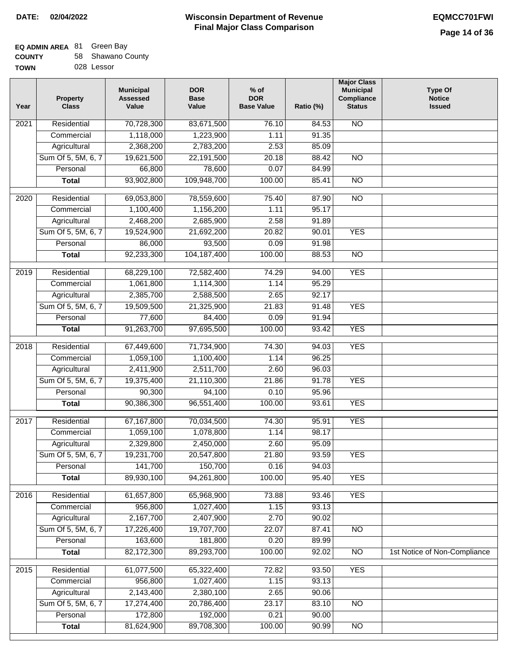٦

### **EQ ADMIN AREA** 81 Green Bay **COUNTY**

| <b>COUNTY</b> | 58 Shawano County |
|---------------|-------------------|
| TOWN          | 028 Lessor        |

| Year              | <b>Property</b><br><b>Class</b> | <b>Municipal</b><br><b>Assessed</b><br>Value | <b>DOR</b><br><b>Base</b><br>Value | $%$ of<br><b>DOR</b><br><b>Base Value</b> | Ratio (%) | <b>Major Class</b><br><b>Municipal</b><br>Compliance<br><b>Status</b> | <b>Type Of</b><br><b>Notice</b><br><b>Issued</b> |
|-------------------|---------------------------------|----------------------------------------------|------------------------------------|-------------------------------------------|-----------|-----------------------------------------------------------------------|--------------------------------------------------|
| 2021              | Residential                     | 70,728,300                                   | 83,671,500                         | 76.10                                     | 84.53     | N <sub>O</sub>                                                        |                                                  |
|                   | Commercial                      | 1,118,000                                    | 1,223,900                          | 1.11                                      | 91.35     |                                                                       |                                                  |
|                   | Agricultural                    | 2,368,200                                    | 2,783,200                          | 2.53                                      | 85.09     |                                                                       |                                                  |
|                   | Sum Of 5, 5M, 6, 7              | 19,621,500                                   | 22,191,500                         | 20.18                                     | 88.42     | $\overline{NO}$                                                       |                                                  |
|                   | Personal                        | 66,800                                       | 78,600                             | 0.07                                      | 84.99     |                                                                       |                                                  |
|                   | <b>Total</b>                    | 93,902,800                                   | 109,948,700                        | 100.00                                    | 85.41     | $\overline{NO}$                                                       |                                                  |
| 2020              | Residential                     | 69,053,800                                   | 78,559,600                         | 75.40                                     | 87.90     | $\overline{NO}$                                                       |                                                  |
|                   | Commercial                      | 1,100,400                                    | 1,156,200                          | 1.11                                      | 95.17     |                                                                       |                                                  |
|                   | Agricultural                    | 2,468,200                                    | 2,685,900                          | 2.58                                      | 91.89     |                                                                       |                                                  |
|                   | Sum Of 5, 5M, 6, 7              | 19,524,900                                   | 21,692,200                         | 20.82                                     | 90.01     | <b>YES</b>                                                            |                                                  |
|                   | Personal                        | 86,000                                       | 93,500                             | 0.09                                      | 91.98     |                                                                       |                                                  |
|                   | <b>Total</b>                    | 92,233,300                                   | 104, 187, 400                      | 100.00                                    | 88.53     | $\overline{NO}$                                                       |                                                  |
| 2019              | Residential                     | 68,229,100                                   | 72,582,400                         | 74.29                                     | 94.00     | <b>YES</b>                                                            |                                                  |
|                   | Commercial                      | 1,061,800                                    | 1,114,300                          | 1.14                                      | 95.29     |                                                                       |                                                  |
|                   | Agricultural                    | 2,385,700                                    | 2,588,500                          | 2.65                                      | 92.17     |                                                                       |                                                  |
|                   | Sum Of 5, 5M, 6, 7              | 19,509,500                                   | 21,325,900                         | 21.83                                     | 91.48     | <b>YES</b>                                                            |                                                  |
|                   | Personal                        | 77,600                                       | 84,400                             | 0.09                                      | 91.94     |                                                                       |                                                  |
|                   | <b>Total</b>                    | 91,263,700                                   | 97,695,500                         | 100.00                                    | 93.42     | <b>YES</b>                                                            |                                                  |
|                   |                                 |                                              |                                    |                                           |           |                                                                       |                                                  |
| $\overline{2018}$ | Residential                     | 67,449,600                                   | 71,734,900                         | 74.30                                     | 94.03     | <b>YES</b>                                                            |                                                  |
|                   | Commercial                      | 1,059,100                                    | 1,100,400                          | 1.14                                      | 96.25     |                                                                       |                                                  |
|                   | Agricultural                    | 2,411,900                                    | 2,511,700                          | 2.60                                      | 96.03     |                                                                       |                                                  |
|                   | Sum Of 5, 5M, 6, 7              | 19,375,400                                   | 21,110,300                         | 21.86                                     | 91.78     | <b>YES</b>                                                            |                                                  |
|                   | Personal                        | 90,300                                       | 94,100                             | 0.10                                      | 95.96     |                                                                       |                                                  |
|                   | <b>Total</b>                    | 90,386,300                                   | 96,551,400                         | 100.00                                    | 93.61     | <b>YES</b>                                                            |                                                  |
| 2017              | Residential                     | 67,167,800                                   | 70,034,500                         | 74.30                                     | 95.91     | <b>YES</b>                                                            |                                                  |
|                   | Commercial                      | 1,059,100                                    | 1,078,800                          | 1.14                                      | 98.17     |                                                                       |                                                  |
|                   | Agricultural                    | 2,329,800                                    | 2,450,000                          | 2.60                                      | 95.09     |                                                                       |                                                  |
|                   | Sum Of 5, 5M, 6, 7              | 19,231,700                                   | 20,547,800                         | 21.80                                     | 93.59     | <b>YES</b>                                                            |                                                  |
|                   | Personal                        | 141,700                                      | 150,700                            | 0.16                                      | 94.03     |                                                                       |                                                  |
|                   | <b>Total</b>                    | 89,930,100                                   | 94,261,800                         | 100.00                                    | 95.40     | <b>YES</b>                                                            |                                                  |
| 2016              | Residential                     | 61,657,800                                   | 65,968,900                         | 73.88                                     | 93.46     | <b>YES</b>                                                            |                                                  |
|                   | Commercial                      | 956,800                                      | 1,027,400                          | 1.15                                      | 93.13     |                                                                       |                                                  |
|                   | Agricultural                    | 2,167,700                                    | 2,407,900                          | 2.70                                      | 90.02     |                                                                       |                                                  |
|                   | Sum Of 5, 5M, 6, 7              | 17,226,400                                   | 19,707,700                         | 22.07                                     | 87.41     | <b>NO</b>                                                             |                                                  |
|                   | Personal                        | 163,600                                      | 181,800                            | 0.20                                      | 89.99     |                                                                       |                                                  |
|                   | <b>Total</b>                    | 82,172,300                                   | 89,293,700                         | 100.00                                    | 92.02     | N <sub>O</sub>                                                        | 1st Notice of Non-Compliance                     |
| 2015              | Residential                     | 61,077,500                                   | 65,322,400                         | 72.82                                     | 93.50     | <b>YES</b>                                                            |                                                  |
|                   | Commercial                      | 956,800                                      | 1,027,400                          | 1.15                                      | 93.13     |                                                                       |                                                  |
|                   | Agricultural                    | 2,143,400                                    | 2,380,100                          | 2.65                                      | 90.06     |                                                                       |                                                  |
|                   | Sum Of 5, 5M, 6, 7              | 17,274,400                                   | 20,786,400                         | 23.17                                     | 83.10     | <b>NO</b>                                                             |                                                  |
|                   | Personal                        | 172,800                                      | 192,000                            | 0.21                                      | 90.00     |                                                                       |                                                  |
|                   | <b>Total</b>                    | 81,624,900                                   | 89,708,300                         | 100.00                                    | 90.99     | $\overline{NO}$                                                       |                                                  |
|                   |                                 |                                              |                                    |                                           |           |                                                                       |                                                  |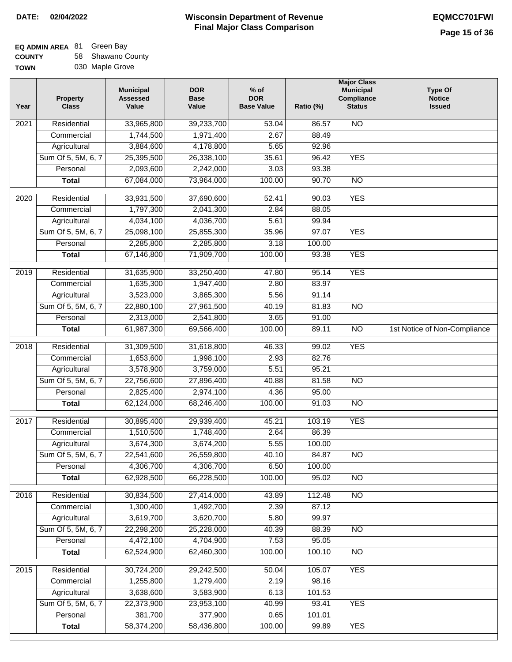### **Wisconsin Department of Revenue Final Major Class Comparison DATE: 02/04/2022 EQMCC701FWI**

# **EQ ADMIN AREA** 81 Green Bay

**COUNTY TOWN** 58 Shawano County 030 Maple Grove

| Year | <b>Property</b><br><b>Class</b> | <b>Municipal</b><br><b>Assessed</b><br>Value | <b>DOR</b><br><b>Base</b><br>Value | $%$ of<br><b>DOR</b><br><b>Base Value</b> | Ratio (%) | <b>Major Class</b><br><b>Municipal</b><br>Compliance<br><b>Status</b> | <b>Type Of</b><br><b>Notice</b><br><b>Issued</b> |
|------|---------------------------------|----------------------------------------------|------------------------------------|-------------------------------------------|-----------|-----------------------------------------------------------------------|--------------------------------------------------|
| 2021 | Residential                     | 33,965,800                                   | 39,233,700                         | 53.04                                     | 86.57     | <b>NO</b>                                                             |                                                  |
|      | Commercial                      | 1,744,500                                    | 1,971,400                          | 2.67                                      | 88.49     |                                                                       |                                                  |
|      | Agricultural                    | 3,884,600                                    | 4,178,800                          | 5.65                                      | 92.96     |                                                                       |                                                  |
|      | Sum Of 5, 5M, 6, 7              | 25,395,500                                   | 26,338,100                         | 35.61                                     | 96.42     | <b>YES</b>                                                            |                                                  |
|      | Personal                        | 2,093,600                                    | 2,242,000                          | 3.03                                      | 93.38     |                                                                       |                                                  |
|      | <b>Total</b>                    | 67,084,000                                   | 73,964,000                         | 100.00                                    | 90.70     | $\overline{NO}$                                                       |                                                  |
| 2020 | Residential                     | 33,931,500                                   | 37,690,600                         | 52.41                                     | 90.03     | <b>YES</b>                                                            |                                                  |
|      | Commercial                      | 1,797,300                                    | 2,041,300                          | 2.84                                      | 88.05     |                                                                       |                                                  |
|      | Agricultural                    | 4,034,100                                    | 4,036,700                          | 5.61                                      | 99.94     |                                                                       |                                                  |
|      | Sum Of 5, 5M, 6, 7              | 25,098,100                                   | 25,855,300                         | 35.96                                     | 97.07     | <b>YES</b>                                                            |                                                  |
|      | Personal                        | 2,285,800                                    | 2,285,800                          | 3.18                                      | 100.00    |                                                                       |                                                  |
|      | <b>Total</b>                    | 67,146,800                                   | 71,909,700                         | 100.00                                    | 93.38     | <b>YES</b>                                                            |                                                  |
| 2019 | Residential                     | 31,635,900                                   | 33,250,400                         | 47.80                                     | 95.14     | <b>YES</b>                                                            |                                                  |
|      | Commercial                      | 1,635,300                                    | 1,947,400                          | 2.80                                      | 83.97     |                                                                       |                                                  |
|      | Agricultural                    | 3,523,000                                    | 3,865,300                          | 5.56                                      | 91.14     |                                                                       |                                                  |
|      | Sum Of 5, 5M, 6, 7              | 22,880,100                                   | 27,961,500                         | 40.19                                     | 81.83     | $\overline{NO}$                                                       |                                                  |
|      | Personal                        | 2,313,000                                    | 2,541,800                          | 3.65                                      | 91.00     |                                                                       |                                                  |
|      | <b>Total</b>                    | 61,987,300                                   | 69,566,400                         | 100.00                                    | 89.11     | $\overline{NO}$                                                       | 1st Notice of Non-Compliance                     |
| 2018 | Residential                     | 31,309,500                                   | 31,618,800                         | 46.33                                     | 99.02     | <b>YES</b>                                                            |                                                  |
|      | Commercial                      | 1,653,600                                    | 1,998,100                          | 2.93                                      | 82.76     |                                                                       |                                                  |
|      | Agricultural                    | 3,578,900                                    | 3,759,000                          | 5.51                                      | 95.21     |                                                                       |                                                  |
|      | Sum Of 5, 5M, 6, 7              | 22,756,600                                   | 27,896,400                         | 40.88                                     | 81.58     | <b>NO</b>                                                             |                                                  |
|      | Personal                        | 2,825,400                                    | 2,974,100                          | 4.36                                      | 95.00     |                                                                       |                                                  |
|      | <b>Total</b>                    | 62,124,000                                   | 68,246,400                         | 100.00                                    | 91.03     | $\overline{10}$                                                       |                                                  |
| 2017 | Residential                     | 30,895,400                                   | 29,939,400                         | 45.21                                     | 103.19    | <b>YES</b>                                                            |                                                  |
|      | Commercial                      | 1,510,500                                    | 1,748,400                          | 2.64                                      | 86.39     |                                                                       |                                                  |
|      | Agricultural                    | 3,674,300                                    | 3,674,200                          | 5.55                                      | 100.00    |                                                                       |                                                  |
|      | Sum Of 5, 5M, 6, 7              | 22,541,600                                   | 26,559,800                         | 40.10                                     | 84.87     | $\overline{NO}$                                                       |                                                  |
|      | Personal                        | 4,306,700                                    | 4,306,700                          | 6.50                                      | 100.00    |                                                                       |                                                  |
|      | <b>Total</b>                    | 62,928,500                                   | 66,228,500                         | 100.00                                    | 95.02     | $\overline{30}$                                                       |                                                  |
| 2016 | Residential                     | 30,834,500                                   | 27,414,000                         | 43.89                                     | 112.48    | N <sub>O</sub>                                                        |                                                  |
|      | Commercial                      | 1,300,400                                    | 1,492,700                          | 2.39                                      | 87.12     |                                                                       |                                                  |
|      | Agricultural                    | 3,619,700                                    | 3,620,700                          | 5.80                                      | 99.97     |                                                                       |                                                  |
|      | Sum Of 5, 5M, 6, 7              | 22,298,200                                   | 25,228,000                         | 40.39                                     | 88.39     | <b>NO</b>                                                             |                                                  |
|      | Personal                        | 4,472,100                                    | 4,704,900                          | 7.53                                      | 95.05     |                                                                       |                                                  |
|      | <b>Total</b>                    | 62,524,900                                   | 62,460,300                         | 100.00                                    | 100.10    | $\overline{NO}$                                                       |                                                  |
| 2015 | Residential                     | 30,724,200                                   | 29,242,500                         | 50.04                                     | 105.07    | <b>YES</b>                                                            |                                                  |
|      | Commercial                      | 1,255,800                                    | 1,279,400                          | 2.19                                      | 98.16     |                                                                       |                                                  |
|      | Agricultural                    | 3,638,600                                    | 3,583,900                          | 6.13                                      | 101.53    |                                                                       |                                                  |
|      | Sum Of 5, 5M, 6, 7              | 22,373,900                                   | 23,953,100                         | 40.99                                     | 93.41     | <b>YES</b>                                                            |                                                  |
|      | Personal                        | 381,700                                      | 377,900                            | 0.65                                      | 101.01    |                                                                       |                                                  |
|      | <b>Total</b>                    | 58,374,200                                   | 58,436,800                         | 100.00                                    | 99.89     | <b>YES</b>                                                            |                                                  |
|      |                                 |                                              |                                    |                                           |           |                                                                       |                                                  |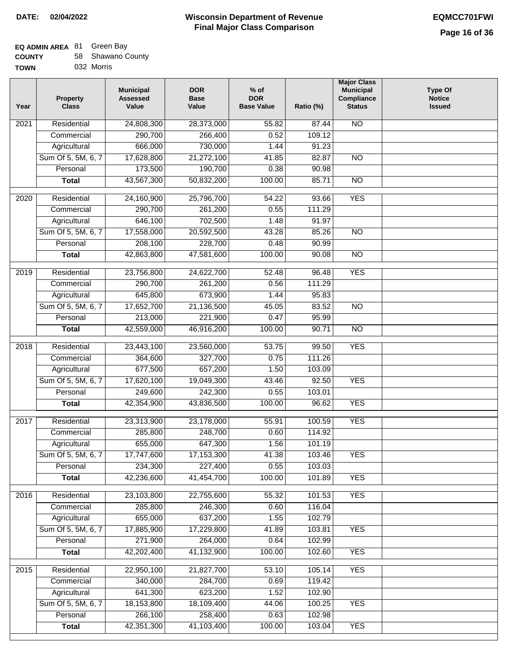### **EQ ADMIN AREA** 81 Green Bay

| <b>COUNTY</b> | 58 Shawano County |
|---------------|-------------------|
| TOWN          | 032 Morris        |

| Year | <b>Property</b><br><b>Class</b> | <b>Municipal</b><br><b>Assessed</b><br>Value | <b>DOR</b><br><b>Base</b><br>Value | $%$ of<br><b>DOR</b><br><b>Base Value</b> | Ratio (%) | <b>Major Class</b><br><b>Municipal</b><br>Compliance<br><b>Status</b> | <b>Type Of</b><br><b>Notice</b><br><b>Issued</b> |
|------|---------------------------------|----------------------------------------------|------------------------------------|-------------------------------------------|-----------|-----------------------------------------------------------------------|--------------------------------------------------|
| 2021 | Residential                     | 24,808,300                                   | 28,373,000                         | 55.82                                     | 87.44     | <b>NO</b>                                                             |                                                  |
|      | Commercial                      | 290,700                                      | 266,400                            | 0.52                                      | 109.12    |                                                                       |                                                  |
|      | Agricultural                    | 666,000                                      | 730,000                            | 1.44                                      | 91.23     |                                                                       |                                                  |
|      | Sum Of 5, 5M, 6, 7              | 17,628,800                                   | 21,272,100                         | 41.85                                     | 82.87     | $\overline{NO}$                                                       |                                                  |
|      | Personal                        | 173,500                                      | 190,700                            | 0.38                                      | 90.98     |                                                                       |                                                  |
|      | <b>Total</b>                    | 43,567,300                                   | 50,832,200                         | 100.00                                    | 85.71     | $\overline{NO}$                                                       |                                                  |
| 2020 | Residential                     | 24,160,900                                   | 25,796,700                         | 54.22                                     | 93.66     | <b>YES</b>                                                            |                                                  |
|      | Commercial                      | 290,700                                      | 261,200                            | 0.55                                      | 111.29    |                                                                       |                                                  |
|      | Agricultural                    | 646,100                                      | 702,500                            | 1.48                                      | 91.97     |                                                                       |                                                  |
|      | Sum Of 5, 5M, 6, 7              | 17,558,000                                   | 20,592,500                         | 43.28                                     | 85.26     | <b>NO</b>                                                             |                                                  |
|      | Personal                        | 208,100                                      | 228,700                            | 0.48                                      | 90.99     |                                                                       |                                                  |
|      | <b>Total</b>                    | 42,863,800                                   | 47,581,600                         | 100.00                                    | 90.08     | $\overline{NO}$                                                       |                                                  |
|      |                                 |                                              |                                    |                                           |           |                                                                       |                                                  |
| 2019 | Residential                     | 23,756,800                                   | 24,622,700                         | 52.48                                     | 96.48     | <b>YES</b>                                                            |                                                  |
|      | Commercial                      | 290,700                                      | 261,200                            | 0.56                                      | 111.29    |                                                                       |                                                  |
|      | Agricultural                    | 645,800                                      | 673,900                            | 1.44                                      | 95.83     |                                                                       |                                                  |
|      | Sum Of 5, 5M, 6, 7              | 17,652,700                                   | 21,136,500                         | 45.05                                     | 83.52     | $\overline{NO}$                                                       |                                                  |
|      | Personal                        | 213,000                                      | 221,900                            | 0.47                                      | 95.99     |                                                                       |                                                  |
|      | <b>Total</b>                    | 42,559,000                                   | 46,916,200                         | 100.00                                    | 90.71     | $\overline{NO}$                                                       |                                                  |
| 2018 | Residential                     | 23,443,100                                   | 23,560,000                         | 53.75                                     | 99.50     | <b>YES</b>                                                            |                                                  |
|      | Commercial                      | 364,600                                      | 327,700                            | 0.75                                      | 111.26    |                                                                       |                                                  |
|      | Agricultural                    | 677,500                                      | 657,200                            | 1.50                                      | 103.09    |                                                                       |                                                  |
|      | Sum Of 5, 5M, 6, 7              | 17,620,100                                   | 19,049,300                         | 43.46                                     | 92.50     | <b>YES</b>                                                            |                                                  |
|      | Personal                        | 249,600                                      | 242,300                            | 0.55                                      | 103.01    |                                                                       |                                                  |
|      | <b>Total</b>                    | 42,354,900                                   | 43,836,500                         | 100.00                                    | 96.62     | <b>YES</b>                                                            |                                                  |
| 2017 | Residential                     | 23,313,900                                   | 23,178,000                         | 55.91                                     | 100.59    | <b>YES</b>                                                            |                                                  |
|      | Commercial                      | 285,800                                      | 248,700                            | 0.60                                      | 114.92    |                                                                       |                                                  |
|      | Agricultural                    | 655,000                                      | 647,300                            | 1.56                                      | 101.19    |                                                                       |                                                  |
|      | Sum Of 5, 5M, 6, 7              | 17,747,600                                   | 17,153,300                         | 41.38                                     | 103.46    | <b>YES</b>                                                            |                                                  |
|      | Personal                        | 234,300                                      | 227,400                            | 0.55                                      | 103.03    |                                                                       |                                                  |
|      | <b>Total</b>                    | 42,236,600                                   | 41,454,700                         | 100.00                                    | 101.89    | <b>YES</b>                                                            |                                                  |
|      |                                 |                                              |                                    |                                           |           |                                                                       |                                                  |
| 2016 | Residential                     | 23,103,800                                   | 22,755,600                         | 55.32                                     | 101.53    | <b>YES</b>                                                            |                                                  |
|      | Commercial                      | 285,800                                      | 246,300                            | 0.60                                      | 116.04    |                                                                       |                                                  |
|      | Agricultural                    | 655,000                                      | 637,200                            | 1.55                                      | 102.79    |                                                                       |                                                  |
|      | Sum Of 5, 5M, 6, 7              | 17,885,900                                   | 17,229,800                         | 41.89                                     | 103.81    | <b>YES</b>                                                            |                                                  |
|      | Personal                        | 271,900                                      | 264,000                            | 0.64                                      | 102.99    |                                                                       |                                                  |
|      | <b>Total</b>                    | 42,202,400                                   | 41,132,900                         | 100.00                                    | 102.60    | <b>YES</b>                                                            |                                                  |
| 2015 | Residential                     | 22,950,100                                   | 21,827,700                         | 53.10                                     | 105.14    | <b>YES</b>                                                            |                                                  |
|      | Commercial                      | 340,000                                      | 284,700                            | 0.69                                      | 119.42    |                                                                       |                                                  |
|      | Agricultural                    | 641,300                                      | 623,200                            | 1.52                                      | 102.90    |                                                                       |                                                  |
|      | Sum Of 5, 5M, 6, 7              | 18,153,800                                   | 18,109,400                         | 44.06                                     | 100.25    | <b>YES</b>                                                            |                                                  |
|      | Personal                        | 266,100                                      | 258,400                            | 0.63                                      | 102.98    |                                                                       |                                                  |
|      | <b>Total</b>                    | 42,351,300                                   | 41,103,400                         | 100.00                                    | 103.04    | <b>YES</b>                                                            |                                                  |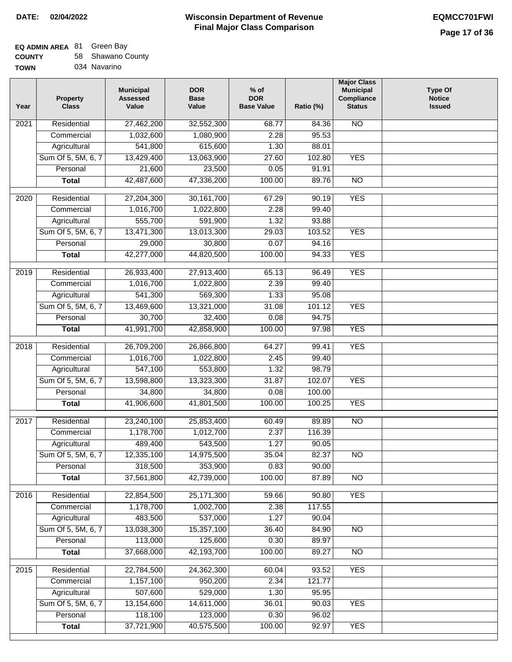## **EQ ADMIN AREA** 81 Green Bay

| <b>COUNTY</b> |  | 58 Shawano County |
|---------------|--|-------------------|
|---------------|--|-------------------|

**TOWN** 034 Navarino

| Year | <b>Property</b><br><b>Class</b> | <b>Municipal</b><br><b>Assessed</b><br>Value | <b>DOR</b><br><b>Base</b><br>Value | $%$ of<br><b>DOR</b><br><b>Base Value</b> | Ratio (%)      | <b>Major Class</b><br><b>Municipal</b><br>Compliance<br><b>Status</b> | <b>Type Of</b><br><b>Notice</b><br><b>Issued</b> |
|------|---------------------------------|----------------------------------------------|------------------------------------|-------------------------------------------|----------------|-----------------------------------------------------------------------|--------------------------------------------------|
| 2021 | Residential                     | 27,462,200                                   | 32,552,300                         | 68.77                                     | 84.36          | <b>NO</b>                                                             |                                                  |
|      | Commercial                      | 1,032,600                                    | 1,080,900                          | 2.28                                      | 95.53          |                                                                       |                                                  |
|      | Agricultural                    | 541,800                                      | 615,600                            | 1.30                                      | 88.01          |                                                                       |                                                  |
|      | Sum Of 5, 5M, 6, 7              | 13,429,400                                   | 13,063,900                         | 27.60                                     | 102.80         | <b>YES</b>                                                            |                                                  |
|      | Personal                        | 21,600                                       | 23,500                             | 0.05                                      | 91.91          |                                                                       |                                                  |
|      | <b>Total</b>                    | 42,487,600                                   | 47,336,200                         | 100.00                                    | 89.76          | $\overline{NO}$                                                       |                                                  |
| 2020 | Residential                     | 27,204,300                                   | 30, 161, 700                       | 67.29                                     | 90.19          | <b>YES</b>                                                            |                                                  |
|      | Commercial                      | 1,016,700                                    | 1,022,800                          | 2.28                                      | 99.40          |                                                                       |                                                  |
|      | Agricultural                    | 555,700                                      | 591,900                            | 1.32                                      | 93.88          |                                                                       |                                                  |
|      | Sum Of 5, 5M, 6, 7              | 13,471,300                                   | 13,013,300                         | 29.03                                     | 103.52         | <b>YES</b>                                                            |                                                  |
|      | Personal                        | 29,000                                       | 30,800                             | 0.07                                      | 94.16          |                                                                       |                                                  |
|      | <b>Total</b>                    | 42,277,000                                   | 44,820,500                         | 100.00                                    | 94.33          | <b>YES</b>                                                            |                                                  |
| 2019 | Residential                     | 26,933,400                                   | 27,913,400                         | 65.13                                     | 96.49          | <b>YES</b>                                                            |                                                  |
|      | Commercial                      | 1,016,700                                    | 1,022,800                          | 2.39                                      | 99.40          |                                                                       |                                                  |
|      | Agricultural                    | 541,300                                      | 569,300                            | 1.33                                      | 95.08          |                                                                       |                                                  |
|      | Sum Of 5, 5M, 6, 7              | 13,469,600                                   | 13,321,000                         | 31.08                                     | 101.12         | <b>YES</b>                                                            |                                                  |
|      | Personal                        | 30,700                                       | 32,400                             | 0.08                                      | 94.75          |                                                                       |                                                  |
|      | <b>Total</b>                    | 41,991,700                                   | 42,858,900                         | 100.00                                    | 97.98          | <b>YES</b>                                                            |                                                  |
| 2018 | Residential                     | 26,709,200                                   | 26,866,800                         | 64.27                                     | 99.41          | <b>YES</b>                                                            |                                                  |
|      | Commercial                      | 1,016,700                                    | 1,022,800                          | 2.45                                      | 99.40          |                                                                       |                                                  |
|      | Agricultural                    | 547,100                                      | 553,800                            | 1.32                                      | 98.79          |                                                                       |                                                  |
|      | Sum Of 5, 5M, 6, 7              | 13,598,800                                   | 13,323,300                         | 31.87                                     | 102.07         | <b>YES</b>                                                            |                                                  |
|      | Personal                        | 34,800                                       | 34,800                             | 0.08                                      | 100.00         |                                                                       |                                                  |
|      | <b>Total</b>                    | 41,906,600                                   | 41,801,500                         | 100.00                                    | 100.25         | <b>YES</b>                                                            |                                                  |
|      |                                 |                                              |                                    |                                           |                |                                                                       |                                                  |
| 2017 | Residential                     | 23,240,100                                   | 25,853,400                         | 60.49                                     | 89.89          | <b>NO</b>                                                             |                                                  |
|      | Commercial                      | 1,178,700                                    | 1,012,700                          | 2.37                                      | 116.39         |                                                                       |                                                  |
|      | Agricultural                    | 489,400<br>12,335,100                        | 543,500<br>14,975,500              | 1.27<br>35.04                             | 90.05<br>82.37 | <b>NO</b>                                                             |                                                  |
|      | Sum Of 5, 5M, 6, 7<br>Personal  | 318,500                                      |                                    |                                           |                |                                                                       |                                                  |
|      | <b>Total</b>                    | 37,561,800                                   | 353,900<br>42,739,000              | 0.83<br>100.00                            | 90.00<br>87.89 | <b>NO</b>                                                             |                                                  |
|      |                                 |                                              |                                    |                                           |                |                                                                       |                                                  |
| 2016 | Residential                     | 22,854,500                                   | 25, 171, 300                       | 59.66                                     | 90.80          | <b>YES</b>                                                            |                                                  |
|      | Commercial                      | 1,178,700                                    | 1,002,700                          | 2.38                                      | 117.55         |                                                                       |                                                  |
|      | Agricultural                    | 483,500                                      | 537,000                            | 1.27                                      | 90.04          |                                                                       |                                                  |
|      | Sum Of 5, 5M, 6, 7              | 13,038,300                                   | 15,357,100                         | 36.40                                     | 84.90          | N <sub>O</sub>                                                        |                                                  |
|      | Personal                        | 113,000                                      | 125,600                            | 0.30                                      | 89.97          |                                                                       |                                                  |
|      | <b>Total</b>                    | 37,668,000                                   | 42,193,700                         | 100.00                                    | 89.27          | N <sub>O</sub>                                                        |                                                  |
| 2015 | Residential                     | 22,784,500                                   | 24,362,300                         | 60.04                                     | 93.52          | <b>YES</b>                                                            |                                                  |
|      | Commercial                      | 1,157,100                                    | 950,200                            | 2.34                                      | 121.77         |                                                                       |                                                  |
|      | Agricultural                    | 507,600                                      | 529,000                            | 1.30                                      | 95.95          |                                                                       |                                                  |
|      | Sum Of 5, 5M, 6, 7              | 13,154,600                                   | 14,611,000                         | 36.01                                     | 90.03          | <b>YES</b>                                                            |                                                  |
|      | Personal                        | 118,100                                      | 123,000                            | 0.30                                      | 96.02          |                                                                       |                                                  |
|      | <b>Total</b>                    | 37,721,900                                   | 40,575,500                         | 100.00                                    | 92.97          | <b>YES</b>                                                            |                                                  |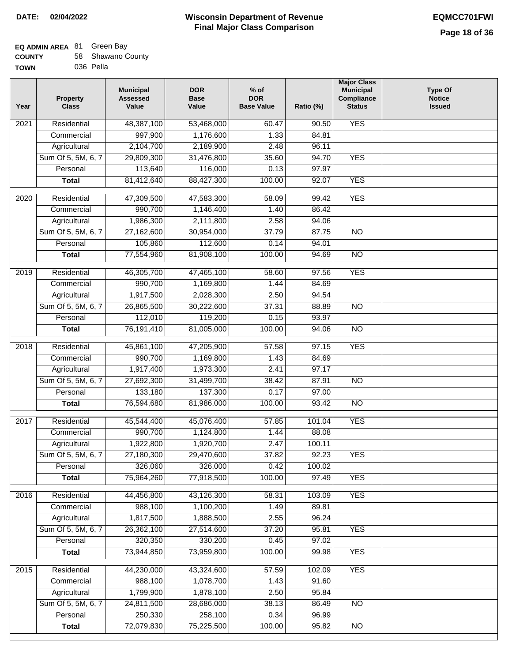### **Wisconsin Department of Revenue Final Major Class Comparison DATE: 02/04/2022 EQMCC701FWI**

┑

### **EQ ADMIN AREA** 81 Green Bay **COUNTY**

| <b>COUNTY</b> | 58 Shawano County |
|---------------|-------------------|
| TOWN          | 036 Pella         |

| Year              | <b>Property</b><br><b>Class</b> | <b>Municipal</b><br><b>Assessed</b><br>Value | <b>DOR</b><br><b>Base</b><br>Value | $%$ of<br><b>DOR</b><br><b>Base Value</b> | Ratio (%) | <b>Major Class</b><br><b>Municipal</b><br>Compliance<br><b>Status</b> | <b>Type Of</b><br><b>Notice</b><br><b>Issued</b> |
|-------------------|---------------------------------|----------------------------------------------|------------------------------------|-------------------------------------------|-----------|-----------------------------------------------------------------------|--------------------------------------------------|
| 2021              | Residential                     | 48,387,100                                   | 53,468,000                         | 60.47                                     | 90.50     | <b>YES</b>                                                            |                                                  |
|                   | Commercial                      | 997,900                                      | 1,176,600                          | 1.33                                      | 84.81     |                                                                       |                                                  |
|                   | Agricultural                    | 2,104,700                                    | 2,189,900                          | 2.48                                      | 96.11     |                                                                       |                                                  |
|                   | Sum Of 5, 5M, 6, 7              | 29,809,300                                   | 31,476,800                         | 35.60                                     | 94.70     | <b>YES</b>                                                            |                                                  |
|                   | Personal                        | 113,640                                      | 116,000                            | 0.13                                      | 97.97     |                                                                       |                                                  |
|                   | <b>Total</b>                    | 81,412,640                                   | 88,427,300                         | 100.00                                    | 92.07     | <b>YES</b>                                                            |                                                  |
| $\overline{2020}$ | Residential                     | 47,309,500                                   | 47,583,300                         | 58.09                                     | 99.42     | <b>YES</b>                                                            |                                                  |
|                   | Commercial                      | 990,700                                      | 1,146,400                          | 1.40                                      | 86.42     |                                                                       |                                                  |
|                   | Agricultural                    | 1,986,300                                    | 2,111,800                          | 2.58                                      | 94.06     |                                                                       |                                                  |
|                   | Sum Of 5, 5M, 6, 7              | 27,162,600                                   | 30,954,000                         | 37.79                                     | 87.75     | <b>NO</b>                                                             |                                                  |
|                   | Personal                        | 105,860                                      | 112,600                            | 0.14                                      | 94.01     |                                                                       |                                                  |
|                   | <b>Total</b>                    | 77,554,960                                   | 81,908,100                         | 100.00                                    | 94.69     | <b>NO</b>                                                             |                                                  |
|                   |                                 |                                              |                                    |                                           |           |                                                                       |                                                  |
| $\frac{1}{2019}$  | Residential                     | 46,305,700                                   | 47,465,100                         | 58.60                                     | 97.56     | <b>YES</b>                                                            |                                                  |
|                   | Commercial                      | 990,700                                      | 1,169,800                          | 1.44                                      | 84.69     |                                                                       |                                                  |
|                   | Agricultural                    | 1,917,500                                    | 2,028,300                          | 2.50                                      | 94.54     |                                                                       |                                                  |
|                   | Sum Of 5, 5M, 6, 7              | 26,865,500                                   | 30,222,600                         | 37.31                                     | 88.89     | $\overline{NO}$                                                       |                                                  |
|                   | Personal                        | 112,010                                      | 119,200                            | 0.15                                      | 93.97     |                                                                       |                                                  |
|                   | <b>Total</b>                    | 76,191,410                                   | 81,005,000                         | 100.00                                    | 94.06     | $\overline{NO}$                                                       |                                                  |
| 2018              | Residential                     | 45,861,100                                   | 47,205,900                         | 57.58                                     | 97.15     | <b>YES</b>                                                            |                                                  |
|                   | Commercial                      | 990,700                                      | 1,169,800                          | 1.43                                      | 84.69     |                                                                       |                                                  |
|                   | Agricultural                    | 1,917,400                                    | 1,973,300                          | 2.41                                      | 97.17     |                                                                       |                                                  |
|                   | Sum Of 5, 5M, 6, 7              | 27,692,300                                   | 31,499,700                         | 38.42                                     | 87.91     | <b>NO</b>                                                             |                                                  |
|                   | Personal                        | 133,180                                      | 137,300                            | 0.17                                      | 97.00     |                                                                       |                                                  |
|                   | <b>Total</b>                    | 76,594,680                                   | 81,986,000                         | 100.00                                    | 93.42     | $\overline{10}$                                                       |                                                  |
| 2017              | Residential                     | 45,544,400                                   | 45,076,400                         | 57.85                                     | 101.04    | <b>YES</b>                                                            |                                                  |
|                   | Commercial                      | 990,700                                      | 1,124,800                          | 1.44                                      | 88.08     |                                                                       |                                                  |
|                   | Agricultural                    | 1,922,800                                    | 1,920,700                          | 2.47                                      | 100.11    |                                                                       |                                                  |
|                   | Sum Of 5, 5M, 6, 7              | 27,180,300                                   | 29,470,600                         | 37.82                                     | 92.23     | <b>YES</b>                                                            |                                                  |
|                   | Personal                        | 326,060                                      | 326,000                            | 0.42                                      | 100.02    |                                                                       |                                                  |
|                   | <b>Total</b>                    | 75,964,260                                   | 77,918,500                         | 100.00                                    | 97.49     | <b>YES</b>                                                            |                                                  |
| 2016              | Residential                     | 44,456,800                                   | 43,126,300                         | 58.31                                     | 103.09    | <b>YES</b>                                                            |                                                  |
|                   | Commercial                      | 988,100                                      | 1,100,200                          | 1.49                                      | 89.81     |                                                                       |                                                  |
|                   | Agricultural                    | 1,817,500                                    | 1,888,500                          | 2.55                                      | 96.24     |                                                                       |                                                  |
|                   | Sum Of 5, 5M, 6, 7              | 26,362,100                                   | 27,514,600                         | 37.20                                     | 95.81     | <b>YES</b>                                                            |                                                  |
|                   | Personal                        | 320,350                                      | 330,200                            | 0.45                                      | 97.02     |                                                                       |                                                  |
|                   | <b>Total</b>                    | 73,944,850                                   | 73,959,800                         | 100.00                                    | 99.98     | <b>YES</b>                                                            |                                                  |
| 2015              | Residential                     | 44,230,000                                   | 43,324,600                         | 57.59                                     | 102.09    | <b>YES</b>                                                            |                                                  |
|                   | Commercial                      | 988,100                                      | 1,078,700                          | 1.43                                      | 91.60     |                                                                       |                                                  |
|                   | Agricultural                    | 1,799,900                                    | 1,878,100                          | 2.50                                      | 95.84     |                                                                       |                                                  |
|                   | Sum Of 5, 5M, 6, 7              | 24,811,500                                   | 28,686,000                         | 38.13                                     | 86.49     | <b>NO</b>                                                             |                                                  |
|                   | Personal                        | 250,330                                      | 258,100                            | 0.34                                      | 96.99     |                                                                       |                                                  |
|                   | <b>Total</b>                    | 72,079,830                                   | 75,225,500                         | 100.00                                    | 95.82     | $\overline{NO}$                                                       |                                                  |
|                   |                                 |                                              |                                    |                                           |           |                                                                       |                                                  |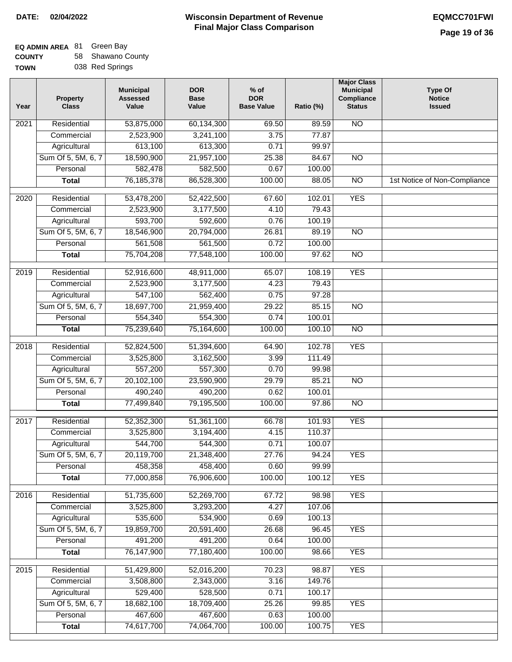## **EQ ADMIN AREA** 81 Green Bay **COUNTY**

**TOWN** 58 Shawano County 038 Red Springs

| Year              | <b>Property</b><br><b>Class</b> | <b>Municipal</b><br><b>Assessed</b><br>Value | <b>DOR</b><br><b>Base</b><br>Value | $%$ of<br><b>DOR</b><br><b>Base Value</b> | Ratio (%)        | <b>Major Class</b><br><b>Municipal</b><br>Compliance<br><b>Status</b> | <b>Type Of</b><br><b>Notice</b><br><b>Issued</b> |
|-------------------|---------------------------------|----------------------------------------------|------------------------------------|-------------------------------------------|------------------|-----------------------------------------------------------------------|--------------------------------------------------|
| 2021              | Residential                     | 53,875,000                                   | 60,134,300                         | 69.50                                     | 89.59            | <b>NO</b>                                                             |                                                  |
|                   | Commercial                      | 2,523,900                                    | 3,241,100                          | 3.75                                      | 77.87            |                                                                       |                                                  |
|                   | Agricultural                    | 613,100                                      | 613,300                            | 0.71                                      | 99.97            |                                                                       |                                                  |
|                   | Sum Of 5, 5M, 6, 7              | 18,590,900                                   | 21,957,100                         | 25.38                                     | 84.67            | $\overline{NO}$                                                       |                                                  |
|                   | Personal                        | 582,478                                      | 582,500                            | 0.67                                      | 100.00           |                                                                       |                                                  |
|                   | <b>Total</b>                    | 76, 185, 378                                 | 86,528,300                         | 100.00                                    | 88.05            | $\overline{NO}$                                                       | 1st Notice of Non-Compliance                     |
| $\overline{2020}$ | Residential                     | 53,478,200                                   | 52,422,500                         | 67.60                                     | 102.01           | <b>YES</b>                                                            |                                                  |
|                   | Commercial                      | 2,523,900                                    | 3,177,500                          | 4.10                                      | 79.43            |                                                                       |                                                  |
|                   | Agricultural                    | 593,700                                      | 592,600                            | 0.76                                      | 100.19           |                                                                       |                                                  |
|                   | Sum Of 5, 5M, 6, 7              | 18,546,900                                   | 20,794,000                         | 26.81                                     | 89.19            | <b>NO</b>                                                             |                                                  |
|                   | Personal                        | 561,508                                      | 561,500                            | 0.72                                      | 100.00           |                                                                       |                                                  |
|                   | <b>Total</b>                    | 75,704,208                                   | 77,548,100                         | 100.00                                    | 97.62            | $\overline{NO}$                                                       |                                                  |
| 2019              | Residential                     | 52,916,600                                   | 48,911,000                         | 65.07                                     | 108.19           | <b>YES</b>                                                            |                                                  |
|                   | Commercial                      | 2,523,900                                    | 3,177,500                          | 4.23                                      | 79.43            |                                                                       |                                                  |
|                   | Agricultural                    | 547,100                                      | 562,400                            | 0.75                                      | 97.28            |                                                                       |                                                  |
|                   | Sum Of 5, 5M, 6, 7              | 18,697,700                                   | 21,959,400                         | 29.22                                     | 85.15            | $\overline{NO}$                                                       |                                                  |
|                   | Personal                        | 554,340                                      | 554,300                            | 0.74                                      | 100.01           |                                                                       |                                                  |
|                   | <b>Total</b>                    | 75,239,640                                   | 75,164,600                         | 100.00                                    | 100.10           | $\overline{NO}$                                                       |                                                  |
| 2018              | Residential                     | 52,824,500                                   | 51,394,600                         | 64.90                                     | 102.78           | <b>YES</b>                                                            |                                                  |
|                   | Commercial                      | 3,525,800                                    | 3,162,500                          | 3.99                                      | 111.49           |                                                                       |                                                  |
|                   | Agricultural                    | 557,200                                      | 557,300                            | 0.70                                      | 99.98            |                                                                       |                                                  |
|                   | Sum Of 5, 5M, 6, 7              | 20,102,100                                   | 23,590,900                         | 29.79                                     | 85.21            | <b>NO</b>                                                             |                                                  |
|                   | Personal                        | 490,240                                      | 490,200                            | 0.62                                      | 100.01           |                                                                       |                                                  |
|                   | <b>Total</b>                    | 77,499,840                                   | 79,195,500                         | 100.00                                    | 97.86            | $\overline{10}$                                                       |                                                  |
| 2017              | Residential                     | 52,352,300                                   | 51,361,100                         | 66.78                                     | 101.93           | <b>YES</b>                                                            |                                                  |
|                   | Commercial                      | 3,525,800                                    | 3,194,400                          | 4.15                                      | 110.37           |                                                                       |                                                  |
|                   | Agricultural                    | 544,700                                      | 544,300                            | 0.71                                      | 100.07           |                                                                       |                                                  |
|                   | Sum Of 5, 5M, 6, 7              | 20,119,700                                   | 21,348,400                         | 27.76                                     | 94.24            | <b>YES</b>                                                            |                                                  |
|                   | Personal                        | 458,358                                      | 458,400                            | 0.60                                      | 99.99            |                                                                       |                                                  |
|                   | <b>Total</b>                    | 77,000,858                                   | 76,906,600                         | 100.00                                    | 100.12           | <b>YES</b>                                                            |                                                  |
| 2016              | Residential                     | 51,735,600                                   | 52,269,700                         | 67.72                                     | 98.98            | <b>YES</b>                                                            |                                                  |
|                   | Commercial                      | 3,525,800                                    | 3,293,200                          | 4.27                                      | 107.06           |                                                                       |                                                  |
|                   | Agricultural                    | 535,600                                      | 534,900                            | 0.69                                      | 100.13           |                                                                       |                                                  |
|                   | Sum Of 5, 5M, 6, 7              | 19,859,700                                   | 20,591,400                         | 26.68                                     | 96.45            | <b>YES</b>                                                            |                                                  |
|                   | Personal                        | 491,200                                      | 491,200                            | 0.64                                      | 100.00           |                                                                       |                                                  |
|                   | <b>Total</b>                    | 76,147,900                                   | 77,180,400                         | 100.00                                    | 98.66            | <b>YES</b>                                                            |                                                  |
|                   |                                 |                                              |                                    |                                           |                  |                                                                       |                                                  |
| 2015              | Residential                     | 51,429,800                                   | 52,016,200                         | 70.23                                     | 98.87            | <b>YES</b>                                                            |                                                  |
|                   | Commercial<br>Agricultural      | 3,508,800<br>529,400                         | 2,343,000<br>528,500               | 3.16<br>0.71                              | 149.76<br>100.17 |                                                                       |                                                  |
|                   | Sum Of 5, 5M, 6, 7              | 18,682,100                                   | 18,709,400                         | 25.26                                     | 99.85            | <b>YES</b>                                                            |                                                  |
|                   | Personal                        | 467,600                                      | 467,600                            | 0.63                                      | 100.00           |                                                                       |                                                  |
|                   | <b>Total</b>                    | 74,617,700                                   | 74,064,700                         | 100.00                                    | 100.75           | <b>YES</b>                                                            |                                                  |
|                   |                                 |                                              |                                    |                                           |                  |                                                                       |                                                  |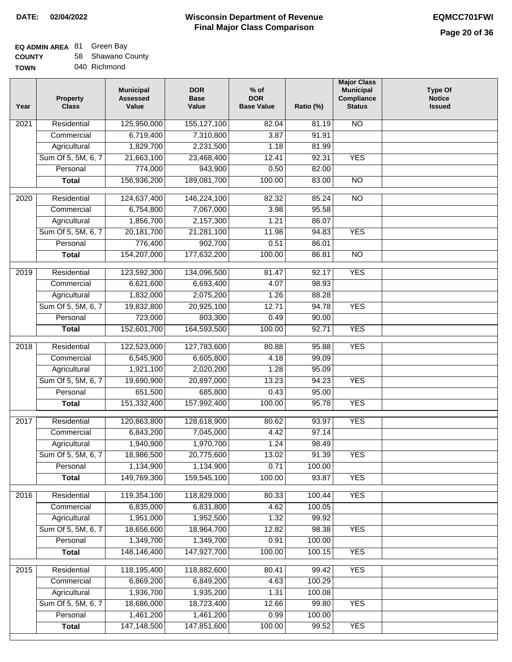# **EQ ADMIN AREA** 81 Green Bay

| <b>COUNTY</b> | 58 Shawano County |
|---------------|-------------------|
| <b>TOWN</b>   | 040 Richmond      |

| Year              | <b>Property</b><br><b>Class</b> | <b>Municipal</b><br><b>Assessed</b><br>Value | <b>DOR</b><br><b>Base</b><br>Value | $%$ of<br><b>DOR</b><br><b>Base Value</b> | Ratio (%) | <b>Major Class</b><br><b>Municipal</b><br>Compliance<br><b>Status</b> | <b>Type Of</b><br><b>Notice</b><br><b>Issued</b> |
|-------------------|---------------------------------|----------------------------------------------|------------------------------------|-------------------------------------------|-----------|-----------------------------------------------------------------------|--------------------------------------------------|
| 2021              | Residential                     | 125,950,000                                  | 155, 127, 100                      | 82.04                                     | 81.19     | $\overline{NO}$                                                       |                                                  |
|                   | Commercial                      | 6,719,400                                    | 7,310,800                          | 3.87                                      | 91.91     |                                                                       |                                                  |
|                   | Agricultural                    | 1,829,700                                    | 2,231,500                          | 1.18                                      | 81.99     |                                                                       |                                                  |
|                   | Sum Of 5, 5M, 6, 7              | 21,663,100                                   | 23,468,400                         | 12.41                                     | 92.31     | <b>YES</b>                                                            |                                                  |
|                   | Personal                        | 774,000                                      | 943,900                            | 0.50                                      | 82.00     |                                                                       |                                                  |
|                   | <b>Total</b>                    | 156,936,200                                  | 189,081,700                        | 100.00                                    | 83.00     | <b>NO</b>                                                             |                                                  |
| 2020              | Residential                     | 124,637,400                                  | 146,224,100                        | 82.32                                     | 85.24     | $\overline{N}$                                                        |                                                  |
|                   | Commercial                      | 6,754,800                                    | 7,067,000                          | 3.98                                      | 95.58     |                                                                       |                                                  |
|                   | Agricultural                    | 1,856,700                                    | 2,157,300                          | 1.21                                      | 86.07     |                                                                       |                                                  |
|                   | Sum Of 5, 5M, 6, 7              | 20, 181, 700                                 | 21,281,100                         | 11.98                                     | 94.83     | <b>YES</b>                                                            |                                                  |
|                   | Personal                        | 776,400                                      | 902,700                            | 0.51                                      | 86.01     |                                                                       |                                                  |
|                   | <b>Total</b>                    | 154,207,000                                  | 177,632,200                        | 100.00                                    | 86.81     | <b>NO</b>                                                             |                                                  |
| $\frac{1}{2019}$  | Residential                     | 123,592,300                                  | 134,096,500                        | 81.47                                     | 92.17     | <b>YES</b>                                                            |                                                  |
|                   | Commercial                      | 6,621,600                                    | 6,693,400                          | 4.07                                      | 98.93     |                                                                       |                                                  |
|                   | Agricultural                    | 1,832,000                                    | 2,075,200                          | 1.26                                      | 88.28     |                                                                       |                                                  |
|                   | Sum Of 5, 5M, 6, 7              | 19,832,800                                   | 20,925,100                         | 12.71                                     | 94.78     | <b>YES</b>                                                            |                                                  |
|                   | Personal                        | 723,000                                      | 803,300                            | 0.49                                      | 90.00     |                                                                       |                                                  |
|                   | <b>Total</b>                    | 152,601,700                                  | 164,593,500                        | 100.00                                    | 92.71     | <b>YES</b>                                                            |                                                  |
| $\overline{2018}$ | Residential                     | 122,523,000                                  | 127,783,600                        | 80.88                                     | 95.88     | <b>YES</b>                                                            |                                                  |
|                   | Commercial                      | 6,545,900                                    | 6,605,800                          | 4.18                                      | 99.09     |                                                                       |                                                  |
|                   | Agricultural                    | 1,921,100                                    | 2,020,200                          | 1.28                                      | 95.09     |                                                                       |                                                  |
|                   | Sum Of 5, 5M, 6, 7              | 19,690,900                                   | 20,897,000                         | 13.23                                     | 94.23     | <b>YES</b>                                                            |                                                  |
|                   | Personal                        | 651,500                                      | 685,800                            | 0.43                                      | 95.00     |                                                                       |                                                  |
|                   | <b>Total</b>                    | 151,332,400                                  | 157,992,400                        | 100.00                                    | 95.78     | <b>YES</b>                                                            |                                                  |
| $\overline{2017}$ | Residential                     | 120,863,800                                  | 128,618,900                        | 80.62                                     | 93.97     | <b>YES</b>                                                            |                                                  |
|                   | Commercial                      | 6,843,200                                    | 7,045,000                          | 4.42                                      | 97.14     |                                                                       |                                                  |
|                   | Agricultural                    | 1,940,900                                    | 1,970,700                          | 1.24                                      | 98.49     |                                                                       |                                                  |
|                   | Sum Of 5, 5M, 6, 7              | 18,986,500                                   | 20,775,600                         | 13.02                                     | 91.39     | YES.                                                                  |                                                  |
|                   | Personal                        | 1,134,900                                    | 1,134,900                          | 0.71                                      | 100.00    |                                                                       |                                                  |
|                   | <b>Total</b>                    | 149,769,300                                  | 159,545,100                        | 100.00                                    | 93.87     | <b>YES</b>                                                            |                                                  |
| $\overline{2016}$ | Residential                     | 119,354,100                                  | 118,829,000                        | 80.33                                     | 100.44    | <b>YES</b>                                                            |                                                  |
|                   | Commercial                      | 6,835,000                                    | 6,831,800                          | 4.62                                      | 100.05    |                                                                       |                                                  |
|                   | Agricultural                    | 1,951,000                                    | 1,952,500                          | 1.32                                      | 99.92     |                                                                       |                                                  |
|                   | Sum Of 5, 5M, 6, 7              | 18,656,600                                   | 18,964,700                         | 12.82                                     | 98.38     | <b>YES</b>                                                            |                                                  |
|                   | Personal                        | 1,349,700                                    | 1,349,700                          | 0.91                                      | 100.00    |                                                                       |                                                  |
|                   | <b>Total</b>                    | 148,146,400                                  | 147,927,700                        | 100.00                                    | 100.15    | <b>YES</b>                                                            |                                                  |
| $\overline{2015}$ | Residential                     | 118,195,400                                  | 118,882,600                        | 80.41                                     | 99.42     | <b>YES</b>                                                            |                                                  |
|                   | Commercial                      | 6,869,200                                    | 6,849,200                          | 4.63                                      | 100.29    |                                                                       |                                                  |
|                   | Agricultural                    | 1,936,700                                    | 1,935,200                          | 1.31                                      | 100.08    |                                                                       |                                                  |
|                   | Sum Of 5, 5M, 6, 7              | 18,686,000                                   | 18,723,400                         | 12.66                                     | 99.80     | <b>YES</b>                                                            |                                                  |
|                   | Personal                        | 1,461,200                                    | 1,461,200                          | 0.99                                      | 100.00    |                                                                       |                                                  |
|                   | <b>Total</b>                    | 147,148,500                                  | 147,851,600                        | 100.00                                    | 99.52     | <b>YES</b>                                                            |                                                  |
|                   |                                 |                                              |                                    |                                           |           |                                                                       |                                                  |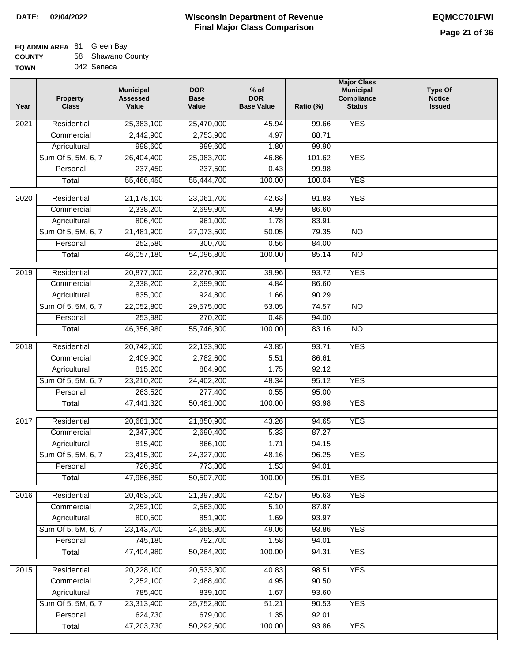## **EQ ADMIN AREA** 81 Green Bay

| <b>COUNTY</b> |  | 58 Shawano County |  |
|---------------|--|-------------------|--|
|---------------|--|-------------------|--|

**TOWN** 042 Seneca

| Year              | <b>Property</b><br><b>Class</b> | <b>Municipal</b><br><b>Assessed</b><br>Value | <b>DOR</b><br><b>Base</b><br>Value | $%$ of<br><b>DOR</b><br><b>Base Value</b> | Ratio (%) | <b>Major Class</b><br><b>Municipal</b><br>Compliance<br><b>Status</b> | <b>Type Of</b><br><b>Notice</b><br><b>Issued</b> |
|-------------------|---------------------------------|----------------------------------------------|------------------------------------|-------------------------------------------|-----------|-----------------------------------------------------------------------|--------------------------------------------------|
| 2021              | Residential                     | 25,383,100                                   | 25,470,000                         | 45.94                                     | 99.66     | <b>YES</b>                                                            |                                                  |
|                   | Commercial                      | 2,442,900                                    | 2,753,900                          | 4.97                                      | 88.71     |                                                                       |                                                  |
|                   | Agricultural                    | 998,600                                      | 999,600                            | 1.80                                      | 99.90     |                                                                       |                                                  |
|                   | Sum Of 5, 5M, 6, 7              | 26,404,400                                   | 25,983,700                         | 46.86                                     | 101.62    | <b>YES</b>                                                            |                                                  |
|                   | Personal                        | 237,450                                      | 237,500                            | 0.43                                      | 99.98     |                                                                       |                                                  |
|                   | <b>Total</b>                    | 55,466,450                                   | 55,444,700                         | 100.00                                    | 100.04    | <b>YES</b>                                                            |                                                  |
| 2020              | Residential                     | 21,178,100                                   | 23,061,700                         | 42.63                                     | 91.83     | <b>YES</b>                                                            |                                                  |
|                   | Commercial                      | 2,338,200                                    | 2,699,900                          | 4.99                                      | 86.60     |                                                                       |                                                  |
|                   | Agricultural                    | 806,400                                      | 961,000                            | 1.78                                      | 83.91     |                                                                       |                                                  |
|                   | Sum Of 5, 5M, 6, 7              | 21,481,900                                   | 27,073,500                         | 50.05                                     | 79.35     | $\overline{NO}$                                                       |                                                  |
|                   | Personal                        | 252,580                                      | 300,700                            | 0.56                                      | 84.00     |                                                                       |                                                  |
|                   | <b>Total</b>                    | 46,057,180                                   | 54,096,800                         | 100.00                                    | 85.14     | $\overline{NO}$                                                       |                                                  |
| 2019              | Residential                     | 20,877,000                                   | 22,276,900                         | 39.96                                     | 93.72     | <b>YES</b>                                                            |                                                  |
|                   | Commercial                      | 2,338,200                                    | 2,699,900                          | 4.84                                      | 86.60     |                                                                       |                                                  |
|                   | Agricultural                    | 835,000                                      | 924,800                            | 1.66                                      | 90.29     |                                                                       |                                                  |
|                   | Sum Of 5, 5M, 6, 7              | 22,052,800                                   | 29,575,000                         | 53.05                                     | 74.57     | <b>NO</b>                                                             |                                                  |
|                   | Personal                        | 253,980                                      | 270,200                            | 0.48                                      | 94.00     |                                                                       |                                                  |
|                   | <b>Total</b>                    | 46,356,980                                   | 55,746,800                         | 100.00                                    | 83.16     | <b>NO</b>                                                             |                                                  |
| $\overline{2018}$ | Residential                     | 20,742,500                                   | 22,133,900                         | 43.85                                     | 93.71     | <b>YES</b>                                                            |                                                  |
|                   | Commercial                      | 2,409,900                                    | 2,782,600                          | 5.51                                      | 86.61     |                                                                       |                                                  |
|                   | Agricultural                    | 815,200                                      | 884,900                            | 1.75                                      | 92.12     |                                                                       |                                                  |
|                   | Sum Of 5, 5M, 6, 7              | 23,210,200                                   | 24,402,200                         | 48.34                                     | 95.12     | <b>YES</b>                                                            |                                                  |
|                   | Personal                        | 263,520                                      | 277,400                            | 0.55                                      | 95.00     |                                                                       |                                                  |
|                   | <b>Total</b>                    | 47,441,320                                   | 50,481,000                         | 100.00                                    | 93.98     | <b>YES</b>                                                            |                                                  |
| 2017              | Residential                     | 20,681,300                                   | 21,850,900                         | 43.26                                     | 94.65     | <b>YES</b>                                                            |                                                  |
|                   | Commercial                      | 2,347,900                                    | 2,690,400                          | 5.33                                      | 87.27     |                                                                       |                                                  |
|                   | Agricultural                    | 815,400                                      | 866,100                            | 1.71                                      | 94.15     |                                                                       |                                                  |
|                   | Sum Of 5, 5M, 6, 7              | 23,415,300                                   | 24,327,000                         | 48.16                                     | 96.25     | <b>YES</b>                                                            |                                                  |
|                   | Personal                        | 726,950                                      | 773,300                            | 1.53                                      | 94.01     |                                                                       |                                                  |
|                   | <b>Total</b>                    | 47,986,850                                   | 50,507,700                         | 100.00                                    | 95.01     | <b>YES</b>                                                            |                                                  |
|                   |                                 |                                              |                                    |                                           |           |                                                                       |                                                  |
| 2016              | Residential                     | 20,463,500                                   | 21,397,800                         | 42.57                                     | 95.63     | <b>YES</b>                                                            |                                                  |
|                   | Commercial                      | 2,252,100                                    | 2,563,000                          | 5.10                                      | 87.87     |                                                                       |                                                  |
|                   | Agricultural                    | 800,500                                      | 851,900                            | 1.69                                      | 93.97     |                                                                       |                                                  |
|                   | Sum Of 5, 5M, 6, 7              | 23,143,700                                   | 24,658,800                         | 49.06                                     | 93.86     | <b>YES</b>                                                            |                                                  |
|                   | Personal                        | 745,180                                      | 792,700                            | 1.58                                      | 94.01     |                                                                       |                                                  |
|                   | <b>Total</b>                    | 47,404,980                                   | 50,264,200                         | 100.00                                    | 94.31     | <b>YES</b>                                                            |                                                  |
| 2015              | Residential                     | 20,228,100                                   | 20,533,300                         | 40.83                                     | 98.51     | <b>YES</b>                                                            |                                                  |
|                   | Commercial                      | 2,252,100                                    | 2,488,400                          | 4.95                                      | 90.50     |                                                                       |                                                  |
|                   | Agricultural                    | 785,400                                      | 839,100                            | 1.67                                      | 93.60     |                                                                       |                                                  |
|                   | Sum Of 5, 5M, 6, 7              | 23,313,400                                   | 25,752,800                         | 51.21                                     | 90.53     | <b>YES</b>                                                            |                                                  |
|                   | Personal                        | 624,730                                      | 679,000                            | 1.35                                      | 92.01     |                                                                       |                                                  |
|                   | <b>Total</b>                    | 47,203,730                                   | 50,292,600                         | 100.00                                    | 93.86     | <b>YES</b>                                                            |                                                  |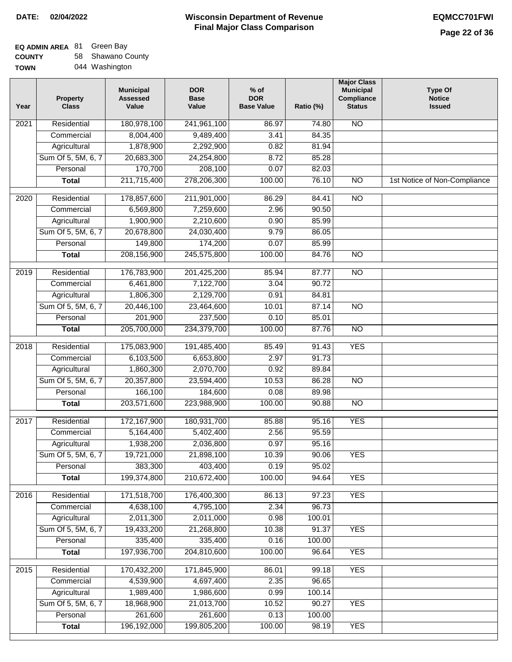## **EQ ADMIN AREA** 81 Green Bay

**COUNTY TOWN** 58 Shawano County 044 Washington

| Year | <b>Property</b><br><b>Class</b> | <b>Municipal</b><br><b>Assessed</b><br>Value | <b>DOR</b><br><b>Base</b><br>Value | $%$ of<br><b>DOR</b><br><b>Base Value</b> | Ratio (%) | <b>Major Class</b><br><b>Municipal</b><br>Compliance<br><b>Status</b> | <b>Type Of</b><br><b>Notice</b><br><b>Issued</b> |
|------|---------------------------------|----------------------------------------------|------------------------------------|-------------------------------------------|-----------|-----------------------------------------------------------------------|--------------------------------------------------|
| 2021 | Residential                     | 180,978,100                                  | 241,961,100                        | 86.97                                     | 74.80     | <b>NO</b>                                                             |                                                  |
|      | Commercial                      | 8,004,400                                    | 9,489,400                          | 3.41                                      | 84.35     |                                                                       |                                                  |
|      | Agricultural                    | 1,878,900                                    | 2,292,900                          | 0.82                                      | 81.94     |                                                                       |                                                  |
|      | Sum Of 5, 5M, 6, 7              | 20,683,300                                   | 24,254,800                         | 8.72                                      | 85.28     |                                                                       |                                                  |
|      | Personal                        | 170,700                                      | 208,100                            | 0.07                                      | 82.03     |                                                                       |                                                  |
|      | <b>Total</b>                    | 211,715,400                                  | 278,206,300                        | 100.00                                    | 76.10     | $\overline{NO}$                                                       | 1st Notice of Non-Compliance                     |
| 2020 | Residential                     | 178,857,600                                  | 211,901,000                        | 86.29                                     | 84.41     | $\overline{NO}$                                                       |                                                  |
|      | Commercial                      | 6,569,800                                    | 7,259,600                          | 2.96                                      | 90.50     |                                                                       |                                                  |
|      | Agricultural                    | 1,900,900                                    | 2,210,600                          | 0.90                                      | 85.99     |                                                                       |                                                  |
|      | Sum Of 5, 5M, 6, 7              | 20,678,800                                   | 24,030,400                         | 9.79                                      | 86.05     |                                                                       |                                                  |
|      | Personal                        | 149,800                                      | 174,200                            | 0.07                                      | 85.99     |                                                                       |                                                  |
|      | <b>Total</b>                    | 208,156,900                                  | 245,575,800                        | 100.00                                    | 84.76     | $\overline{NO}$                                                       |                                                  |
| 2019 | Residential                     | 176,783,900                                  | 201,425,200                        | 85.94                                     | 87.77     | $\overline{NO}$                                                       |                                                  |
|      | Commercial                      | 6,461,800                                    | 7,122,700                          | 3.04                                      | 90.72     |                                                                       |                                                  |
|      | Agricultural                    | 1,806,300                                    | 2,129,700                          | 0.91                                      | 84.81     |                                                                       |                                                  |
|      | Sum Of 5, 5M, 6, 7              | 20,446,100                                   | 23,464,600                         | 10.01                                     | 87.14     | $\overline{NO}$                                                       |                                                  |
|      | Personal                        | 201,900                                      | 237,500                            | 0.10                                      | 85.01     |                                                                       |                                                  |
|      | <b>Total</b>                    | 205,700,000                                  | 234,379,700                        | 100.00                                    | 87.76     | $\overline{NO}$                                                       |                                                  |
| 2018 | Residential                     | 175,083,900                                  | 191,485,400                        | 85.49                                     | 91.43     | <b>YES</b>                                                            |                                                  |
|      | Commercial                      | 6,103,500                                    | 6,653,800                          | 2.97                                      | 91.73     |                                                                       |                                                  |
|      | Agricultural                    | 1,860,300                                    | 2,070,700                          | 0.92                                      | 89.84     |                                                                       |                                                  |
|      | Sum Of 5, 5M, 6, 7              | 20,357,800                                   | 23,594,400                         | 10.53                                     | 86.28     | <b>NO</b>                                                             |                                                  |
|      | Personal                        | 166,100                                      | 184,600                            | 0.08                                      | 89.98     |                                                                       |                                                  |
|      | <b>Total</b>                    | 203,571,600                                  | 223,988,900                        | 100.00                                    | 90.88     | $\overline{NO}$                                                       |                                                  |
|      |                                 |                                              |                                    |                                           |           |                                                                       |                                                  |
| 2017 | Residential                     | 172,167,900                                  | 180,931,700                        | 85.88                                     | 95.16     | <b>YES</b>                                                            |                                                  |
|      | Commercial                      | 5,164,400                                    | 5,402,400                          | 2.56                                      | 95.59     |                                                                       |                                                  |
|      | Agricultural                    | 1,938,200                                    | 2,036,800                          | 0.97                                      | 95.16     |                                                                       |                                                  |
|      | Sum Of 5, 5M, 6, 7              | 19,721,000                                   | 21,898,100                         | 10.39                                     | 90.06     | YES                                                                   |                                                  |
|      | Personal                        | 383,300                                      | 403,400                            | 0.19                                      | 95.02     |                                                                       |                                                  |
|      | <b>Total</b>                    | 199,374,800                                  | 210,672,400                        | 100.00                                    | 94.64     | <b>YES</b>                                                            |                                                  |
| 2016 | Residential                     | 171,518,700                                  | 176,400,300                        | 86.13                                     | 97.23     | <b>YES</b>                                                            |                                                  |
|      | Commercial                      | 4,638,100                                    | 4,795,100                          | 2.34                                      | 96.73     |                                                                       |                                                  |
|      | Agricultural                    | 2,011,300                                    | 2,011,000                          | 0.98                                      | 100.01    |                                                                       |                                                  |
|      | Sum Of 5, 5M, 6, 7              | 19,433,200                                   | 21,268,800                         | 10.38                                     | 91.37     | <b>YES</b>                                                            |                                                  |
|      | Personal                        | 335,400                                      | 335,400                            | 0.16                                      | 100.00    |                                                                       |                                                  |
|      | <b>Total</b>                    | 197,936,700                                  | 204,810,600                        | 100.00                                    | 96.64     | <b>YES</b>                                                            |                                                  |
| 2015 | Residential                     | 170,432,200                                  | 171,845,900                        | 86.01                                     | 99.18     | <b>YES</b>                                                            |                                                  |
|      | Commercial                      | 4,539,900                                    | 4,697,400                          | 2.35                                      | 96.65     |                                                                       |                                                  |
|      | Agricultural                    | 1,989,400                                    | 1,986,600                          | 0.99                                      | 100.14    |                                                                       |                                                  |
|      | Sum Of 5, 5M, 6, 7              | 18,968,900                                   | 21,013,700                         | 10.52                                     | 90.27     | <b>YES</b>                                                            |                                                  |
|      | Personal                        | 261,600                                      | 261,600                            | 0.13                                      | 100.00    |                                                                       |                                                  |
|      | <b>Total</b>                    | 196,192,000                                  | 199,805,200                        | 100.00                                    | 98.19     | <b>YES</b>                                                            |                                                  |
|      |                                 |                                              |                                    |                                           |           |                                                                       |                                                  |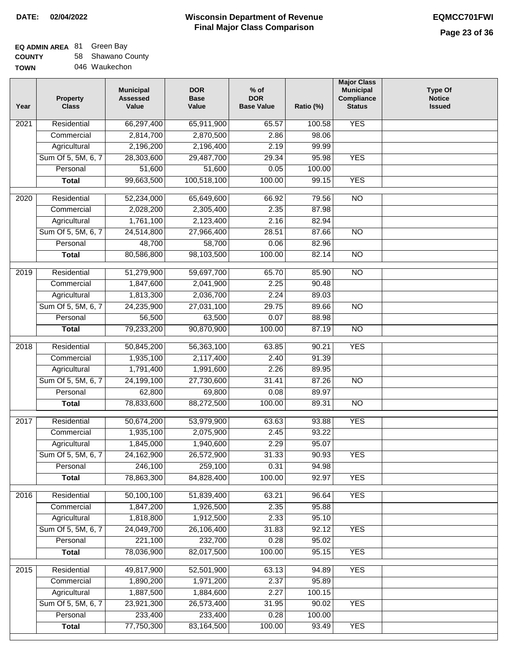# **EQ ADMIN AREA** 81 Green Bay

**COUNTY TOWN** 58 Shawano County 046 Waukechon

| <b>YES</b><br>Residential<br>66,297,400<br>2021<br>65,911,900<br>65.57<br>100.58<br>2,814,700<br>2,870,500<br>2.86<br>98.06<br>Commercial<br>Agricultural<br>2,196,200<br>2,196,400<br>2.19<br>99.99<br>Sum Of 5, 5M, 6, 7<br>28,303,600<br>29,487,700<br>29.34<br>95.98<br><b>YES</b><br>Personal<br>51,600<br>51,600<br>0.05<br>100.00<br>99,663,500<br>100,518,100<br>100.00<br>99.15<br><b>YES</b><br><b>Total</b><br>$\overline{NO}$<br>Residential<br>65,649,600<br>79.56<br>2020<br>52,234,000<br>66.92<br>2.35<br>Commercial<br>2,028,200<br>2,305,400<br>87.98<br>1,761,100<br>Agricultural<br>2,123,400<br>2.16<br>82.94<br>Sum Of 5, 5M, 6, 7<br>28.51<br>$\overline{NO}$<br>24,514,800<br>27,966,400<br>87.66<br>48,700<br>Personal<br>58,700<br>0.06<br>82.96<br>80,586,800<br><b>Total</b><br>98,103,500<br>100.00<br>82.14<br>$\overline{NO}$<br>$\overline{NO}$<br>$\frac{1}{2019}$<br>Residential<br>51,279,900<br>59,697,700<br>85.90<br>65.70<br>2.25<br>90.48<br>1,847,600<br>2,041,900<br>Commercial<br>1,813,300<br>2.24<br>Agricultural<br>2,036,700<br>89.03<br>Sum Of 5, 5M, 6, 7<br>24,235,900<br>27,031,100<br>29.75<br>$\overline{NO}$<br>89.66<br>56,500<br>63,500<br>Personal<br>0.07<br>88.98<br>79,233,200<br>90,870,900<br>100.00<br>87.19<br>$\overline{N}$<br><b>Total</b><br><b>YES</b><br>2018<br>Residential<br>50,845,200<br>56,363,100<br>63.85<br>90.21<br>1,935,100<br>2,117,400<br>2.40<br>91.39<br>Commercial<br>1,791,400<br>1,991,600<br>2.26<br>89.95<br>Agricultural<br>Sum Of 5, 5M, 6, 7<br>24,199,100<br>27,730,600<br>31.41<br>87.26<br>$\overline{10}$<br>62,800<br>69,800<br>89.97<br>Personal<br>0.08<br>78,833,600<br>88,272,500<br>100.00<br>89.31<br>$\overline{10}$<br><b>Total</b><br>Residential<br>50,674,200<br>53,979,900<br>63.63<br>93.88<br><b>YES</b><br>2017<br>1,935,100<br>2,075,900<br>2.45<br>93.22<br>Commercial<br>1,845,000<br>1,940,600<br>2.29<br>95.07<br>Agricultural<br>Sum Of 5, 5M, 6, 7<br>24,162,900<br>26,572,900<br>31.33<br>90.93<br><b>YES</b><br>246,100<br>259,100<br>0.31<br>Personal<br>94.98<br>78,863,300<br>84,828,400<br>100.00<br>92.97<br><b>YES</b><br><b>Total</b><br><b>YES</b><br>Residential<br>50,100,100<br>96.64<br>2016<br>51,839,400<br>63.21<br>Commercial<br>1,847,200<br>1,926,500<br>2.35<br>95.88<br>1,818,800<br>2.33<br>Agricultural<br>1,912,500<br>95.10<br>Sum Of 5, 5M, 6, 7<br>24,049,700<br>26,106,400<br>31.83<br>92.12<br><b>YES</b><br>221,100<br>232,700<br>0.28<br>95.02<br>Personal<br>78,036,900<br>82,017,500<br>100.00<br>95.15<br><b>YES</b><br><b>Total</b><br>49,817,900<br><b>YES</b><br>2015<br>Residential<br>52,501,900<br>63.13<br>94.89<br>2.37<br>95.89<br>Commercial<br>1,890,200<br>1,971,200<br>1,887,500<br>2.27<br>Agricultural<br>1,884,600<br>100.15<br>Sum Of 5, 5M, 6, 7<br>23,921,300<br>26,573,400<br><b>YES</b><br>31.95<br>90.02<br>233,400<br>233,400<br>0.28<br>Personal<br>100.00<br>77,750,300<br>83,164,500<br>100.00<br><b>YES</b><br><b>Total</b><br>93.49 | Year | <b>Property</b><br><b>Class</b> | <b>Municipal</b><br><b>Assessed</b><br>Value | <b>DOR</b><br><b>Base</b><br>Value | $%$ of<br><b>DOR</b><br><b>Base Value</b> | Ratio (%) | <b>Major Class</b><br><b>Municipal</b><br>Compliance<br><b>Status</b> | <b>Type Of</b><br><b>Notice</b><br><b>Issued</b> |
|-----------------------------------------------------------------------------------------------------------------------------------------------------------------------------------------------------------------------------------------------------------------------------------------------------------------------------------------------------------------------------------------------------------------------------------------------------------------------------------------------------------------------------------------------------------------------------------------------------------------------------------------------------------------------------------------------------------------------------------------------------------------------------------------------------------------------------------------------------------------------------------------------------------------------------------------------------------------------------------------------------------------------------------------------------------------------------------------------------------------------------------------------------------------------------------------------------------------------------------------------------------------------------------------------------------------------------------------------------------------------------------------------------------------------------------------------------------------------------------------------------------------------------------------------------------------------------------------------------------------------------------------------------------------------------------------------------------------------------------------------------------------------------------------------------------------------------------------------------------------------------------------------------------------------------------------------------------------------------------------------------------------------------------------------------------------------------------------------------------------------------------------------------------------------------------------------------------------------------------------------------------------------------------------------------------------------------------------------------------------------------------------------------------------------------------------------------------------------------------------------------------------------------------------------------------------------------------------------------------------------------------------------------------------------------------------------------------------------------------------------------------------------------------------------------------------------------------------------------------------------------------------------------------------------------------------------------------------------------------------------------------------------------|------|---------------------------------|----------------------------------------------|------------------------------------|-------------------------------------------|-----------|-----------------------------------------------------------------------|--------------------------------------------------|
|                                                                                                                                                                                                                                                                                                                                                                                                                                                                                                                                                                                                                                                                                                                                                                                                                                                                                                                                                                                                                                                                                                                                                                                                                                                                                                                                                                                                                                                                                                                                                                                                                                                                                                                                                                                                                                                                                                                                                                                                                                                                                                                                                                                                                                                                                                                                                                                                                                                                                                                                                                                                                                                                                                                                                                                                                                                                                                                                                                                                                             |      |                                 |                                              |                                    |                                           |           |                                                                       |                                                  |
|                                                                                                                                                                                                                                                                                                                                                                                                                                                                                                                                                                                                                                                                                                                                                                                                                                                                                                                                                                                                                                                                                                                                                                                                                                                                                                                                                                                                                                                                                                                                                                                                                                                                                                                                                                                                                                                                                                                                                                                                                                                                                                                                                                                                                                                                                                                                                                                                                                                                                                                                                                                                                                                                                                                                                                                                                                                                                                                                                                                                                             |      |                                 |                                              |                                    |                                           |           |                                                                       |                                                  |
|                                                                                                                                                                                                                                                                                                                                                                                                                                                                                                                                                                                                                                                                                                                                                                                                                                                                                                                                                                                                                                                                                                                                                                                                                                                                                                                                                                                                                                                                                                                                                                                                                                                                                                                                                                                                                                                                                                                                                                                                                                                                                                                                                                                                                                                                                                                                                                                                                                                                                                                                                                                                                                                                                                                                                                                                                                                                                                                                                                                                                             |      |                                 |                                              |                                    |                                           |           |                                                                       |                                                  |
|                                                                                                                                                                                                                                                                                                                                                                                                                                                                                                                                                                                                                                                                                                                                                                                                                                                                                                                                                                                                                                                                                                                                                                                                                                                                                                                                                                                                                                                                                                                                                                                                                                                                                                                                                                                                                                                                                                                                                                                                                                                                                                                                                                                                                                                                                                                                                                                                                                                                                                                                                                                                                                                                                                                                                                                                                                                                                                                                                                                                                             |      |                                 |                                              |                                    |                                           |           |                                                                       |                                                  |
|                                                                                                                                                                                                                                                                                                                                                                                                                                                                                                                                                                                                                                                                                                                                                                                                                                                                                                                                                                                                                                                                                                                                                                                                                                                                                                                                                                                                                                                                                                                                                                                                                                                                                                                                                                                                                                                                                                                                                                                                                                                                                                                                                                                                                                                                                                                                                                                                                                                                                                                                                                                                                                                                                                                                                                                                                                                                                                                                                                                                                             |      |                                 |                                              |                                    |                                           |           |                                                                       |                                                  |
|                                                                                                                                                                                                                                                                                                                                                                                                                                                                                                                                                                                                                                                                                                                                                                                                                                                                                                                                                                                                                                                                                                                                                                                                                                                                                                                                                                                                                                                                                                                                                                                                                                                                                                                                                                                                                                                                                                                                                                                                                                                                                                                                                                                                                                                                                                                                                                                                                                                                                                                                                                                                                                                                                                                                                                                                                                                                                                                                                                                                                             |      |                                 |                                              |                                    |                                           |           |                                                                       |                                                  |
|                                                                                                                                                                                                                                                                                                                                                                                                                                                                                                                                                                                                                                                                                                                                                                                                                                                                                                                                                                                                                                                                                                                                                                                                                                                                                                                                                                                                                                                                                                                                                                                                                                                                                                                                                                                                                                                                                                                                                                                                                                                                                                                                                                                                                                                                                                                                                                                                                                                                                                                                                                                                                                                                                                                                                                                                                                                                                                                                                                                                                             |      |                                 |                                              |                                    |                                           |           |                                                                       |                                                  |
|                                                                                                                                                                                                                                                                                                                                                                                                                                                                                                                                                                                                                                                                                                                                                                                                                                                                                                                                                                                                                                                                                                                                                                                                                                                                                                                                                                                                                                                                                                                                                                                                                                                                                                                                                                                                                                                                                                                                                                                                                                                                                                                                                                                                                                                                                                                                                                                                                                                                                                                                                                                                                                                                                                                                                                                                                                                                                                                                                                                                                             |      |                                 |                                              |                                    |                                           |           |                                                                       |                                                  |
|                                                                                                                                                                                                                                                                                                                                                                                                                                                                                                                                                                                                                                                                                                                                                                                                                                                                                                                                                                                                                                                                                                                                                                                                                                                                                                                                                                                                                                                                                                                                                                                                                                                                                                                                                                                                                                                                                                                                                                                                                                                                                                                                                                                                                                                                                                                                                                                                                                                                                                                                                                                                                                                                                                                                                                                                                                                                                                                                                                                                                             |      |                                 |                                              |                                    |                                           |           |                                                                       |                                                  |
|                                                                                                                                                                                                                                                                                                                                                                                                                                                                                                                                                                                                                                                                                                                                                                                                                                                                                                                                                                                                                                                                                                                                                                                                                                                                                                                                                                                                                                                                                                                                                                                                                                                                                                                                                                                                                                                                                                                                                                                                                                                                                                                                                                                                                                                                                                                                                                                                                                                                                                                                                                                                                                                                                                                                                                                                                                                                                                                                                                                                                             |      |                                 |                                              |                                    |                                           |           |                                                                       |                                                  |
|                                                                                                                                                                                                                                                                                                                                                                                                                                                                                                                                                                                                                                                                                                                                                                                                                                                                                                                                                                                                                                                                                                                                                                                                                                                                                                                                                                                                                                                                                                                                                                                                                                                                                                                                                                                                                                                                                                                                                                                                                                                                                                                                                                                                                                                                                                                                                                                                                                                                                                                                                                                                                                                                                                                                                                                                                                                                                                                                                                                                                             |      |                                 |                                              |                                    |                                           |           |                                                                       |                                                  |
|                                                                                                                                                                                                                                                                                                                                                                                                                                                                                                                                                                                                                                                                                                                                                                                                                                                                                                                                                                                                                                                                                                                                                                                                                                                                                                                                                                                                                                                                                                                                                                                                                                                                                                                                                                                                                                                                                                                                                                                                                                                                                                                                                                                                                                                                                                                                                                                                                                                                                                                                                                                                                                                                                                                                                                                                                                                                                                                                                                                                                             |      |                                 |                                              |                                    |                                           |           |                                                                       |                                                  |
|                                                                                                                                                                                                                                                                                                                                                                                                                                                                                                                                                                                                                                                                                                                                                                                                                                                                                                                                                                                                                                                                                                                                                                                                                                                                                                                                                                                                                                                                                                                                                                                                                                                                                                                                                                                                                                                                                                                                                                                                                                                                                                                                                                                                                                                                                                                                                                                                                                                                                                                                                                                                                                                                                                                                                                                                                                                                                                                                                                                                                             |      |                                 |                                              |                                    |                                           |           |                                                                       |                                                  |
|                                                                                                                                                                                                                                                                                                                                                                                                                                                                                                                                                                                                                                                                                                                                                                                                                                                                                                                                                                                                                                                                                                                                                                                                                                                                                                                                                                                                                                                                                                                                                                                                                                                                                                                                                                                                                                                                                                                                                                                                                                                                                                                                                                                                                                                                                                                                                                                                                                                                                                                                                                                                                                                                                                                                                                                                                                                                                                                                                                                                                             |      |                                 |                                              |                                    |                                           |           |                                                                       |                                                  |
|                                                                                                                                                                                                                                                                                                                                                                                                                                                                                                                                                                                                                                                                                                                                                                                                                                                                                                                                                                                                                                                                                                                                                                                                                                                                                                                                                                                                                                                                                                                                                                                                                                                                                                                                                                                                                                                                                                                                                                                                                                                                                                                                                                                                                                                                                                                                                                                                                                                                                                                                                                                                                                                                                                                                                                                                                                                                                                                                                                                                                             |      |                                 |                                              |                                    |                                           |           |                                                                       |                                                  |
|                                                                                                                                                                                                                                                                                                                                                                                                                                                                                                                                                                                                                                                                                                                                                                                                                                                                                                                                                                                                                                                                                                                                                                                                                                                                                                                                                                                                                                                                                                                                                                                                                                                                                                                                                                                                                                                                                                                                                                                                                                                                                                                                                                                                                                                                                                                                                                                                                                                                                                                                                                                                                                                                                                                                                                                                                                                                                                                                                                                                                             |      |                                 |                                              |                                    |                                           |           |                                                                       |                                                  |
|                                                                                                                                                                                                                                                                                                                                                                                                                                                                                                                                                                                                                                                                                                                                                                                                                                                                                                                                                                                                                                                                                                                                                                                                                                                                                                                                                                                                                                                                                                                                                                                                                                                                                                                                                                                                                                                                                                                                                                                                                                                                                                                                                                                                                                                                                                                                                                                                                                                                                                                                                                                                                                                                                                                                                                                                                                                                                                                                                                                                                             |      |                                 |                                              |                                    |                                           |           |                                                                       |                                                  |
|                                                                                                                                                                                                                                                                                                                                                                                                                                                                                                                                                                                                                                                                                                                                                                                                                                                                                                                                                                                                                                                                                                                                                                                                                                                                                                                                                                                                                                                                                                                                                                                                                                                                                                                                                                                                                                                                                                                                                                                                                                                                                                                                                                                                                                                                                                                                                                                                                                                                                                                                                                                                                                                                                                                                                                                                                                                                                                                                                                                                                             |      |                                 |                                              |                                    |                                           |           |                                                                       |                                                  |
|                                                                                                                                                                                                                                                                                                                                                                                                                                                                                                                                                                                                                                                                                                                                                                                                                                                                                                                                                                                                                                                                                                                                                                                                                                                                                                                                                                                                                                                                                                                                                                                                                                                                                                                                                                                                                                                                                                                                                                                                                                                                                                                                                                                                                                                                                                                                                                                                                                                                                                                                                                                                                                                                                                                                                                                                                                                                                                                                                                                                                             |      |                                 |                                              |                                    |                                           |           |                                                                       |                                                  |
|                                                                                                                                                                                                                                                                                                                                                                                                                                                                                                                                                                                                                                                                                                                                                                                                                                                                                                                                                                                                                                                                                                                                                                                                                                                                                                                                                                                                                                                                                                                                                                                                                                                                                                                                                                                                                                                                                                                                                                                                                                                                                                                                                                                                                                                                                                                                                                                                                                                                                                                                                                                                                                                                                                                                                                                                                                                                                                                                                                                                                             |      |                                 |                                              |                                    |                                           |           |                                                                       |                                                  |
|                                                                                                                                                                                                                                                                                                                                                                                                                                                                                                                                                                                                                                                                                                                                                                                                                                                                                                                                                                                                                                                                                                                                                                                                                                                                                                                                                                                                                                                                                                                                                                                                                                                                                                                                                                                                                                                                                                                                                                                                                                                                                                                                                                                                                                                                                                                                                                                                                                                                                                                                                                                                                                                                                                                                                                                                                                                                                                                                                                                                                             |      |                                 |                                              |                                    |                                           |           |                                                                       |                                                  |
|                                                                                                                                                                                                                                                                                                                                                                                                                                                                                                                                                                                                                                                                                                                                                                                                                                                                                                                                                                                                                                                                                                                                                                                                                                                                                                                                                                                                                                                                                                                                                                                                                                                                                                                                                                                                                                                                                                                                                                                                                                                                                                                                                                                                                                                                                                                                                                                                                                                                                                                                                                                                                                                                                                                                                                                                                                                                                                                                                                                                                             |      |                                 |                                              |                                    |                                           |           |                                                                       |                                                  |
|                                                                                                                                                                                                                                                                                                                                                                                                                                                                                                                                                                                                                                                                                                                                                                                                                                                                                                                                                                                                                                                                                                                                                                                                                                                                                                                                                                                                                                                                                                                                                                                                                                                                                                                                                                                                                                                                                                                                                                                                                                                                                                                                                                                                                                                                                                                                                                                                                                                                                                                                                                                                                                                                                                                                                                                                                                                                                                                                                                                                                             |      |                                 |                                              |                                    |                                           |           |                                                                       |                                                  |
|                                                                                                                                                                                                                                                                                                                                                                                                                                                                                                                                                                                                                                                                                                                                                                                                                                                                                                                                                                                                                                                                                                                                                                                                                                                                                                                                                                                                                                                                                                                                                                                                                                                                                                                                                                                                                                                                                                                                                                                                                                                                                                                                                                                                                                                                                                                                                                                                                                                                                                                                                                                                                                                                                                                                                                                                                                                                                                                                                                                                                             |      |                                 |                                              |                                    |                                           |           |                                                                       |                                                  |
|                                                                                                                                                                                                                                                                                                                                                                                                                                                                                                                                                                                                                                                                                                                                                                                                                                                                                                                                                                                                                                                                                                                                                                                                                                                                                                                                                                                                                                                                                                                                                                                                                                                                                                                                                                                                                                                                                                                                                                                                                                                                                                                                                                                                                                                                                                                                                                                                                                                                                                                                                                                                                                                                                                                                                                                                                                                                                                                                                                                                                             |      |                                 |                                              |                                    |                                           |           |                                                                       |                                                  |
|                                                                                                                                                                                                                                                                                                                                                                                                                                                                                                                                                                                                                                                                                                                                                                                                                                                                                                                                                                                                                                                                                                                                                                                                                                                                                                                                                                                                                                                                                                                                                                                                                                                                                                                                                                                                                                                                                                                                                                                                                                                                                                                                                                                                                                                                                                                                                                                                                                                                                                                                                                                                                                                                                                                                                                                                                                                                                                                                                                                                                             |      |                                 |                                              |                                    |                                           |           |                                                                       |                                                  |
|                                                                                                                                                                                                                                                                                                                                                                                                                                                                                                                                                                                                                                                                                                                                                                                                                                                                                                                                                                                                                                                                                                                                                                                                                                                                                                                                                                                                                                                                                                                                                                                                                                                                                                                                                                                                                                                                                                                                                                                                                                                                                                                                                                                                                                                                                                                                                                                                                                                                                                                                                                                                                                                                                                                                                                                                                                                                                                                                                                                                                             |      |                                 |                                              |                                    |                                           |           |                                                                       |                                                  |
|                                                                                                                                                                                                                                                                                                                                                                                                                                                                                                                                                                                                                                                                                                                                                                                                                                                                                                                                                                                                                                                                                                                                                                                                                                                                                                                                                                                                                                                                                                                                                                                                                                                                                                                                                                                                                                                                                                                                                                                                                                                                                                                                                                                                                                                                                                                                                                                                                                                                                                                                                                                                                                                                                                                                                                                                                                                                                                                                                                                                                             |      |                                 |                                              |                                    |                                           |           |                                                                       |                                                  |
|                                                                                                                                                                                                                                                                                                                                                                                                                                                                                                                                                                                                                                                                                                                                                                                                                                                                                                                                                                                                                                                                                                                                                                                                                                                                                                                                                                                                                                                                                                                                                                                                                                                                                                                                                                                                                                                                                                                                                                                                                                                                                                                                                                                                                                                                                                                                                                                                                                                                                                                                                                                                                                                                                                                                                                                                                                                                                                                                                                                                                             |      |                                 |                                              |                                    |                                           |           |                                                                       |                                                  |
|                                                                                                                                                                                                                                                                                                                                                                                                                                                                                                                                                                                                                                                                                                                                                                                                                                                                                                                                                                                                                                                                                                                                                                                                                                                                                                                                                                                                                                                                                                                                                                                                                                                                                                                                                                                                                                                                                                                                                                                                                                                                                                                                                                                                                                                                                                                                                                                                                                                                                                                                                                                                                                                                                                                                                                                                                                                                                                                                                                                                                             |      |                                 |                                              |                                    |                                           |           |                                                                       |                                                  |
|                                                                                                                                                                                                                                                                                                                                                                                                                                                                                                                                                                                                                                                                                                                                                                                                                                                                                                                                                                                                                                                                                                                                                                                                                                                                                                                                                                                                                                                                                                                                                                                                                                                                                                                                                                                                                                                                                                                                                                                                                                                                                                                                                                                                                                                                                                                                                                                                                                                                                                                                                                                                                                                                                                                                                                                                                                                                                                                                                                                                                             |      |                                 |                                              |                                    |                                           |           |                                                                       |                                                  |
|                                                                                                                                                                                                                                                                                                                                                                                                                                                                                                                                                                                                                                                                                                                                                                                                                                                                                                                                                                                                                                                                                                                                                                                                                                                                                                                                                                                                                                                                                                                                                                                                                                                                                                                                                                                                                                                                                                                                                                                                                                                                                                                                                                                                                                                                                                                                                                                                                                                                                                                                                                                                                                                                                                                                                                                                                                                                                                                                                                                                                             |      |                                 |                                              |                                    |                                           |           |                                                                       |                                                  |
|                                                                                                                                                                                                                                                                                                                                                                                                                                                                                                                                                                                                                                                                                                                                                                                                                                                                                                                                                                                                                                                                                                                                                                                                                                                                                                                                                                                                                                                                                                                                                                                                                                                                                                                                                                                                                                                                                                                                                                                                                                                                                                                                                                                                                                                                                                                                                                                                                                                                                                                                                                                                                                                                                                                                                                                                                                                                                                                                                                                                                             |      |                                 |                                              |                                    |                                           |           |                                                                       |                                                  |
|                                                                                                                                                                                                                                                                                                                                                                                                                                                                                                                                                                                                                                                                                                                                                                                                                                                                                                                                                                                                                                                                                                                                                                                                                                                                                                                                                                                                                                                                                                                                                                                                                                                                                                                                                                                                                                                                                                                                                                                                                                                                                                                                                                                                                                                                                                                                                                                                                                                                                                                                                                                                                                                                                                                                                                                                                                                                                                                                                                                                                             |      |                                 |                                              |                                    |                                           |           |                                                                       |                                                  |
|                                                                                                                                                                                                                                                                                                                                                                                                                                                                                                                                                                                                                                                                                                                                                                                                                                                                                                                                                                                                                                                                                                                                                                                                                                                                                                                                                                                                                                                                                                                                                                                                                                                                                                                                                                                                                                                                                                                                                                                                                                                                                                                                                                                                                                                                                                                                                                                                                                                                                                                                                                                                                                                                                                                                                                                                                                                                                                                                                                                                                             |      |                                 |                                              |                                    |                                           |           |                                                                       |                                                  |
|                                                                                                                                                                                                                                                                                                                                                                                                                                                                                                                                                                                                                                                                                                                                                                                                                                                                                                                                                                                                                                                                                                                                                                                                                                                                                                                                                                                                                                                                                                                                                                                                                                                                                                                                                                                                                                                                                                                                                                                                                                                                                                                                                                                                                                                                                                                                                                                                                                                                                                                                                                                                                                                                                                                                                                                                                                                                                                                                                                                                                             |      |                                 |                                              |                                    |                                           |           |                                                                       |                                                  |
|                                                                                                                                                                                                                                                                                                                                                                                                                                                                                                                                                                                                                                                                                                                                                                                                                                                                                                                                                                                                                                                                                                                                                                                                                                                                                                                                                                                                                                                                                                                                                                                                                                                                                                                                                                                                                                                                                                                                                                                                                                                                                                                                                                                                                                                                                                                                                                                                                                                                                                                                                                                                                                                                                                                                                                                                                                                                                                                                                                                                                             |      |                                 |                                              |                                    |                                           |           |                                                                       |                                                  |
|                                                                                                                                                                                                                                                                                                                                                                                                                                                                                                                                                                                                                                                                                                                                                                                                                                                                                                                                                                                                                                                                                                                                                                                                                                                                                                                                                                                                                                                                                                                                                                                                                                                                                                                                                                                                                                                                                                                                                                                                                                                                                                                                                                                                                                                                                                                                                                                                                                                                                                                                                                                                                                                                                                                                                                                                                                                                                                                                                                                                                             |      |                                 |                                              |                                    |                                           |           |                                                                       |                                                  |
|                                                                                                                                                                                                                                                                                                                                                                                                                                                                                                                                                                                                                                                                                                                                                                                                                                                                                                                                                                                                                                                                                                                                                                                                                                                                                                                                                                                                                                                                                                                                                                                                                                                                                                                                                                                                                                                                                                                                                                                                                                                                                                                                                                                                                                                                                                                                                                                                                                                                                                                                                                                                                                                                                                                                                                                                                                                                                                                                                                                                                             |      |                                 |                                              |                                    |                                           |           |                                                                       |                                                  |
|                                                                                                                                                                                                                                                                                                                                                                                                                                                                                                                                                                                                                                                                                                                                                                                                                                                                                                                                                                                                                                                                                                                                                                                                                                                                                                                                                                                                                                                                                                                                                                                                                                                                                                                                                                                                                                                                                                                                                                                                                                                                                                                                                                                                                                                                                                                                                                                                                                                                                                                                                                                                                                                                                                                                                                                                                                                                                                                                                                                                                             |      |                                 |                                              |                                    |                                           |           |                                                                       |                                                  |
|                                                                                                                                                                                                                                                                                                                                                                                                                                                                                                                                                                                                                                                                                                                                                                                                                                                                                                                                                                                                                                                                                                                                                                                                                                                                                                                                                                                                                                                                                                                                                                                                                                                                                                                                                                                                                                                                                                                                                                                                                                                                                                                                                                                                                                                                                                                                                                                                                                                                                                                                                                                                                                                                                                                                                                                                                                                                                                                                                                                                                             |      |                                 |                                              |                                    |                                           |           |                                                                       |                                                  |
|                                                                                                                                                                                                                                                                                                                                                                                                                                                                                                                                                                                                                                                                                                                                                                                                                                                                                                                                                                                                                                                                                                                                                                                                                                                                                                                                                                                                                                                                                                                                                                                                                                                                                                                                                                                                                                                                                                                                                                                                                                                                                                                                                                                                                                                                                                                                                                                                                                                                                                                                                                                                                                                                                                                                                                                                                                                                                                                                                                                                                             |      |                                 |                                              |                                    |                                           |           |                                                                       |                                                  |
|                                                                                                                                                                                                                                                                                                                                                                                                                                                                                                                                                                                                                                                                                                                                                                                                                                                                                                                                                                                                                                                                                                                                                                                                                                                                                                                                                                                                                                                                                                                                                                                                                                                                                                                                                                                                                                                                                                                                                                                                                                                                                                                                                                                                                                                                                                                                                                                                                                                                                                                                                                                                                                                                                                                                                                                                                                                                                                                                                                                                                             |      |                                 |                                              |                                    |                                           |           |                                                                       |                                                  |
|                                                                                                                                                                                                                                                                                                                                                                                                                                                                                                                                                                                                                                                                                                                                                                                                                                                                                                                                                                                                                                                                                                                                                                                                                                                                                                                                                                                                                                                                                                                                                                                                                                                                                                                                                                                                                                                                                                                                                                                                                                                                                                                                                                                                                                                                                                                                                                                                                                                                                                                                                                                                                                                                                                                                                                                                                                                                                                                                                                                                                             |      |                                 |                                              |                                    |                                           |           |                                                                       |                                                  |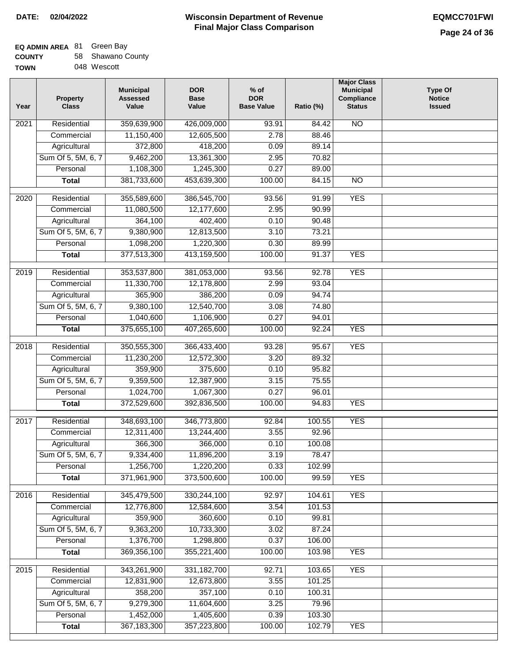### **Wisconsin Department of Revenue Final Major Class Comparison DATE: 02/04/2022 EQMCC701FWI**

### **EQ ADMIN AREA** 81 Green Bay **COUNTY**

| <b>COUNTY</b> | 58 Shawano County |
|---------------|-------------------|
| <b>TOWN</b>   | 048 Wescott       |

| Year             | <b>Property</b><br><b>Class</b> | <b>Municipal</b><br><b>Assessed</b><br>Value | <b>DOR</b><br><b>Base</b><br>Value | $%$ of<br><b>DOR</b><br><b>Base Value</b> | Ratio (%) | <b>Major Class</b><br><b>Municipal</b><br>Compliance<br><b>Status</b> | <b>Type Of</b><br><b>Notice</b><br><b>Issued</b> |
|------------------|---------------------------------|----------------------------------------------|------------------------------------|-------------------------------------------|-----------|-----------------------------------------------------------------------|--------------------------------------------------|
| 2021             | Residential                     | 359,639,900                                  | 426,009,000                        | 93.91                                     | 84.42     | $\overline{NO}$                                                       |                                                  |
|                  | Commercial                      | 11,150,400                                   | 12,605,500                         | 2.78                                      | 88.46     |                                                                       |                                                  |
|                  | Agricultural                    | 372,800                                      | 418,200                            | 0.09                                      | 89.14     |                                                                       |                                                  |
|                  | Sum Of 5, 5M, 6, 7              | 9,462,200                                    | 13,361,300                         | 2.95                                      | 70.82     |                                                                       |                                                  |
|                  | Personal                        | 1,108,300                                    | 1,245,300                          | 0.27                                      | 89.00     |                                                                       |                                                  |
|                  | <b>Total</b>                    | 381,733,600                                  | 453,639,300                        | 100.00                                    | 84.15     | $\overline{NO}$                                                       |                                                  |
| $\frac{1}{2020}$ | Residential                     | 355,589,600                                  | 386,545,700                        | 93.56                                     | 91.99     | <b>YES</b>                                                            |                                                  |
|                  | Commercial                      | 11,080,500                                   | 12,177,600                         | 2.95                                      | 90.99     |                                                                       |                                                  |
|                  | Agricultural                    | 364,100                                      | 402,400                            | 0.10                                      | 90.48     |                                                                       |                                                  |
|                  | Sum Of 5, 5M, 6, 7              | 9,380,900                                    | 12,813,500                         | 3.10                                      | 73.21     |                                                                       |                                                  |
|                  | Personal                        | 1,098,200                                    | 1,220,300                          | 0.30                                      | 89.99     |                                                                       |                                                  |
|                  | <b>Total</b>                    | 377,513,300                                  | 413,159,500                        | 100.00                                    | 91.37     | <b>YES</b>                                                            |                                                  |
| $\frac{1}{2019}$ | Residential                     | 353,537,800                                  | 381,053,000                        | 93.56                                     | 92.78     | <b>YES</b>                                                            |                                                  |
|                  | Commercial                      | 11,330,700                                   | 12,178,800                         | 2.99                                      | 93.04     |                                                                       |                                                  |
|                  | Agricultural                    | 365,900                                      | 386,200                            | 0.09                                      | 94.74     |                                                                       |                                                  |
|                  | Sum Of 5, 5M, 6, 7              | 9,380,100                                    | 12,540,700                         | 3.08                                      | 74.80     |                                                                       |                                                  |
|                  | Personal                        | 1,040,600                                    | 1,106,900                          | 0.27                                      | 94.01     |                                                                       |                                                  |
|                  | <b>Total</b>                    | 375,655,100                                  | 407,265,600                        | 100.00                                    | 92.24     | <b>YES</b>                                                            |                                                  |
|                  |                                 |                                              |                                    |                                           |           |                                                                       |                                                  |
| 2018             | Residential                     | 350,555,300                                  | 366,433,400                        | 93.28                                     | 95.67     | <b>YES</b>                                                            |                                                  |
|                  | Commercial                      | 11,230,200                                   | 12,572,300                         | 3.20                                      | 89.32     |                                                                       |                                                  |
|                  | Agricultural                    | 359,900                                      | 375,600                            | 0.10                                      | 95.82     |                                                                       |                                                  |
|                  | Sum Of 5, 5M, 6, 7              | 9,359,500                                    | 12,387,900                         | 3.15                                      | 75.55     |                                                                       |                                                  |
|                  | Personal                        | 1,024,700                                    | 1,067,300                          | 0.27                                      | 96.01     |                                                                       |                                                  |
|                  | <b>Total</b>                    | 372,529,600                                  | 392,836,500                        | 100.00                                    | 94.83     | <b>YES</b>                                                            |                                                  |
| 2017             | Residential                     | 348,693,100                                  | 346,773,800                        | 92.84                                     | 100.55    | <b>YES</b>                                                            |                                                  |
|                  | Commercial                      | 12,311,400                                   | 13,244,400                         | 3.55                                      | 92.96     |                                                                       |                                                  |
|                  | Agricultural                    | 366,300                                      | 366,000                            | 0.10                                      | 100.08    |                                                                       |                                                  |
|                  | Sum Of 5, 5M, 6, 7              | 9,334,400                                    | 11,896,200                         | 3.19                                      | 78.47     |                                                                       |                                                  |
|                  | Personal                        | 1,256,700                                    | 1,220,200                          | 0.33                                      | 102.99    |                                                                       |                                                  |
|                  | <b>Total</b>                    | 371,961,900                                  | 373,500,600                        | 100.00                                    | 99.59     | <b>YES</b>                                                            |                                                  |
| 2016             | Residential                     | 345,479,500                                  | 330,244,100                        | 92.97                                     | 104.61    | <b>YES</b>                                                            |                                                  |
|                  | Commercial                      | 12,776,800                                   | 12,584,600                         | 3.54                                      | 101.53    |                                                                       |                                                  |
|                  | Agricultural                    | 359,900                                      | 360,600                            | 0.10                                      | 99.81     |                                                                       |                                                  |
|                  | Sum Of 5, 5M, 6, 7              | 9,363,200                                    | 10,733,300                         | 3.02                                      | 87.24     |                                                                       |                                                  |
|                  | Personal                        | 1,376,700                                    | 1,298,800                          | 0.37                                      | 106.00    |                                                                       |                                                  |
|                  | <b>Total</b>                    | 369,356,100                                  | 355,221,400                        | 100.00                                    | 103.98    | <b>YES</b>                                                            |                                                  |
| 2015             | Residential                     | 343,261,900                                  | 331, 182, 700                      | 92.71                                     | 103.65    | <b>YES</b>                                                            |                                                  |
|                  | Commercial                      | 12,831,900                                   | 12,673,800                         | 3.55                                      | 101.25    |                                                                       |                                                  |
|                  | Agricultural                    | 358,200                                      | 357,100                            | 0.10                                      | 100.31    |                                                                       |                                                  |
|                  | Sum Of 5, 5M, 6, 7              | 9,279,300                                    | 11,604,600                         | 3.25                                      | 79.96     |                                                                       |                                                  |
|                  | Personal                        | 1,452,000                                    | 1,405,600                          | 0.39                                      | 103.30    |                                                                       |                                                  |
|                  | <b>Total</b>                    | 367, 183, 300                                | 357,223,800                        | 100.00                                    | 102.79    | <b>YES</b>                                                            |                                                  |
|                  |                                 |                                              |                                    |                                           |           |                                                                       |                                                  |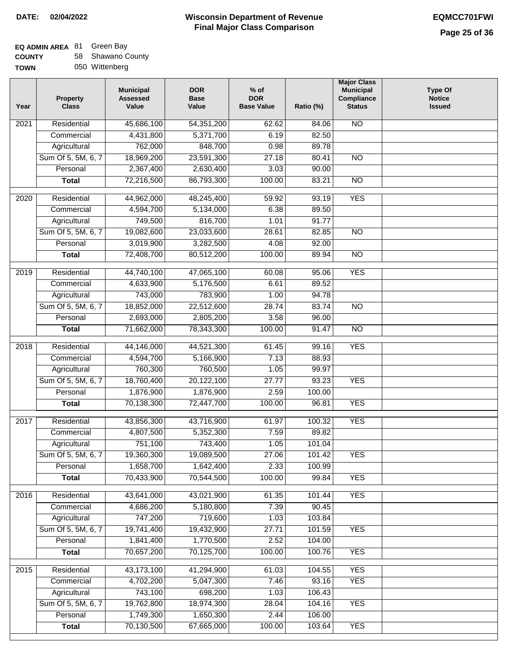### **EQ ADMIN AREA** 81 Green Bay

| <b>COUNTY</b> | 58 Shawano County |
|---------------|-------------------|
| <b>TOWN</b>   | 050 Wittenberg    |

| 45,686,100<br>N <sub>O</sub><br>Residential<br>54, 351, 200<br>2021<br>62.62<br>84.06 |  |
|---------------------------------------------------------------------------------------|--|
|                                                                                       |  |
| 5,371,700<br>6.19<br>82.50<br>Commercial<br>4,431,800                                 |  |
| 762,000<br>848,700<br>Agricultural<br>0.98<br>89.78                                   |  |
| 18,969,200<br>Sum Of 5, 5M, 6, 7<br>23,591,300<br>27.18<br>80.41<br>$\overline{NO}$   |  |
| 2,367,400<br>3.03<br>Personal<br>2,630,400<br>90.00                                   |  |
| 86,793,300<br>100.00<br>72,216,500<br>83.21<br>$\overline{NO}$<br><b>Total</b>        |  |
| <b>YES</b><br>Residential<br>44,962,000<br>48,245,400<br>59.92<br>93.19<br>2020       |  |
| Commercial<br>4,594,700<br>5,134,000<br>6.38<br>89.50                                 |  |
| 749,500<br>816,700<br>1.01<br>91.77<br>Agricultural                                   |  |
| 19,082,600<br>$\overline{NO}$<br>Sum Of 5, 5M, 6, 7<br>23,033,600<br>28.61<br>82.85   |  |
| Personal<br>3,019,900<br>3,282,500<br>4.08<br>92.00                                   |  |
| 72,408,700<br>80,512,200<br>100.00<br>89.94<br>$\overline{NO}$<br><b>Total</b>        |  |
| Residential<br>44,740,100<br>47,065,100<br>60.08<br>95.06<br><b>YES</b><br>2019       |  |
| Commercial<br>4,633,900<br>5,176,500<br>6.61<br>89.52                                 |  |
| 743,000<br>Agricultural<br>783,900<br>1.00<br>94.78                                   |  |
| Sum Of 5, 5M, 6, 7<br>18,852,000<br>22,512,600<br>28.74<br>$\overline{NO}$<br>83.74   |  |
| 2,693,000<br>Personal<br>2,805,200<br>3.58<br>96.00                                   |  |
| 71,662,000<br>78,343,300<br>100.00<br>91.47<br>$\overline{NO}$<br><b>Total</b>        |  |
|                                                                                       |  |
| 44,146,000<br><b>YES</b><br>2018<br>Residential<br>44,521,300<br>61.45<br>99.16       |  |
| Commercial<br>4,594,700<br>5,166,900<br>7.13<br>88.93                                 |  |
| 760,300<br>760,500<br>1.05<br>99.97<br>Agricultural                                   |  |
| Sum Of 5, 5M, 6, 7<br>18,760,400<br>20,122,100<br>27.77<br>93.23<br><b>YES</b>        |  |
| 1,876,900<br>2.59<br>Personal<br>1,876,900<br>100.00                                  |  |
| 70,138,300<br>72,447,700<br>100.00<br>96.81<br><b>YES</b><br><b>Total</b>             |  |
| <b>YES</b><br>2017<br>Residential<br>43,856,300<br>43,716,900<br>61.97<br>100.32      |  |
| 4,807,500<br>5,352,300<br>7.59<br>89.82<br>Commercial                                 |  |
| 751,100<br>743,400<br>1.05<br>101.04<br>Agricultural                                  |  |
| Sum Of 5, 5M, 6, 7<br>19,360,300<br>19,089,500<br>27.06<br>101.42<br>YES              |  |
| 1,658,700<br>1,642,400<br>2.33<br>Personal<br>100.99                                  |  |
| 70,433,900<br>70,544,500<br>100.00<br><b>YES</b><br>99.84<br><b>Total</b>             |  |
| Residential<br>43,641,000<br>43,021,900<br>61.35<br>101.44<br><b>YES</b><br>2016      |  |
| 5,180,800<br>7.39<br>Commercial<br>4,686,200<br>90.45                                 |  |
| 747,200<br>719,600<br>1.03<br>103.84<br>Agricultural                                  |  |
| 19,741,400<br>Sum Of 5, 5M, 6, 7<br>19,432,900<br>101.59<br><b>YES</b><br>27.71       |  |
| 1,841,400<br>Personal<br>1,770,500<br>2.52<br>104.00                                  |  |
| 70,657,200<br>70,125,700<br>100.00<br>100.76<br><b>YES</b><br><b>Total</b>            |  |
| Residential<br>43,173,100<br>104.55<br><b>YES</b><br>2015<br>41,294,900<br>61.03      |  |
| Commercial<br>4,702,200<br>5,047,300<br>7.46<br>93.16<br><b>YES</b>                   |  |
| 743,100<br>698,200<br>Agricultural<br>1.03<br>106.43                                  |  |
| Sum Of 5, 5M, 6, 7<br>19,762,800<br>18,974,300<br>28.04<br>104.16<br><b>YES</b>       |  |
| Personal<br>1,749,300<br>1,650,300<br>2.44<br>106.00                                  |  |
| 70,130,500<br>67,665,000<br>100.00<br><b>YES</b><br><b>Total</b><br>103.64            |  |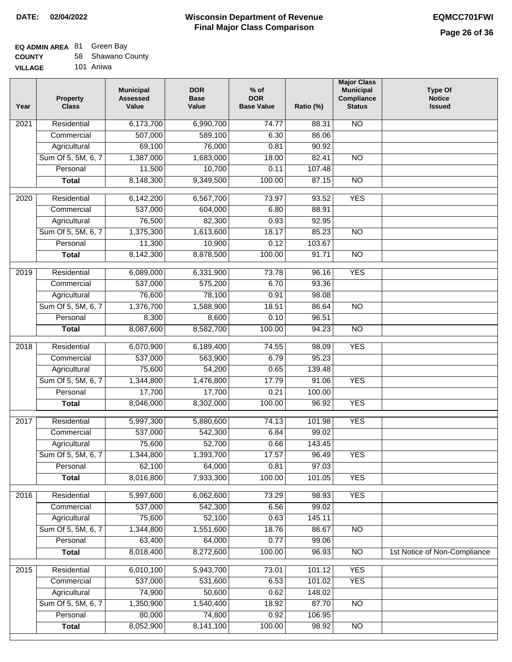## **EQ ADMIN AREA** 81 Green Bay

| <b>COUNTY</b> |  | 58 Shawano County |  |
|---------------|--|-------------------|--|
|---------------|--|-------------------|--|

**VILLAGE** 101 Aniwa

| Year | <b>Property</b><br><b>Class</b> | <b>Municipal</b><br><b>Assessed</b><br>Value | <b>DOR</b><br><b>Base</b><br>Value | $%$ of<br><b>DOR</b><br><b>Base Value</b> | Ratio (%) | <b>Major Class</b><br><b>Municipal</b><br>Compliance<br><b>Status</b> | <b>Type Of</b><br><b>Notice</b><br><b>Issued</b> |
|------|---------------------------------|----------------------------------------------|------------------------------------|-------------------------------------------|-----------|-----------------------------------------------------------------------|--------------------------------------------------|
| 2021 | Residential                     | 6,173,700                                    | 6,990,700                          | 74.77                                     | 88.31     | N <sub>O</sub>                                                        |                                                  |
|      | Commercial                      | 507,000                                      | 589,100                            | 6.30                                      | 86.06     |                                                                       |                                                  |
|      | Agricultural                    | 69,100                                       | 76,000                             | 0.81                                      | 90.92     |                                                                       |                                                  |
|      | Sum Of 5, 5M, 6, 7              | 1,387,000                                    | 1,683,000                          | 18.00                                     | 82.41     | $\overline{NO}$                                                       |                                                  |
|      | Personal                        | 11,500                                       | 10,700                             | 0.11                                      | 107.48    |                                                                       |                                                  |
|      | <b>Total</b>                    | 8,148,300                                    | 9,349,500                          | 100.00                                    | 87.15     | $\overline{NO}$                                                       |                                                  |
| 2020 | Residential                     | 6,142,200                                    | 6,567,700                          | 73.97                                     | 93.52     | <b>YES</b>                                                            |                                                  |
|      | Commercial                      | 537,000                                      | 604,000                            | 6.80                                      | 88.91     |                                                                       |                                                  |
|      | Agricultural                    | 76,500                                       | 82,300                             | 0.93                                      | 92.95     |                                                                       |                                                  |
|      | Sum Of 5, 5M, 6, 7              | 1,375,300                                    | 1,613,600                          | 18.17                                     | 85.23     | $\overline{NO}$                                                       |                                                  |
|      | Personal                        | 11,300                                       | 10,900                             | 0.12                                      | 103.67    |                                                                       |                                                  |
|      | <b>Total</b>                    | 8,142,300                                    | 8,878,500                          | 100.00                                    | 91.71     | $\overline{NO}$                                                       |                                                  |
| 2019 | Residential                     | 6,089,000                                    | 6,331,900                          | 73.78                                     | 96.16     | <b>YES</b>                                                            |                                                  |
|      | Commercial                      | 537,000                                      | 575,200                            | 6.70                                      | 93.36     |                                                                       |                                                  |
|      | Agricultural                    | 76,600                                       | 78,100                             | 0.91                                      | 98.08     |                                                                       |                                                  |
|      | Sum Of 5, 5M, 6, 7              | 1,376,700                                    | 1,588,900                          | 18.51                                     | 86.64     | $\overline{NO}$                                                       |                                                  |
|      | Personal                        | 8,300                                        | 8,600                              | 0.10                                      | 96.51     |                                                                       |                                                  |
|      | <b>Total</b>                    | 8,087,600                                    | 8,582,700                          | 100.00                                    | 94.23     | $\overline{NO}$                                                       |                                                  |
| 2018 | Residential                     | 6,070,900                                    | 6,189,400                          | 74.55                                     | 98.09     | <b>YES</b>                                                            |                                                  |
|      | Commercial                      | 537,000                                      | 563,900                            | 6.79                                      | 95.23     |                                                                       |                                                  |
|      | Agricultural                    | 75,600                                       | 54,200                             | 0.65                                      | 139.48    |                                                                       |                                                  |
|      | Sum Of 5, 5M, 6, 7              | 1,344,800                                    | 1,476,800                          | 17.79                                     | 91.06     | <b>YES</b>                                                            |                                                  |
|      | Personal                        | 17,700                                       | 17,700                             | 0.21                                      | 100.00    |                                                                       |                                                  |
|      | <b>Total</b>                    | 8,046,000                                    | 8,302,000                          | 100.00                                    | 96.92     | <b>YES</b>                                                            |                                                  |
| 2017 | Residential                     | 5,997,300                                    | 5,880,600                          | 74.13                                     | 101.98    | <b>YES</b>                                                            |                                                  |
|      | Commercial                      | 537,000                                      | 542,300                            | 6.84                                      | 99.02     |                                                                       |                                                  |
|      | Agricultural                    | 75,600                                       | 52,700                             | 0.66                                      | 143.45    |                                                                       |                                                  |
|      | Sum Of 5, 5M, 6, 7              | 1,344,800                                    | 1,393,700                          | 17.57                                     | 96.49     | <b>YES</b>                                                            |                                                  |
|      | Personal                        | 62,100                                       | 64,000                             | 0.81                                      | 97.03     |                                                                       |                                                  |
|      | <b>Total</b>                    | 8,016,800                                    | 7,933,300                          | 100.00                                    | 101.05    | <b>YES</b>                                                            |                                                  |
| 2016 | Residential                     | 5,997,600                                    | 6,062,600                          | 73.29                                     | 98.93     | <b>YES</b>                                                            |                                                  |
|      | Commercial                      | 537,000                                      | 542,300                            | 6.56                                      | 99.02     |                                                                       |                                                  |
|      | Agricultural                    | 75,600                                       | 52,100                             | 0.63                                      | 145.11    |                                                                       |                                                  |
|      | Sum Of 5, 5M, 6, 7              | 1,344,800                                    | 1,551,600                          | 18.76                                     | 86.67     | N <sub>O</sub>                                                        |                                                  |
|      | Personal                        | 63,400                                       | 64,000                             | 0.77                                      | 99.06     |                                                                       |                                                  |
|      | <b>Total</b>                    | 8,018,400                                    | 8,272,600                          | 100.00                                    | 96.93     | N <sub>O</sub>                                                        | 1st Notice of Non-Compliance                     |
|      |                                 |                                              |                                    |                                           |           |                                                                       |                                                  |
| 2015 | Residential                     | 6,010,100                                    | 5,943,700                          | 73.01                                     | 101.12    | <b>YES</b>                                                            |                                                  |
|      | Commercial                      | 537,000                                      | 531,600                            | 6.53                                      | 101.02    | <b>YES</b>                                                            |                                                  |
|      | Agricultural                    | 74,900                                       | 50,600                             | 0.62                                      | 148.02    |                                                                       |                                                  |
|      | Sum Of 5, 5M, 6, 7              | 1,350,900                                    | 1,540,400                          | 18.92                                     | 87.70     | $\overline{NO}$                                                       |                                                  |
|      | Personal                        | 80,000                                       | 74,800                             | 0.92                                      | 106.95    |                                                                       |                                                  |
|      | <b>Total</b>                    | 8,052,900                                    | 8,141,100                          | 100.00                                    | 98.92     | N <sub>O</sub>                                                        |                                                  |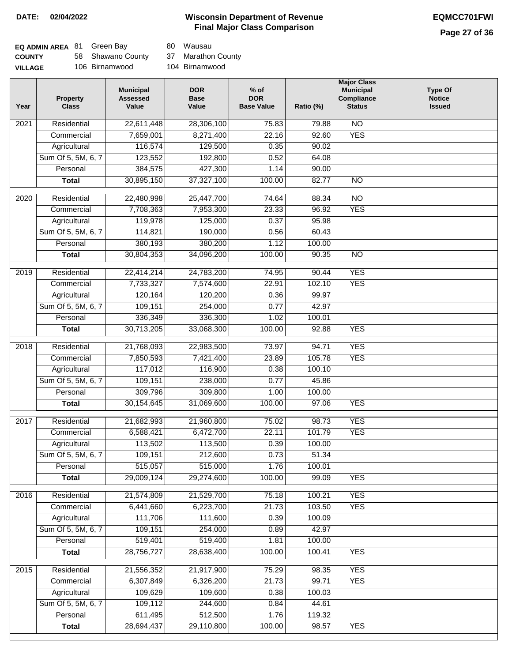## **Wisconsin Department of Revenue DATE: 02/04/2022 EQMCC701FWI Final Major Class Comparison**

## **Page 27 of 36**

| <b>EQ ADMIN AREA 81 Green Bay</b> |                   | 80 Wausau      |
|-----------------------------------|-------------------|----------------|
| <b>COUNTY</b>                     | 58 Shawano County | 37 Marathon Co |
| <b>VILLAGE</b>                    | 106 Birnamwood    | 104 Birnamwood |

37 Marathon County

| Year | <b>Property</b><br><b>Class</b> | <b>Municipal</b><br><b>Assessed</b><br>Value | <b>DOR</b><br><b>Base</b><br>Value | $%$ of<br><b>DOR</b><br><b>Base Value</b> | Ratio (%) | <b>Major Class</b><br><b>Municipal</b><br>Compliance<br><b>Status</b> | <b>Type Of</b><br><b>Notice</b><br><b>Issued</b> |
|------|---------------------------------|----------------------------------------------|------------------------------------|-------------------------------------------|-----------|-----------------------------------------------------------------------|--------------------------------------------------|
| 2021 | Residential                     | 22,611,448                                   | 28,306,100                         | 75.83                                     | 79.88     | N <sub>O</sub>                                                        |                                                  |
|      | Commercial                      | 7,659,001                                    | 8,271,400                          | 22.16                                     | 92.60     | <b>YES</b>                                                            |                                                  |
|      | Agricultural                    | 116,574                                      | 129,500                            | 0.35                                      | 90.02     |                                                                       |                                                  |
|      | Sum Of 5, 5M, 6, 7              | 123,552                                      | 192,800                            | 0.52                                      | 64.08     |                                                                       |                                                  |
|      | Personal                        | 384,575                                      | 427,300                            | 1.14                                      | 90.00     |                                                                       |                                                  |
|      | <b>Total</b>                    | 30,895,150                                   | 37,327,100                         | 100.00                                    | 82.77     | $\overline{NO}$                                                       |                                                  |
| 2020 | Residential                     | 22,480,998                                   | 25,447,700                         | 74.64                                     | 88.34     | $\overline{NO}$                                                       |                                                  |
|      | Commercial                      | 7,708,363                                    | 7,953,300                          | 23.33                                     | 96.92     | <b>YES</b>                                                            |                                                  |
|      | Agricultural                    | 119,978                                      | 125,000                            | 0.37                                      | 95.98     |                                                                       |                                                  |
|      | Sum Of 5, 5M, 6, 7              | 114,821                                      | 190,000                            | 0.56                                      | 60.43     |                                                                       |                                                  |
|      | Personal                        | 380,193                                      | 380,200                            | 1.12                                      | 100.00    |                                                                       |                                                  |
|      | <b>Total</b>                    | 30,804,353                                   | 34,096,200                         | 100.00                                    | 90.35     | $\overline{NO}$                                                       |                                                  |
| 2019 | Residential                     | 22,414,214                                   | 24,783,200                         | 74.95                                     | 90.44     | <b>YES</b>                                                            |                                                  |
|      | Commercial                      | 7,733,327                                    | 7,574,600                          | 22.91                                     | 102.10    | <b>YES</b>                                                            |                                                  |
|      | Agricultural                    | 120,164                                      | 120,200                            | 0.36                                      | 99.97     |                                                                       |                                                  |
|      | Sum Of 5, 5M, 6, 7              | 109,151                                      | 254,000                            | 0.77                                      | 42.97     |                                                                       |                                                  |
|      | Personal                        | 336,349                                      | 336,300                            | 1.02                                      | 100.01    |                                                                       |                                                  |
|      | <b>Total</b>                    | 30,713,205                                   | 33,068,300                         | 100.00                                    | 92.88     | <b>YES</b>                                                            |                                                  |
|      |                                 |                                              |                                    |                                           |           |                                                                       |                                                  |
| 2018 | Residential                     | 21,768,093                                   | 22,983,500                         | 73.97                                     | 94.71     | <b>YES</b>                                                            |                                                  |
|      | Commercial                      | 7,850,593                                    | 7,421,400                          | 23.89                                     | 105.78    | <b>YES</b>                                                            |                                                  |
|      | Agricultural                    | 117,012                                      | 116,900                            | 0.38                                      | 100.10    |                                                                       |                                                  |
|      | Sum Of 5, 5M, 6, 7              | 109,151                                      | 238,000                            | 0.77                                      | 45.86     |                                                                       |                                                  |
|      | Personal                        | 309,796                                      | 309,800                            | 1.00                                      | 100.00    |                                                                       |                                                  |
|      | <b>Total</b>                    | 30, 154, 645                                 | 31,069,600                         | 100.00                                    | 97.06     | <b>YES</b>                                                            |                                                  |
| 2017 | Residential                     | 21,682,993                                   | 21,960,800                         | 75.02                                     | 98.73     | <b>YES</b>                                                            |                                                  |
|      | Commercial                      | 6,588,421                                    | 6,472,700                          | 22.11                                     | 101.79    | <b>YES</b>                                                            |                                                  |
|      | Agricultural                    | 113,502                                      | 113,500                            | 0.39                                      | 100.00    |                                                                       |                                                  |
|      | Sum Of 5, 5M, 6, 7              | 109,151                                      | 212,600                            | 0.73                                      | 51.34     |                                                                       |                                                  |
|      | Personal                        | 515,057                                      | 515,000                            | 1.76                                      | 100.01    |                                                                       |                                                  |
|      | <b>Total</b>                    | 29,009,124                                   | 29,274,600                         | 100.00                                    | 99.09     | <b>YES</b>                                                            |                                                  |
| 2016 | Residential                     | 21,574,809                                   | 21,529,700                         | 75.18                                     | 100.21    | <b>YES</b>                                                            |                                                  |
|      | Commercial                      | 6,441,660                                    | 6,223,700                          | 21.73                                     | 103.50    | <b>YES</b>                                                            |                                                  |
|      | Agricultural                    | 111,706                                      | 111,600                            | 0.39                                      | 100.09    |                                                                       |                                                  |
|      | Sum Of 5, 5M, 6, 7              | 109,151                                      | 254,000                            | 0.89                                      | 42.97     |                                                                       |                                                  |
|      | Personal                        | 519,401                                      | 519,400                            | 1.81                                      | 100.00    |                                                                       |                                                  |
|      | <b>Total</b>                    | 28,756,727                                   | 28,638,400                         | 100.00                                    | 100.41    | <b>YES</b>                                                            |                                                  |
|      |                                 |                                              |                                    |                                           |           |                                                                       |                                                  |
| 2015 | Residential                     | 21,556,352                                   | 21,917,900                         | 75.29                                     | 98.35     | <b>YES</b>                                                            |                                                  |
|      | Commercial                      | 6,307,849                                    | 6,326,200                          | 21.73                                     | 99.71     | <b>YES</b>                                                            |                                                  |
|      | Agricultural                    | 109,629                                      | 109,600                            | 0.38                                      | 100.03    |                                                                       |                                                  |
|      | Sum Of 5, 5M, 6, 7              | 109,112                                      | 244,600                            | 0.84                                      | 44.61     |                                                                       |                                                  |
|      | Personal                        | 611,495                                      | 512,500                            | 1.76                                      | 119.32    |                                                                       |                                                  |
|      | <b>Total</b>                    | 28,694,437                                   | 29,110,800                         | 100.00                                    | 98.57     | <b>YES</b>                                                            |                                                  |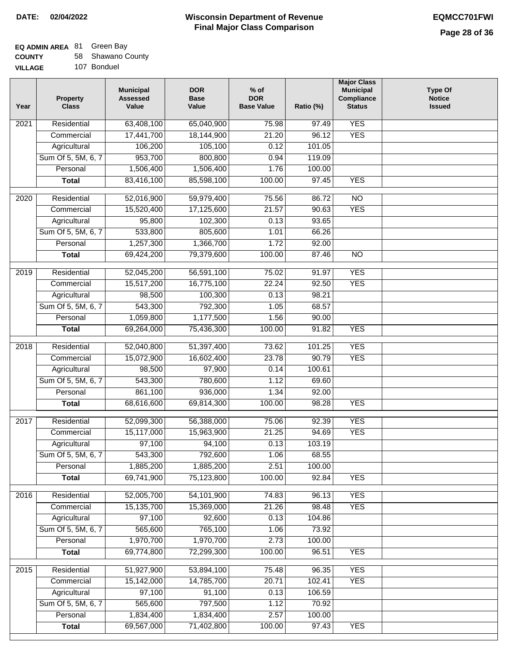## **EQ ADMIN AREA** 81 Green Bay

| <b>COUNTY</b> |  | 58 Shawano County |  |
|---------------|--|-------------------|--|
|---------------|--|-------------------|--|

**VILLAGE** 107 Bonduel

| Year | <b>Property</b><br><b>Class</b> | <b>Municipal</b><br><b>Assessed</b><br>Value | <b>DOR</b><br><b>Base</b><br>Value | $%$ of<br><b>DOR</b><br><b>Base Value</b> | Ratio (%) | <b>Major Class</b><br><b>Municipal</b><br>Compliance<br><b>Status</b> | <b>Type Of</b><br><b>Notice</b><br><b>Issued</b> |
|------|---------------------------------|----------------------------------------------|------------------------------------|-------------------------------------------|-----------|-----------------------------------------------------------------------|--------------------------------------------------|
| 2021 | Residential                     | 63,408,100                                   | 65,040,900                         | 75.98                                     | 97.49     | <b>YES</b>                                                            |                                                  |
|      | Commercial                      | 17,441,700                                   | 18,144,900                         | 21.20                                     | 96.12     | <b>YES</b>                                                            |                                                  |
|      | Agricultural                    | 106,200                                      | 105,100                            | 0.12                                      | 101.05    |                                                                       |                                                  |
|      | Sum Of 5, 5M, 6, 7              | 953,700                                      | 800,800                            | 0.94                                      | 119.09    |                                                                       |                                                  |
|      | Personal                        | 1,506,400                                    | 1,506,400                          | 1.76                                      | 100.00    |                                                                       |                                                  |
|      | <b>Total</b>                    | 83,416,100                                   | 85,598,100                         | 100.00                                    | 97.45     | <b>YES</b>                                                            |                                                  |
| 2020 | Residential                     | 52,016,900                                   | 59,979,400                         | 75.56                                     | 86.72     | $\overline{NO}$                                                       |                                                  |
|      | Commercial                      | 15,520,400                                   | 17,125,600                         | 21.57                                     | 90.63     | <b>YES</b>                                                            |                                                  |
|      | Agricultural                    | 95,800                                       | 102,300                            | 0.13                                      | 93.65     |                                                                       |                                                  |
|      | Sum Of 5, 5M, 6, 7              | 533,800                                      | 805,600                            | 1.01                                      | 66.26     |                                                                       |                                                  |
|      | Personal                        | 1,257,300                                    | 1,366,700                          | 1.72                                      | 92.00     |                                                                       |                                                  |
|      | <b>Total</b>                    | 69,424,200                                   | 79,379,600                         | 100.00                                    | 87.46     | $\overline{NO}$                                                       |                                                  |
| 2019 | Residential                     | 52,045,200                                   | 56,591,100                         | 75.02                                     | 91.97     | <b>YES</b>                                                            |                                                  |
|      | Commercial                      | 15,517,200                                   | 16,775,100                         | 22.24                                     | 92.50     | <b>YES</b>                                                            |                                                  |
|      | Agricultural                    | 98,500                                       | 100,300                            | 0.13                                      | 98.21     |                                                                       |                                                  |
|      | Sum Of 5, 5M, 6, 7              | 543,300                                      | 792,300                            | 1.05                                      | 68.57     |                                                                       |                                                  |
|      | Personal                        | 1,059,800                                    | 1,177,500                          | 1.56                                      | 90.00     |                                                                       |                                                  |
|      | <b>Total</b>                    | 69,264,000                                   | 75,436,300                         | 100.00                                    | 91.82     | <b>YES</b>                                                            |                                                  |
| 2018 | Residential                     | 52,040,800                                   | 51,397,400                         | 73.62                                     | 101.25    | <b>YES</b>                                                            |                                                  |
|      | Commercial                      | 15,072,900                                   | 16,602,400                         | 23.78                                     | 90.79     | <b>YES</b>                                                            |                                                  |
|      | Agricultural                    | 98,500                                       | 97,900                             | 0.14                                      | 100.61    |                                                                       |                                                  |
|      | Sum Of 5, 5M, 6, 7              | 543,300                                      | 780,600                            | 1.12                                      | 69.60     |                                                                       |                                                  |
|      | Personal                        | 861,100                                      | 936,000                            | 1.34                                      | 92.00     |                                                                       |                                                  |
|      | <b>Total</b>                    | 68,616,600                                   | 69,814,300                         | 100.00                                    | 98.28     | <b>YES</b>                                                            |                                                  |
| 2017 | Residential                     | 52,099,300                                   | 56,388,000                         | 75.06                                     | 92.39     | <b>YES</b>                                                            |                                                  |
|      | Commercial                      | 15,117,000                                   | 15,963,900                         | 21.25                                     | 94.69     | <b>YES</b>                                                            |                                                  |
|      | Agricultural                    | 97,100                                       | 94,100                             | 0.13                                      | 103.19    |                                                                       |                                                  |
|      | Sum Of 5, 5M, 6, 7              | 543,300                                      | 792,600                            | 1.06                                      | 68.55     |                                                                       |                                                  |
|      | Personal                        | 1,885,200                                    | 1,885,200                          | 2.51                                      | 100.00    |                                                                       |                                                  |
|      | <b>Total</b>                    | 69,741,900                                   | 75,123,800                         | 100.00                                    | 92.84     | <b>YES</b>                                                            |                                                  |
| 2016 | Residential                     | 52,005,700                                   | 54,101,900                         | 74.83                                     | 96.13     | <b>YES</b>                                                            |                                                  |
|      | Commercial                      | 15,135,700                                   | 15,369,000                         | 21.26                                     | 98.48     | <b>YES</b>                                                            |                                                  |
|      | Agricultural                    | 97,100                                       | 92,600                             | 0.13                                      | 104.86    |                                                                       |                                                  |
|      | Sum Of 5, 5M, 6, 7              | 565,600                                      | 765,100                            | 1.06                                      | 73.92     |                                                                       |                                                  |
|      | Personal                        | 1,970,700                                    | 1,970,700                          | 2.73                                      | 100.00    |                                                                       |                                                  |
|      | <b>Total</b>                    | 69,774,800                                   | 72,299,300                         | 100.00                                    | 96.51     | <b>YES</b>                                                            |                                                  |
| 2015 | Residential                     | 51,927,900                                   | 53,894,100                         | 75.48                                     | 96.35     | <b>YES</b>                                                            |                                                  |
|      | Commercial                      | 15,142,000                                   | 14,785,700                         | 20.71                                     | 102.41    | <b>YES</b>                                                            |                                                  |
|      | Agricultural                    | 97,100                                       | 91,100                             | 0.13                                      | 106.59    |                                                                       |                                                  |
|      | Sum Of 5, 5M, 6, 7              | 565,600                                      | 797,500                            | 1.12                                      | 70.92     |                                                                       |                                                  |
|      | Personal                        | 1,834,400                                    | 1,834,400                          | 2.57                                      | 100.00    |                                                                       |                                                  |
|      | <b>Total</b>                    | 69,567,000                                   | 71,402,800                         | 100.00                                    | 97.43     | <b>YES</b>                                                            |                                                  |
|      |                                 |                                              |                                    |                                           |           |                                                                       |                                                  |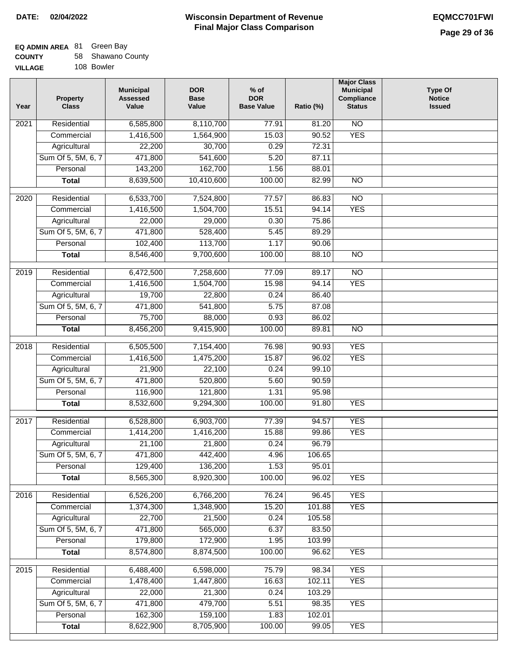### **EQ ADMIN AREA** 81 Green Bay **COUNTY**

| <b>COUNTY</b>  | 58 Shawano County |
|----------------|-------------------|
| <b>VILLAGE</b> | 108 Bowler        |

| Year              | <b>Property</b><br><b>Class</b> | <b>Municipal</b><br><b>Assessed</b><br>Value | <b>DOR</b><br><b>Base</b><br>Value | $%$ of<br><b>DOR</b><br><b>Base Value</b> | Ratio (%) | <b>Major Class</b><br><b>Municipal</b><br>Compliance<br><b>Status</b> | <b>Type Of</b><br><b>Notice</b><br><b>Issued</b> |
|-------------------|---------------------------------|----------------------------------------------|------------------------------------|-------------------------------------------|-----------|-----------------------------------------------------------------------|--------------------------------------------------|
| 2021              | Residential                     | 6,585,800                                    | 8,110,700                          | 77.91                                     | 81.20     | N <sub>O</sub>                                                        |                                                  |
|                   | Commercial                      | 1,416,500                                    | 1,564,900                          | 15.03                                     | 90.52     | <b>YES</b>                                                            |                                                  |
|                   | Agricultural                    | 22,200                                       | 30,700                             | 0.29                                      | 72.31     |                                                                       |                                                  |
|                   | Sum Of 5, 5M, 6, 7              | 471,800                                      | 541,600                            | 5.20                                      | 87.11     |                                                                       |                                                  |
|                   | Personal                        | 143,200                                      | 162,700                            | 1.56                                      | 88.01     |                                                                       |                                                  |
|                   | <b>Total</b>                    | 8,639,500                                    | 10,410,600                         | 100.00                                    | 82.99     | N <sub>O</sub>                                                        |                                                  |
| 2020              | Residential                     | 6,533,700                                    | 7,524,800                          | 77.57                                     | 86.83     | $\overline{NO}$                                                       |                                                  |
|                   | Commercial                      | 1,416,500                                    | 1,504,700                          | 15.51                                     | 94.14     | <b>YES</b>                                                            |                                                  |
|                   | Agricultural                    | 22,000                                       | 29,000                             | 0.30                                      | 75.86     |                                                                       |                                                  |
|                   | Sum Of 5, 5M, 6, 7              | 471,800                                      | 528,400                            | 5.45                                      | 89.29     |                                                                       |                                                  |
|                   | Personal                        | 102,400                                      | 113,700                            | 1.17                                      | 90.06     |                                                                       |                                                  |
|                   | <b>Total</b>                    | 8,546,400                                    | 9,700,600                          | 100.00                                    | 88.10     | $\overline{NO}$                                                       |                                                  |
|                   |                                 |                                              |                                    |                                           |           |                                                                       |                                                  |
| 2019              | Residential                     | 6,472,500                                    | 7,258,600                          | 77.09                                     | 89.17     | <b>NO</b>                                                             |                                                  |
|                   | Commercial                      | 1,416,500                                    | 1,504,700                          | 15.98                                     | 94.14     | <b>YES</b>                                                            |                                                  |
|                   | Agricultural                    | 19,700                                       | 22,800                             | 0.24                                      | 86.40     |                                                                       |                                                  |
|                   | Sum Of 5, 5M, 6, 7              | 471,800                                      | 541,800                            | 5.75                                      | 87.08     |                                                                       |                                                  |
|                   | Personal                        | 75,700                                       | 88,000                             | 0.93                                      | 86.02     |                                                                       |                                                  |
|                   | <b>Total</b>                    | 8,456,200                                    | 9,415,900                          | 100.00                                    | 89.81     | $\overline{NO}$                                                       |                                                  |
| $\overline{2018}$ | Residential                     | 6,505,500                                    | 7,154,400                          | 76.98                                     | 90.93     | <b>YES</b>                                                            |                                                  |
|                   | Commercial                      | 1,416,500                                    | 1,475,200                          | 15.87                                     | 96.02     | <b>YES</b>                                                            |                                                  |
|                   | Agricultural                    | 21,900                                       | 22,100                             | 0.24                                      | 99.10     |                                                                       |                                                  |
|                   | Sum Of 5, 5M, 6, 7              | 471,800                                      | 520,800                            | 5.60                                      | 90.59     |                                                                       |                                                  |
|                   | Personal                        | 116,900                                      | 121,800                            | 1.31                                      | 95.98     |                                                                       |                                                  |
|                   | <b>Total</b>                    | 8,532,600                                    | 9,294,300                          | 100.00                                    | 91.80     | <b>YES</b>                                                            |                                                  |
| 2017              | Residential                     | 6,528,800                                    | 6,903,700                          | 77.39                                     | 94.57     | <b>YES</b>                                                            |                                                  |
|                   | Commercial                      | 1,414,200                                    | 1,416,200                          | 15.88                                     | 99.86     | <b>YES</b>                                                            |                                                  |
|                   | Agricultural                    | 21,100                                       | 21,800                             | 0.24                                      | 96.79     |                                                                       |                                                  |
|                   | Sum Of 5, 5M, 6, 7              | 471,800                                      | 442,400                            | 4.96                                      | 106.65    |                                                                       |                                                  |
|                   | Personal                        | 129,400                                      | 136,200                            | 1.53                                      | 95.01     |                                                                       |                                                  |
|                   | <b>Total</b>                    | 8,565,300                                    | 8,920,300                          | 100.00                                    | 96.02     | <b>YES</b>                                                            |                                                  |
|                   |                                 |                                              |                                    |                                           |           |                                                                       |                                                  |
| 2016              | Residential                     | 6,526,200                                    | 6,766,200                          | 76.24                                     | 96.45     | <b>YES</b>                                                            |                                                  |
|                   | Commercial                      | 1,374,300                                    | 1,348,900                          | 15.20                                     | 101.88    | <b>YES</b>                                                            |                                                  |
|                   | Agricultural                    | 22,700                                       | 21,500                             | 0.24                                      | 105.58    |                                                                       |                                                  |
|                   | Sum Of 5, 5M, 6, 7              | 471,800                                      | 565,000                            | 6.37                                      | 83.50     |                                                                       |                                                  |
|                   | Personal                        | 179,800                                      | 172,900                            | 1.95                                      | 103.99    |                                                                       |                                                  |
|                   | <b>Total</b>                    | 8,574,800                                    | 8,874,500                          | 100.00                                    | 96.62     | <b>YES</b>                                                            |                                                  |
| 2015              | Residential                     | 6,488,400                                    | 6,598,000                          | 75.79                                     | 98.34     | <b>YES</b>                                                            |                                                  |
|                   | Commercial                      | 1,478,400                                    | 1,447,800                          | 16.63                                     | 102.11    | <b>YES</b>                                                            |                                                  |
|                   | Agricultural                    | 22,000                                       | 21,300                             | 0.24                                      | 103.29    |                                                                       |                                                  |
|                   | Sum Of 5, 5M, 6, 7              | 471,800                                      | 479,700                            | 5.51                                      | 98.35     | <b>YES</b>                                                            |                                                  |
|                   | Personal                        | 162,300                                      | 159,100                            | 1.83                                      | 102.01    |                                                                       |                                                  |
|                   | <b>Total</b>                    | 8,622,900                                    | 8,705,900                          | 100.00                                    | 99.05     | <b>YES</b>                                                            |                                                  |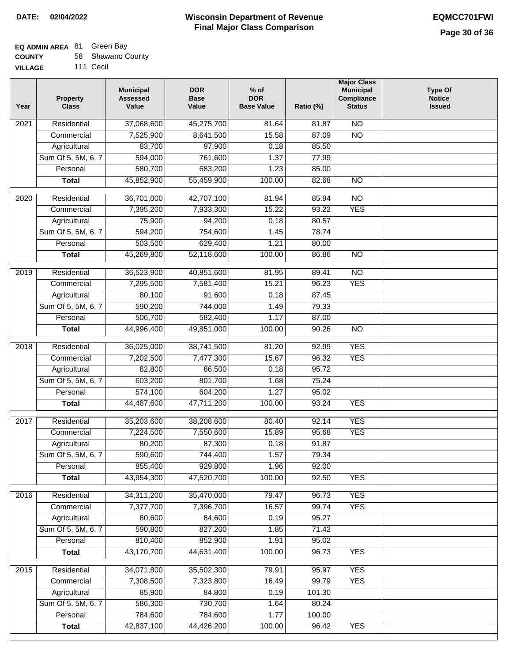## **EQ ADMIN AREA** 81 Green Bay

| <b>COUNTY</b> |  | 58 Shawano County |  |
|---------------|--|-------------------|--|
|---------------|--|-------------------|--|

**VILLAGE** 111 Cecil

| Year | <b>Property</b><br><b>Class</b> | <b>Municipal</b><br><b>Assessed</b><br>Value | <b>DOR</b><br><b>Base</b><br>Value | $%$ of<br><b>DOR</b><br><b>Base Value</b> | Ratio (%) | <b>Major Class</b><br><b>Municipal</b><br>Compliance<br><b>Status</b> | <b>Type Of</b><br><b>Notice</b><br><b>Issued</b> |
|------|---------------------------------|----------------------------------------------|------------------------------------|-------------------------------------------|-----------|-----------------------------------------------------------------------|--------------------------------------------------|
| 2021 | Residential                     | 37,068,600                                   | 45,275,700                         | 81.64                                     | 81.87     | $\overline{NO}$                                                       |                                                  |
|      | Commercial                      | 7,525,900                                    | 8,641,500                          | 15.58                                     | 87.09     | $\overline{NO}$                                                       |                                                  |
|      | Agricultural                    | 83,700                                       | 97,900                             | 0.18                                      | 85.50     |                                                                       |                                                  |
|      | Sum Of 5, 5M, 6, 7              | 594,000                                      | 761,600                            | 1.37                                      | 77.99     |                                                                       |                                                  |
|      | Personal                        | 580,700                                      | 683,200                            | 1.23                                      | 85.00     |                                                                       |                                                  |
|      | <b>Total</b>                    | 45,852,900                                   | 55,459,900                         | 100.00                                    | 82.68     | $\overline{NO}$                                                       |                                                  |
| 2020 | Residential                     | 36,701,000                                   | 42,707,100                         | 81.94                                     | 85.94     | $\overline{NO}$                                                       |                                                  |
|      | Commercial                      | 7,395,200                                    | 7,933,300                          | 15.22                                     | 93.22     | <b>YES</b>                                                            |                                                  |
|      | Agricultural                    | 75,900                                       | 94,200                             | 0.18                                      | 80.57     |                                                                       |                                                  |
|      | Sum Of 5, 5M, 6, 7              | 594,200                                      | 754,600                            | 1.45                                      | 78.74     |                                                                       |                                                  |
|      | Personal                        | 503,500                                      | 629,400                            | 1.21                                      | 80.00     |                                                                       |                                                  |
|      | <b>Total</b>                    | 45,269,800                                   | 52,118,600                         | 100.00                                    | 86.86     | $\overline{NO}$                                                       |                                                  |
| 2019 | Residential                     | 36,523,900                                   | 40,851,600                         | 81.95                                     | 89.41     | $\overline{NO}$                                                       |                                                  |
|      | Commercial                      | 7,295,500                                    | 7,581,400                          | 15.21                                     | 96.23     | <b>YES</b>                                                            |                                                  |
|      | Agricultural                    | 80,100                                       | 91,600                             | 0.18                                      | 87.45     |                                                                       |                                                  |
|      | Sum Of 5, 5M, 6, 7              | 590,200                                      | 744,000                            | 1.49                                      | 79.33     |                                                                       |                                                  |
|      | Personal                        | 506,700                                      | 582,400                            | 1.17                                      | 87.00     |                                                                       |                                                  |
|      | <b>Total</b>                    | 44,996,400                                   | 49,851,000                         | 100.00                                    | 90.26     | $\overline{NO}$                                                       |                                                  |
|      |                                 |                                              |                                    |                                           |           |                                                                       |                                                  |
| 2018 | Residential                     | 36,025,000                                   | 38,741,500                         | 81.20                                     | 92.99     | <b>YES</b>                                                            |                                                  |
|      | Commercial                      | 7,202,500                                    | 7,477,300                          | 15.67                                     | 96.32     | <b>YES</b>                                                            |                                                  |
|      | Agricultural                    | 82,800                                       | 86,500                             | 0.18                                      | 95.72     |                                                                       |                                                  |
|      | Sum Of 5, 5M, 6, 7              | 603,200                                      | 801,700                            | 1.68                                      | 75.24     |                                                                       |                                                  |
|      | Personal                        | 574,100                                      | 604,200                            | 1.27                                      | 95.02     |                                                                       |                                                  |
|      | <b>Total</b>                    | 44,487,600                                   | 47,711,200                         | 100.00                                    | 93.24     | <b>YES</b>                                                            |                                                  |
| 2017 | Residential                     | 35,203,600                                   | 38,208,600                         | 80.40                                     | 92.14     | <b>YES</b>                                                            |                                                  |
|      | Commercial                      | 7,224,500                                    | 7,550,600                          | 15.89                                     | 95.68     | <b>YES</b>                                                            |                                                  |
|      | Agricultural                    | 80,200                                       | 87,300                             | 0.18                                      | 91.87     |                                                                       |                                                  |
|      | Sum Of 5, 5M, 6, 7              | 590,600                                      | 744,400                            | 1.57                                      | 79.34     |                                                                       |                                                  |
|      | Personal                        | 855,400                                      | 929,800                            | 1.96                                      | 92.00     |                                                                       |                                                  |
|      | <b>Total</b>                    | 43,954,300                                   | 47,520,700                         | 100.00                                    | 92.50     | <b>YES</b>                                                            |                                                  |
| 2016 | Residential                     | 34,311,200                                   | 35,470,000                         | 79.47                                     | 96.73     | <b>YES</b>                                                            |                                                  |
|      | Commercial                      | 7,377,700                                    | 7,396,700                          | 16.57                                     | 99.74     | <b>YES</b>                                                            |                                                  |
|      | Agricultural                    | 80,600                                       | 84,600                             | 0.19                                      | 95.27     |                                                                       |                                                  |
|      | Sum Of 5, 5M, 6, 7              | 590,800                                      | 827,200                            | 1.85                                      | 71.42     |                                                                       |                                                  |
|      | Personal                        | 810,400                                      | 852,900                            | 1.91                                      | 95.02     |                                                                       |                                                  |
|      | <b>Total</b>                    | 43,170,700                                   | 44,631,400                         | 100.00                                    | 96.73     | <b>YES</b>                                                            |                                                  |
| 2015 | Residential                     | 34,071,800                                   | 35,502,300                         | 79.91                                     | 95.97     | <b>YES</b>                                                            |                                                  |
|      | Commercial                      | 7,308,500                                    | 7,323,800                          | 16.49                                     | 99.79     | <b>YES</b>                                                            |                                                  |
|      | Agricultural                    | 85,900                                       | 84,800                             | 0.19                                      | 101.30    |                                                                       |                                                  |
|      | Sum Of 5, 5M, 6, 7              | 586,300                                      | 730,700                            | 1.64                                      | 80.24     |                                                                       |                                                  |
|      | Personal                        | 784,600                                      | 784,600                            | 1.77                                      | 100.00    |                                                                       |                                                  |
|      | <b>Total</b>                    | 42,837,100                                   | 44,426,200                         | 100.00                                    | 96.42     | <b>YES</b>                                                            |                                                  |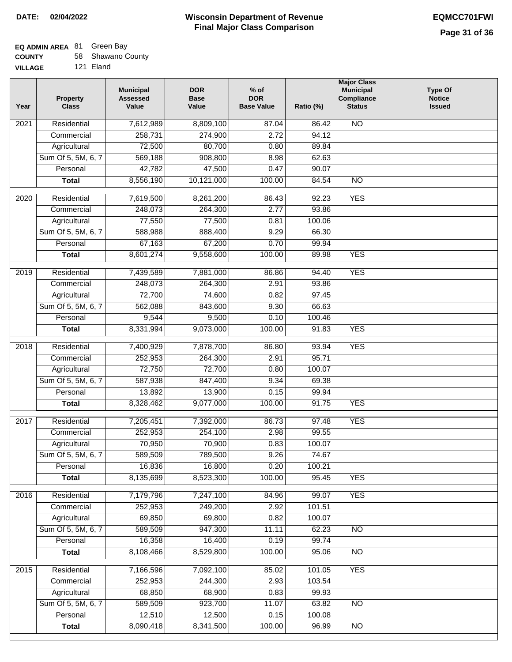# **EQ ADMIN AREA** 81 Green Bay

| <b>COUNTY</b> | 58 Shawano County |
|---------------|-------------------|
|               |                   |

**VILLAGE** 121 Eland

| Year              | <b>Property</b><br><b>Class</b> | <b>Municipal</b><br><b>Assessed</b><br>Value | <b>DOR</b><br><b>Base</b><br>Value | $%$ of<br><b>DOR</b><br><b>Base Value</b> | Ratio (%) | <b>Major Class</b><br><b>Municipal</b><br><b>Compliance</b><br><b>Status</b> | <b>Type Of</b><br><b>Notice</b><br><b>Issued</b> |
|-------------------|---------------------------------|----------------------------------------------|------------------------------------|-------------------------------------------|-----------|------------------------------------------------------------------------------|--------------------------------------------------|
| 2021              | Residential                     | 7,612,989                                    | 8,809,100                          | 87.04                                     | 86.42     | N <sub>O</sub>                                                               |                                                  |
|                   | Commercial                      | 258,731                                      | 274,900                            | 2.72                                      | 94.12     |                                                                              |                                                  |
|                   | Agricultural                    | 72,500                                       | 80,700                             | 0.80                                      | 89.84     |                                                                              |                                                  |
|                   | Sum Of 5, 5M, 6, 7              | 569,188                                      | 908,800                            | 8.98                                      | 62.63     |                                                                              |                                                  |
|                   | Personal                        | 42,782                                       | 47,500                             | 0.47                                      | 90.07     |                                                                              |                                                  |
|                   | <b>Total</b>                    | 8,556,190                                    | 10,121,000                         | 100.00                                    | 84.54     | <b>NO</b>                                                                    |                                                  |
| $\overline{2020}$ | Residential                     | 7,619,500                                    | 8,261,200                          | 86.43                                     | 92.23     | <b>YES</b>                                                                   |                                                  |
|                   | Commercial                      | 248,073                                      | 264,300                            | 2.77                                      | 93.86     |                                                                              |                                                  |
|                   | Agricultural                    | 77,550                                       | 77,500                             | 0.81                                      | 100.06    |                                                                              |                                                  |
|                   | Sum Of 5, 5M, 6, 7              | 588,988                                      | 888,400                            | 9.29                                      | 66.30     |                                                                              |                                                  |
|                   | Personal                        | 67,163                                       | 67,200                             | 0.70                                      | 99.94     |                                                                              |                                                  |
|                   | <b>Total</b>                    | 8,601,274                                    | 9,558,600                          | 100.00                                    | 89.98     | <b>YES</b>                                                                   |                                                  |
|                   |                                 |                                              |                                    |                                           |           |                                                                              |                                                  |
| 2019              | Residential                     | 7,439,589                                    | 7,881,000                          | 86.86                                     | 94.40     | <b>YES</b>                                                                   |                                                  |
|                   | Commercial                      | 248,073                                      | 264,300                            | 2.91                                      | 93.86     |                                                                              |                                                  |
|                   | Agricultural                    | 72,700                                       | 74,600                             | 0.82                                      | 97.45     |                                                                              |                                                  |
|                   | Sum Of 5, 5M, 6, 7              | 562,088                                      | 843,600                            | 9.30                                      | 66.63     |                                                                              |                                                  |
|                   | Personal                        | 9,544                                        | 9,500                              | 0.10                                      | 100.46    |                                                                              |                                                  |
|                   | <b>Total</b>                    | 8,331,994                                    | 9,073,000                          | 100.00                                    | 91.83     | <b>YES</b>                                                                   |                                                  |
| 2018              | Residential                     | 7,400,929                                    | 7,878,700                          | 86.80                                     | 93.94     | <b>YES</b>                                                                   |                                                  |
|                   | Commercial                      | 252,953                                      | 264,300                            | 2.91                                      | 95.71     |                                                                              |                                                  |
|                   | Agricultural                    | 72,750                                       | 72,700                             | 0.80                                      | 100.07    |                                                                              |                                                  |
|                   | Sum Of 5, 5M, 6, 7              | 587,938                                      | 847,400                            | 9.34                                      | 69.38     |                                                                              |                                                  |
|                   | Personal                        | 13,892                                       | 13,900                             | 0.15                                      | 99.94     |                                                                              |                                                  |
|                   | <b>Total</b>                    | 8,328,462                                    | 9,077,000                          | 100.00                                    | 91.75     | <b>YES</b>                                                                   |                                                  |
| 2017              | Residential                     | 7,205,451                                    | 7,392,000                          | 86.73                                     | 97.48     | <b>YES</b>                                                                   |                                                  |
|                   | Commercial                      | 252,953                                      | 254,100                            | 2.98                                      | 99.55     |                                                                              |                                                  |
|                   | Agricultural                    | 70,950                                       | 70,900                             | 0.83                                      | 100.07    |                                                                              |                                                  |
|                   | Sum Of 5, 5M, 6, 7              | 589,509                                      | 789,500                            | 9.26                                      | 74.67     |                                                                              |                                                  |
|                   | Personal                        | 16,836                                       | 16,800                             | 0.20                                      | 100.21    |                                                                              |                                                  |
|                   | <b>Total</b>                    | 8,135,699                                    | 8,523,300                          | 100.00                                    | 95.45     | <b>YES</b>                                                                   |                                                  |
| 2016              | Residential                     | 7,179,796                                    | 7,247,100                          | 84.96                                     | 99.07     | <b>YES</b>                                                                   |                                                  |
|                   | Commercial                      | 252,953                                      | 249,200                            | 2.92                                      | 101.51    |                                                                              |                                                  |
|                   | Agricultural                    | 69,850                                       | 69,800                             | 0.82                                      | 100.07    |                                                                              |                                                  |
|                   | Sum Of 5, 5M, 6, 7              | 589,509                                      | 947,300                            | 11.11                                     | 62.23     | N <sub>O</sub>                                                               |                                                  |
|                   | Personal                        | 16,358                                       | 16,400                             | 0.19                                      | 99.74     |                                                                              |                                                  |
|                   | <b>Total</b>                    | 8,108,466                                    | 8,529,800                          | 100.00                                    | 95.06     | N <sub>O</sub>                                                               |                                                  |
|                   |                                 |                                              |                                    |                                           |           |                                                                              |                                                  |
| 2015              | Residential                     | 7,166,596                                    | 7,092,100                          | 85.02                                     | 101.05    | <b>YES</b>                                                                   |                                                  |
|                   | Commercial                      | 252,953                                      | 244,300                            | 2.93                                      | 103.54    |                                                                              |                                                  |
|                   | Agricultural                    | 68,850                                       | 68,900                             | 0.83                                      | 99.93     |                                                                              |                                                  |
|                   | Sum Of 5, 5M, 6, 7              | 589,509                                      | 923,700                            | 11.07                                     | 63.82     | $\overline{NO}$                                                              |                                                  |
|                   | Personal                        | 12,510                                       | 12,500                             | 0.15                                      | 100.08    |                                                                              |                                                  |
|                   | <b>Total</b>                    | 8,090,418                                    | 8,341,500                          | 100.00                                    | 96.99     | $\overline{NO}$                                                              |                                                  |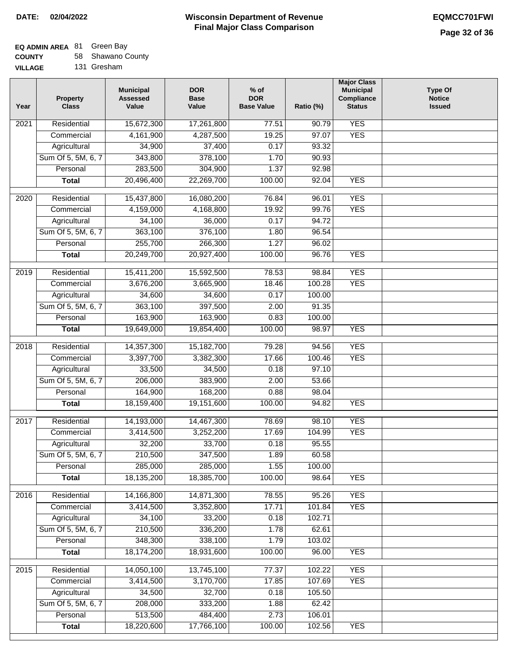## **EQ ADMIN AREA** 81 Green Bay

**COUNTY** 58 Shawano County

**VILLAGE** 131 Gresham

| Year | <b>Property</b><br><b>Class</b> | <b>Municipal</b><br><b>Assessed</b><br>Value | <b>DOR</b><br><b>Base</b><br>Value | $%$ of<br><b>DOR</b><br><b>Base Value</b> | Ratio (%) | <b>Major Class</b><br><b>Municipal</b><br>Compliance<br><b>Status</b> | <b>Type Of</b><br><b>Notice</b><br><b>Issued</b> |
|------|---------------------------------|----------------------------------------------|------------------------------------|-------------------------------------------|-----------|-----------------------------------------------------------------------|--------------------------------------------------|
| 2021 | Residential                     | 15,672,300                                   | 17,261,800                         | 77.51                                     | 90.79     | <b>YES</b>                                                            |                                                  |
|      | Commercial                      | 4,161,900                                    | 4,287,500                          | 19.25                                     | 97.07     | <b>YES</b>                                                            |                                                  |
|      | Agricultural                    | 34,900                                       | 37,400                             | 0.17                                      | 93.32     |                                                                       |                                                  |
|      | Sum Of 5, 5M, 6, 7              | 343,800                                      | 378,100                            | 1.70                                      | 90.93     |                                                                       |                                                  |
|      | Personal                        | 283,500                                      | 304,900                            | 1.37                                      | 92.98     |                                                                       |                                                  |
|      | <b>Total</b>                    | 20,496,400                                   | 22,269,700                         | 100.00                                    | 92.04     | <b>YES</b>                                                            |                                                  |
| 2020 | Residential                     | 15,437,800                                   | 16,080,200                         | 76.84                                     | 96.01     | <b>YES</b>                                                            |                                                  |
|      | Commercial                      | 4,159,000                                    | 4,168,800                          | 19.92                                     | 99.76     | <b>YES</b>                                                            |                                                  |
|      | Agricultural                    | 34,100                                       | 36,000                             | 0.17                                      | 94.72     |                                                                       |                                                  |
|      | Sum Of 5, 5M, 6, 7              | 363,100                                      | 376,100                            | 1.80                                      | 96.54     |                                                                       |                                                  |
|      | Personal                        | 255,700                                      | 266,300                            | 1.27                                      | 96.02     |                                                                       |                                                  |
|      | <b>Total</b>                    | 20,249,700                                   | 20,927,400                         | 100.00                                    | 96.76     | <b>YES</b>                                                            |                                                  |
| 2019 | Residential                     | 15,411,200                                   | 15,592,500                         | 78.53                                     | 98.84     | <b>YES</b>                                                            |                                                  |
|      | Commercial                      | 3,676,200                                    | 3,665,900                          | 18.46                                     | 100.28    | <b>YES</b>                                                            |                                                  |
|      | Agricultural                    | 34,600                                       | 34,600                             | 0.17                                      | 100.00    |                                                                       |                                                  |
|      | Sum Of 5, 5M, 6, 7              | 363,100                                      | 397,500                            | 2.00                                      | 91.35     |                                                                       |                                                  |
|      | Personal                        | 163,900                                      | 163,900                            | 0.83                                      | 100.00    |                                                                       |                                                  |
|      | <b>Total</b>                    | 19,649,000                                   | 19,854,400                         | 100.00                                    | 98.97     | <b>YES</b>                                                            |                                                  |
| 2018 | Residential                     | 14,357,300                                   | 15,182,700                         | 79.28                                     | 94.56     | <b>YES</b>                                                            |                                                  |
|      | Commercial                      | 3,397,700                                    | 3,382,300                          | 17.66                                     | 100.46    | <b>YES</b>                                                            |                                                  |
|      | Agricultural                    | 33,500                                       | 34,500                             | 0.18                                      | 97.10     |                                                                       |                                                  |
|      | Sum Of 5, 5M, 6, 7              | 206,000                                      | 383,900                            | 2.00                                      | 53.66     |                                                                       |                                                  |
|      | Personal                        | 164,900                                      | 168,200                            | 0.88                                      | 98.04     |                                                                       |                                                  |
|      | <b>Total</b>                    | 18,159,400                                   | 19,151,600                         | 100.00                                    | 94.82     | <b>YES</b>                                                            |                                                  |
| 2017 | Residential                     | 14,193,000                                   | 14,467,300                         | 78.69                                     | 98.10     | <b>YES</b>                                                            |                                                  |
|      | Commercial                      | 3,414,500                                    | 3,252,200                          | 17.69                                     | 104.99    | <b>YES</b>                                                            |                                                  |
|      | Agricultural                    | 32,200                                       | 33,700                             | 0.18                                      | 95.55     |                                                                       |                                                  |
|      | Sum Of 5, 5M, 6, 7              | 210,500                                      | 347,500                            | 1.89                                      | 60.58     |                                                                       |                                                  |
|      | Personal                        | 285,000                                      | 285,000                            | 1.55                                      | 100.00    |                                                                       |                                                  |
|      | <b>Total</b>                    | 18,135,200                                   | 18,385,700                         | 100.00                                    | 98.64     | <b>YES</b>                                                            |                                                  |
|      |                                 |                                              |                                    |                                           |           |                                                                       |                                                  |
| 2016 | Residential                     | 14,166,800                                   | 14,871,300                         | 78.55                                     | 95.26     | <b>YES</b>                                                            |                                                  |
|      | Commercial                      | 3,414,500                                    | 3,352,800                          | 17.71                                     | 101.84    | <b>YES</b>                                                            |                                                  |
|      | Agricultural                    | 34,100                                       | 33,200                             | 0.18                                      | 102.71    |                                                                       |                                                  |
|      | Sum Of 5, 5M, 6, 7              | 210,500                                      | 336,200                            | 1.78                                      | 62.61     |                                                                       |                                                  |
|      | Personal                        | 348,300                                      | 338,100                            | 1.79                                      | 103.02    |                                                                       |                                                  |
|      | <b>Total</b>                    | 18,174,200                                   | 18,931,600                         | 100.00                                    | 96.00     | <b>YES</b>                                                            |                                                  |
| 2015 | Residential                     | 14,050,100                                   | 13,745,100                         | 77.37                                     | 102.22    | <b>YES</b>                                                            |                                                  |
|      | Commercial                      | 3,414,500                                    | 3,170,700                          | 17.85                                     | 107.69    | <b>YES</b>                                                            |                                                  |
|      | Agricultural                    | 34,500                                       | 32,700                             | 0.18                                      | 105.50    |                                                                       |                                                  |
|      | Sum Of 5, 5M, 6, 7              | 208,000                                      | 333,200                            | 1.88                                      | 62.42     |                                                                       |                                                  |
|      | Personal                        | 513,500                                      | 484,400                            | 2.73                                      | 106.01    |                                                                       |                                                  |
|      | <b>Total</b>                    | 18,220,600                                   | 17,766,100                         | 100.00                                    | 102.56    | <b>YES</b>                                                            |                                                  |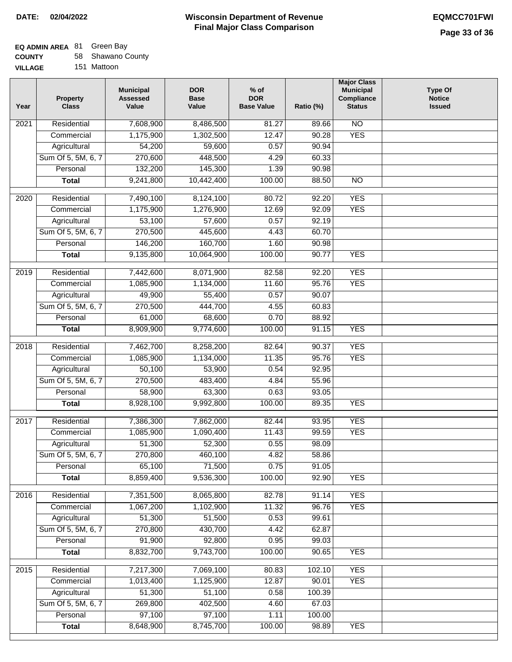# **EQ ADMIN AREA** 81 Green Bay

| <b>COUNTY</b> |  | 58 Shawano County |  |
|---------------|--|-------------------|--|
|---------------|--|-------------------|--|

**VILLAGE** 151 Mattoon

| Year              | <b>Property</b><br><b>Class</b> | <b>Municipal</b><br><b>Assessed</b><br>Value | <b>DOR</b><br><b>Base</b><br>Value | $%$ of<br><b>DOR</b><br><b>Base Value</b> | Ratio (%) | <b>Major Class</b><br><b>Municipal</b><br>Compliance<br><b>Status</b> | <b>Type Of</b><br><b>Notice</b><br><b>Issued</b> |
|-------------------|---------------------------------|----------------------------------------------|------------------------------------|-------------------------------------------|-----------|-----------------------------------------------------------------------|--------------------------------------------------|
| 2021              | Residential                     | 7,608,900                                    | 8,486,500                          | 81.27                                     | 89.66     | $\overline{NO}$                                                       |                                                  |
|                   | Commercial                      | 1,175,900                                    | 1,302,500                          | 12.47                                     | 90.28     | <b>YES</b>                                                            |                                                  |
|                   | Agricultural                    | 54,200                                       | 59,600                             | 0.57                                      | 90.94     |                                                                       |                                                  |
|                   | Sum Of 5, 5M, 6, 7              | 270,600                                      | 448,500                            | 4.29                                      | 60.33     |                                                                       |                                                  |
|                   | Personal                        | 132,200                                      | 145,300                            | 1.39                                      | 90.98     |                                                                       |                                                  |
|                   | <b>Total</b>                    | 9,241,800                                    | 10,442,400                         | 100.00                                    | 88.50     | $\overline{NO}$                                                       |                                                  |
| 2020              | Residential                     | 7,490,100                                    | 8,124,100                          | 80.72                                     | 92.20     | <b>YES</b>                                                            |                                                  |
|                   | Commercial                      | 1,175,900                                    | 1,276,900                          | 12.69                                     | 92.09     | <b>YES</b>                                                            |                                                  |
|                   | Agricultural                    | 53,100                                       | 57,600                             | 0.57                                      | 92.19     |                                                                       |                                                  |
|                   | Sum Of 5, 5M, 6, 7              | 270,500                                      | 445,600                            | 4.43                                      | 60.70     |                                                                       |                                                  |
|                   | Personal                        | 146,200                                      | 160,700                            | 1.60                                      | 90.98     |                                                                       |                                                  |
|                   | <b>Total</b>                    | 9,135,800                                    | 10,064,900                         | 100.00                                    | 90.77     | <b>YES</b>                                                            |                                                  |
| 2019              | Residential                     | 7,442,600                                    | 8,071,900                          | 82.58                                     | 92.20     | <b>YES</b>                                                            |                                                  |
|                   | Commercial                      | 1,085,900                                    | 1,134,000                          | 11.60                                     | 95.76     | <b>YES</b>                                                            |                                                  |
|                   | Agricultural                    | 49,900                                       | 55,400                             | 0.57                                      | 90.07     |                                                                       |                                                  |
|                   | Sum Of 5, 5M, 6, 7              | 270,500                                      | 444,700                            | 4.55                                      | 60.83     |                                                                       |                                                  |
|                   | Personal                        | 61,000                                       | 68,600                             | 0.70                                      | 88.92     |                                                                       |                                                  |
|                   | <b>Total</b>                    | 8,909,900                                    | 9,774,600                          | 100.00                                    | 91.15     | <b>YES</b>                                                            |                                                  |
|                   |                                 |                                              |                                    |                                           |           |                                                                       |                                                  |
| $\overline{2018}$ | Residential                     | 7,462,700                                    | 8,258,200                          | 82.64                                     | 90.37     | <b>YES</b>                                                            |                                                  |
|                   | Commercial                      | 1,085,900                                    | 1,134,000                          | 11.35                                     | 95.76     | <b>YES</b>                                                            |                                                  |
|                   | Agricultural                    | 50,100                                       | 53,900                             | 0.54                                      | 92.95     |                                                                       |                                                  |
|                   | Sum Of 5, 5M, 6, 7              | 270,500                                      | 483,400                            | 4.84                                      | 55.96     |                                                                       |                                                  |
|                   | Personal                        | 58,900                                       | 63,300                             | 0.63                                      | 93.05     |                                                                       |                                                  |
|                   | <b>Total</b>                    | 8,928,100                                    | 9,992,800                          | 100.00                                    | 89.35     | <b>YES</b>                                                            |                                                  |
| 2017              | Residential                     | 7,386,300                                    | 7,862,000                          | 82.44                                     | 93.95     | <b>YES</b>                                                            |                                                  |
|                   | Commercial                      | 1,085,900                                    | 1,090,400                          | 11.43                                     | 99.59     | <b>YES</b>                                                            |                                                  |
|                   | Agricultural                    | 51,300                                       | 52,300                             | 0.55                                      | 98.09     |                                                                       |                                                  |
|                   | Sum Of 5, 5M, 6, 7              | 270,800                                      | 460,100                            | 4.82                                      | 58.86     |                                                                       |                                                  |
|                   | Personal                        | 65,100                                       | 71,500                             | 0.75                                      | 91.05     |                                                                       |                                                  |
|                   | <b>Total</b>                    | 8,859,400                                    | 9,536,300                          | 100.00                                    | 92.90     | <b>YES</b>                                                            |                                                  |
| 2016              | Residential                     | 7,351,500                                    | 8,065,800                          | 82.78                                     | 91.14     | <b>YES</b>                                                            |                                                  |
|                   | Commercial                      | 1,067,200                                    | 1,102,900                          | 11.32                                     | 96.76     | <b>YES</b>                                                            |                                                  |
|                   | Agricultural                    | 51,300                                       | 51,500                             | 0.53                                      | 99.61     |                                                                       |                                                  |
|                   | Sum Of 5, 5M, 6, 7              | 270,800                                      | 430,700                            | 4.42                                      | 62.87     |                                                                       |                                                  |
|                   | Personal                        | 91,900                                       | 92,800                             | 0.95                                      | 99.03     |                                                                       |                                                  |
|                   | <b>Total</b>                    | 8,832,700                                    | 9,743,700                          | 100.00                                    | 90.65     | <b>YES</b>                                                            |                                                  |
| 2015              | Residential                     | 7,217,300                                    | 7,069,100                          | 80.83                                     | 102.10    | <b>YES</b>                                                            |                                                  |
|                   | Commercial                      | 1,013,400                                    | 1,125,900                          | 12.87                                     | 90.01     | <b>YES</b>                                                            |                                                  |
|                   | Agricultural                    | 51,300                                       | 51,100                             | 0.58                                      | 100.39    |                                                                       |                                                  |
|                   | Sum Of 5, 5M, 6, 7              | 269,800                                      | 402,500                            | 4.60                                      | 67.03     |                                                                       |                                                  |
|                   | Personal                        | 97,100                                       | 97,100                             | 1.11                                      | 100.00    |                                                                       |                                                  |
|                   | <b>Total</b>                    | 8,648,900                                    | 8,745,700                          | 100.00                                    | 98.89     | <b>YES</b>                                                            |                                                  |
|                   |                                 |                                              |                                    |                                           |           |                                                                       |                                                  |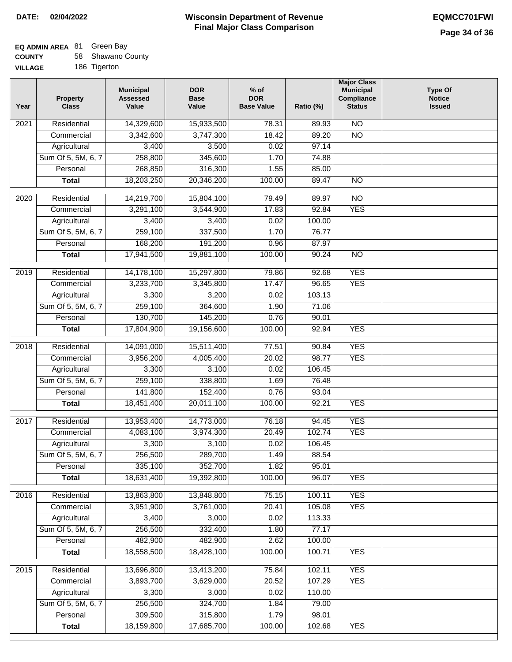# **EQ ADMIN AREA** 81 Green Bay

| <b>COUNTY</b> | 58 Shawano County |
|---------------|-------------------|
|---------------|-------------------|

**VILLAGE** 186 Tigerton

| Year | <b>Property</b><br><b>Class</b> | <b>Municipal</b><br><b>Assessed</b><br>Value | <b>DOR</b><br><b>Base</b><br>Value | $%$ of<br><b>DOR</b><br><b>Base Value</b> | Ratio (%)       | <b>Major Class</b><br><b>Municipal</b><br>Compliance<br><b>Status</b> | <b>Type Of</b><br><b>Notice</b><br><b>Issued</b> |
|------|---------------------------------|----------------------------------------------|------------------------------------|-------------------------------------------|-----------------|-----------------------------------------------------------------------|--------------------------------------------------|
| 2021 | Residential                     | 14,329,600                                   | 15,933,500                         | 78.31                                     | 89.93           | $\overline{NO}$                                                       |                                                  |
|      | Commercial                      | 3,342,600                                    | 3,747,300                          | 18.42                                     | 89.20           | $\overline{NO}$                                                       |                                                  |
|      | Agricultural                    | 3,400                                        | 3,500                              | 0.02                                      | 97.14           |                                                                       |                                                  |
|      | Sum Of 5, 5M, 6, 7              | 258,800                                      | 345,600                            | 1.70                                      | 74.88           |                                                                       |                                                  |
|      | Personal                        | 268,850                                      | 316,300                            | 1.55                                      | 85.00           |                                                                       |                                                  |
|      | <b>Total</b>                    | 18,203,250                                   | 20,346,200                         | 100.00                                    | 89.47           | $\overline{NO}$                                                       |                                                  |
| 2020 | Residential                     | 14,219,700                                   | 15,804,100                         | 79.49                                     | 89.97           | $\overline{NO}$                                                       |                                                  |
|      | Commercial                      | 3,291,100                                    | 3,544,900                          | 17.83                                     | 92.84           | <b>YES</b>                                                            |                                                  |
|      | Agricultural                    | 3,400                                        | 3,400                              | 0.02                                      | 100.00          |                                                                       |                                                  |
|      | Sum Of 5, 5M, 6, 7              | 259,100                                      | 337,500                            | 1.70                                      | 76.77           |                                                                       |                                                  |
|      | Personal                        | 168,200                                      | 191,200                            | 0.96                                      | 87.97           |                                                                       |                                                  |
|      | <b>Total</b>                    | 17,941,500                                   | 19,881,100                         | 100.00                                    | 90.24           | $\overline{NO}$                                                       |                                                  |
|      |                                 |                                              |                                    |                                           |                 |                                                                       |                                                  |
| 2019 | Residential                     | 14,178,100                                   | 15,297,800                         | 79.86                                     | 92.68           | <b>YES</b>                                                            |                                                  |
|      | Commercial                      | 3,233,700                                    | 3,345,800                          | 17.47                                     | 96.65           | <b>YES</b>                                                            |                                                  |
|      | Agricultural                    | 3,300                                        | 3,200                              | 0.02                                      | 103.13          |                                                                       |                                                  |
|      | Sum Of 5, 5M, 6, 7              | 259,100                                      | 364,600                            | 1.90                                      | 71.06           |                                                                       |                                                  |
|      | Personal                        | 130,700                                      | 145,200                            | 0.76                                      | 90.01           |                                                                       |                                                  |
|      | <b>Total</b>                    | 17,804,900                                   | 19,156,600                         | 100.00                                    | 92.94           | <b>YES</b>                                                            |                                                  |
| 2018 | Residential                     | 14,091,000                                   | 15,511,400                         | 77.51                                     | 90.84           | <b>YES</b>                                                            |                                                  |
|      | Commercial                      | 3,956,200                                    | 4,005,400                          | 20.02                                     | 98.77           | <b>YES</b>                                                            |                                                  |
|      | Agricultural                    | 3,300                                        | 3,100                              | 0.02                                      | 106.45          |                                                                       |                                                  |
|      | Sum Of 5, 5M, 6, 7              | 259,100                                      | 338,800                            | 1.69                                      | 76.48           |                                                                       |                                                  |
|      | Personal                        | 141,800                                      | 152,400                            | 0.76                                      | 93.04           |                                                                       |                                                  |
|      | <b>Total</b>                    | 18,451,400                                   | 20,011,100                         | 100.00                                    | 92.21           | <b>YES</b>                                                            |                                                  |
|      |                                 |                                              |                                    |                                           |                 |                                                                       |                                                  |
| 2017 | Residential                     | 13,953,400                                   | 14,773,000<br>3,974,300            | 76.18<br>20.49                            | 94.45<br>102.74 | <b>YES</b><br><b>YES</b>                                              |                                                  |
|      | Commercial<br>Agricultural      | 4,083,100<br>3,300                           | 3,100                              | 0.02                                      | 106.45          |                                                                       |                                                  |
|      | Sum Of 5, 5M, 6, 7              | 256,500                                      | 289,700                            | 1.49                                      | 88.54           |                                                                       |                                                  |
|      | Personal                        | 335,100                                      | 352,700                            | 1.82                                      | 95.01           |                                                                       |                                                  |
|      | <b>Total</b>                    | 18,631,400                                   | 19,392,800                         | 100.00                                    | 96.07           | <b>YES</b>                                                            |                                                  |
|      |                                 |                                              |                                    |                                           |                 |                                                                       |                                                  |
| 2016 | Residential                     | 13,863,800                                   | 13,848,800                         | 75.15                                     | 100.11          | <b>YES</b>                                                            |                                                  |
|      | Commercial                      | 3,951,900                                    | 3,761,000                          | 20.41                                     | 105.08          | <b>YES</b>                                                            |                                                  |
|      | Agricultural                    | 3,400                                        | 3,000                              | 0.02                                      | 113.33          |                                                                       |                                                  |
|      | Sum Of 5, 5M, 6, 7              | 256,500                                      | 332,400                            | 1.80                                      | 77.17           |                                                                       |                                                  |
|      | Personal                        | 482,900                                      | 482,900                            | 2.62                                      | 100.00          |                                                                       |                                                  |
|      | <b>Total</b>                    | 18,558,500                                   | 18,428,100                         | 100.00                                    | 100.71          | <b>YES</b>                                                            |                                                  |
| 2015 | Residential                     | 13,696,800                                   | 13,413,200                         | 75.84                                     | 102.11          | <b>YES</b>                                                            |                                                  |
|      | Commercial                      | 3,893,700                                    | 3,629,000                          | 20.52                                     | 107.29          | <b>YES</b>                                                            |                                                  |
|      | Agricultural                    | 3,300                                        | 3,000                              | 0.02                                      | 110.00          |                                                                       |                                                  |
|      | Sum Of 5, 5M, 6, 7              | 256,500                                      | 324,700                            | 1.84                                      | 79.00           |                                                                       |                                                  |
|      | Personal                        | 309,500                                      | 315,800                            | 1.79                                      | 98.01           |                                                                       |                                                  |
|      | <b>Total</b>                    | 18,159,800                                   | 17,685,700                         | 100.00                                    | 102.68          | <b>YES</b>                                                            |                                                  |
|      |                                 |                                              |                                    |                                           |                 |                                                                       |                                                  |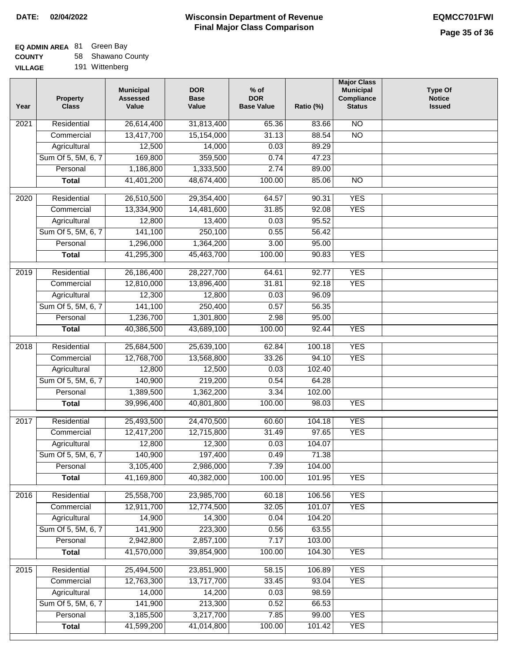# **EQ ADMIN AREA** 81 Green Bay

**COUNTY VILLAGE** 58 Shawano County 191 Wittenberg

| Year              | <b>Property</b><br><b>Class</b> | <b>Municipal</b><br><b>Assessed</b><br>Value | <b>DOR</b><br><b>Base</b><br>Value | $%$ of<br><b>DOR</b><br><b>Base Value</b> | Ratio (%) | <b>Major Class</b><br><b>Municipal</b><br>Compliance<br><b>Status</b> | <b>Type Of</b><br><b>Notice</b><br><b>Issued</b> |
|-------------------|---------------------------------|----------------------------------------------|------------------------------------|-------------------------------------------|-----------|-----------------------------------------------------------------------|--------------------------------------------------|
| 2021              | Residential                     | 26,614,400                                   | 31,813,400                         | 65.36                                     | 83.66     | N <sub>O</sub>                                                        |                                                  |
|                   | Commercial                      | 13,417,700                                   | 15,154,000                         | 31.13                                     | 88.54     | $\overline{NO}$                                                       |                                                  |
|                   | Agricultural                    | 12,500                                       | 14,000                             | 0.03                                      | 89.29     |                                                                       |                                                  |
|                   | Sum Of 5, 5M, 6, 7              | 169,800                                      | 359,500                            | 0.74                                      | 47.23     |                                                                       |                                                  |
|                   | Personal                        | 1,186,800                                    | 1,333,500                          | 2.74                                      | 89.00     |                                                                       |                                                  |
|                   | <b>Total</b>                    | 41,401,200                                   | 48,674,400                         | 100.00                                    | 85.06     | $\overline{NO}$                                                       |                                                  |
| $\overline{2020}$ | Residential                     | 26,510,500                                   | 29,354,400                         | 64.57                                     | 90.31     | <b>YES</b>                                                            |                                                  |
|                   | Commercial                      | 13,334,900                                   | 14,481,600                         | 31.85                                     | 92.08     | <b>YES</b>                                                            |                                                  |
|                   | Agricultural                    | 12,800                                       | 13,400                             | 0.03                                      | 95.52     |                                                                       |                                                  |
|                   | Sum Of 5, 5M, 6, 7              | 141,100                                      | 250,100                            | 0.55                                      | 56.42     |                                                                       |                                                  |
|                   | Personal                        | 1,296,000                                    | 1,364,200                          | 3.00                                      | 95.00     |                                                                       |                                                  |
|                   | <b>Total</b>                    | 41,295,300                                   | 45,463,700                         | 100.00                                    | 90.83     | <b>YES</b>                                                            |                                                  |
|                   |                                 |                                              |                                    |                                           |           |                                                                       |                                                  |
| 2019              | Residential                     | 26,186,400                                   | 28,227,700                         | 64.61                                     | 92.77     | <b>YES</b>                                                            |                                                  |
|                   | Commercial                      | 12,810,000                                   | 13,896,400                         | 31.81                                     | 92.18     | <b>YES</b>                                                            |                                                  |
|                   | Agricultural                    | 12,300                                       | 12,800                             | 0.03                                      | 96.09     |                                                                       |                                                  |
|                   | Sum Of 5, 5M, 6, 7              | 141,100                                      | 250,400                            | 0.57                                      | 56.35     |                                                                       |                                                  |
|                   | Personal                        | 1,236,700                                    | 1,301,800                          | 2.98                                      | 95.00     |                                                                       |                                                  |
|                   | <b>Total</b>                    | 40,386,500                                   | 43,689,100                         | 100.00                                    | 92.44     | <b>YES</b>                                                            |                                                  |
| 2018              | Residential                     | 25,684,500                                   | 25,639,100                         | 62.84                                     | 100.18    | <b>YES</b>                                                            |                                                  |
|                   | Commercial                      | 12,768,700                                   | 13,568,800                         | 33.26                                     | 94.10     | <b>YES</b>                                                            |                                                  |
|                   | Agricultural                    | 12,800                                       | 12,500                             | 0.03                                      | 102.40    |                                                                       |                                                  |
|                   | Sum Of 5, 5M, 6, 7              | 140,900                                      | 219,200                            | 0.54                                      | 64.28     |                                                                       |                                                  |
|                   | Personal                        | 1,389,500                                    | 1,362,200                          | 3.34                                      | 102.00    |                                                                       |                                                  |
|                   | <b>Total</b>                    | 39,996,400                                   | 40,801,800                         | 100.00                                    | 98.03     | <b>YES</b>                                                            |                                                  |
| 2017              | Residential                     | 25,493,500                                   | 24,470,500                         | 60.60                                     | 104.18    | <b>YES</b>                                                            |                                                  |
|                   | Commercial                      | 12,417,200                                   | 12,715,800                         | 31.49                                     | 97.65     | <b>YES</b>                                                            |                                                  |
|                   | Agricultural                    | 12,800                                       | 12,300                             | 0.03                                      | 104.07    |                                                                       |                                                  |
|                   | Sum Of 5, 5M, 6, 7              | 140,900                                      | 197,400                            | 0.49                                      | 71.38     |                                                                       |                                                  |
|                   | Personal                        | 3,105,400                                    | 2,986,000                          | 7.39                                      | 104.00    |                                                                       |                                                  |
|                   | <b>Total</b>                    | 41,169,800                                   | 40,382,000                         | 100.00                                    | 101.95    | <b>YES</b>                                                            |                                                  |
| 2016              | Residential                     | 25,558,700                                   | 23,985,700                         | 60.18                                     | 106.56    | <b>YES</b>                                                            |                                                  |
|                   | Commercial                      | 12,911,700                                   | 12,774,500                         | 32.05                                     | 101.07    | <b>YES</b>                                                            |                                                  |
|                   | Agricultural                    | 14,900                                       | 14,300                             | 0.04                                      | 104.20    |                                                                       |                                                  |
|                   | Sum Of 5, 5M, 6, 7              | 141,900                                      | 223,300                            | 0.56                                      | 63.55     |                                                                       |                                                  |
|                   | Personal                        | 2,942,800                                    | 2,857,100                          | 7.17                                      | 103.00    |                                                                       |                                                  |
|                   | <b>Total</b>                    | 41,570,000                                   | 39,854,900                         | 100.00                                    | 104.30    | <b>YES</b>                                                            |                                                  |
|                   |                                 |                                              |                                    |                                           |           |                                                                       |                                                  |
| 2015              | Residential                     | 25,494,500                                   | 23,851,900                         | 58.15                                     | 106.89    | <b>YES</b>                                                            |                                                  |
|                   | Commercial                      | 12,763,300                                   | 13,717,700                         | 33.45                                     | 93.04     | <b>YES</b>                                                            |                                                  |
|                   | Agricultural                    | 14,000                                       | 14,200                             | 0.03                                      | 98.59     |                                                                       |                                                  |
|                   | Sum Of 5, 5M, 6, 7              | 141,900                                      | 213,300                            | 0.52                                      | 66.53     |                                                                       |                                                  |
|                   | Personal                        | 3,185,500                                    | 3,217,700                          | 7.85                                      | 99.00     | <b>YES</b>                                                            |                                                  |
|                   | <b>Total</b>                    | 41,599,200                                   | 41,014,800                         | 100.00                                    | 101.42    | <b>YES</b>                                                            |                                                  |